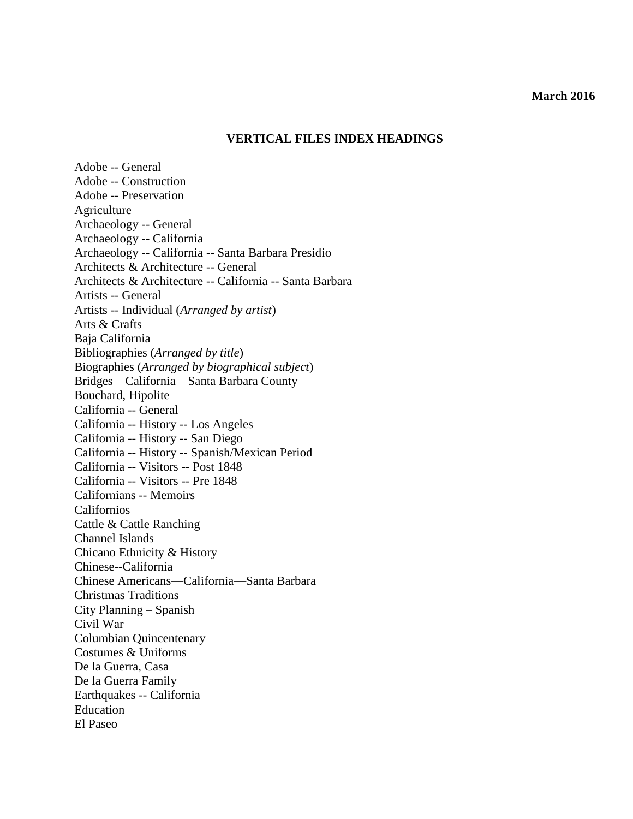#### **March 2016**

# **VERTICAL FILES INDEX HEADINGS**

Adobe -- General Adobe -- Construction Adobe -- Preservation Agriculture Archaeology -- General Archaeology -- California Archaeology -- California -- Santa Barbara Presidio Architects & Architecture -- General Architects & Architecture -- California -- Santa Barbara Artists -- General Artists -- Individual (*Arranged by artist*) Arts & Crafts Baja California Bibliographies (*Arranged by title*) Biographies (*Arranged by biographical subject*) Bridges—California—Santa Barbara County Bouchard, Hipolite California -- General California -- History -- Los Angeles California -- History -- San Diego California -- History -- Spanish/Mexican Period California -- Visitors -- Post 1848 California -- Visitors -- Pre 1848 Californians -- Memoirs Californios Cattle & Cattle Ranching Channel Islands Chicano Ethnicity & History Chinese--California Chinese Americans—California—Santa Barbara Christmas Traditions City Planning – Spanish Civil War Columbian Quincentenary Costumes & Uniforms De la Guerra, Casa De la Guerra Family Earthquakes -- California Education El Paseo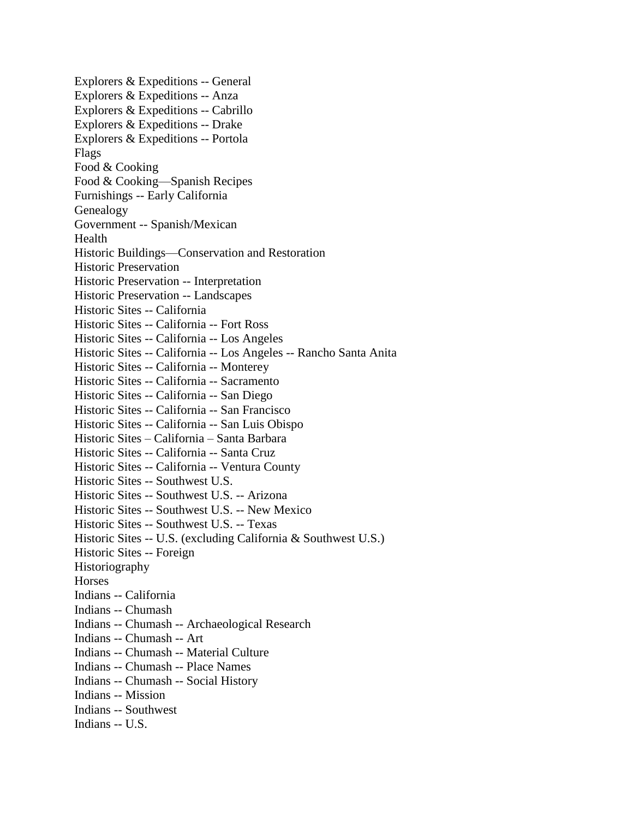Explorers & Expeditions -- General Explorers & Expeditions -- Anza Explorers & Expeditions -- Cabrillo Explorers & Expeditions -- Drake Explorers & Expeditions -- Portola Flags Food & Cooking Food & Cooking—Spanish Recipes Furnishings -- Early California Genealogy Government -- Spanish/Mexican Health Historic Buildings—Conservation and Restoration Historic Preservation Historic Preservation -- Interpretation Historic Preservation -- Landscapes Historic Sites -- California Historic Sites -- California -- Fort Ross Historic Sites -- California -- Los Angeles Historic Sites -- California -- Los Angeles -- Rancho Santa Anita Historic Sites -- California -- Monterey Historic Sites -- California -- Sacramento Historic Sites -- California -- San Diego Historic Sites -- California -- San Francisco Historic Sites -- California -- San Luis Obispo Historic Sites – California – Santa Barbara Historic Sites -- California -- Santa Cruz Historic Sites -- California -- Ventura County Historic Sites -- Southwest U.S. Historic Sites -- Southwest U.S. -- Arizona Historic Sites -- Southwest U.S. -- New Mexico Historic Sites -- Southwest U.S. -- Texas Historic Sites -- U.S. (excluding California & Southwest U.S.) Historic Sites -- Foreign Historiography **Horses** Indians -- California Indians -- Chumash Indians -- Chumash -- Archaeological Research Indians -- Chumash -- Art Indians -- Chumash -- Material Culture Indians -- Chumash -- Place Names Indians -- Chumash -- Social History Indians -- Mission Indians -- Southwest Indians -- U.S.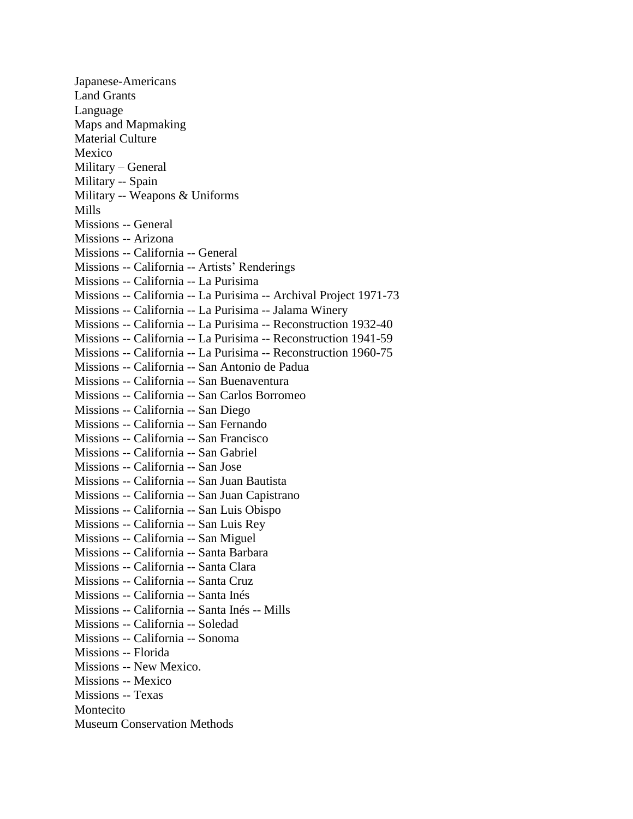Japanese-Americans Land Grants Language Maps and Mapmaking Material Culture Mexico Military – General Military -- Spain Military -- Weapons & Uniforms Mills Missions -- General Missions -- Arizona Missions -- California -- General Missions -- California -- Artists' Renderings Missions -- California -- La Purisima Missions -- California -- La Purisima -- Archival Project 1971-73 Missions -- California -- La Purisima -- Jalama Winery Missions -- California -- La Purisima -- Reconstruction 1932-40 Missions -- California -- La Purisima -- Reconstruction 1941-59 Missions -- California -- La Purisima -- Reconstruction 1960-75 Missions -- California -- San Antonio de Padua Missions -- California -- San Buenaventura Missions -- California -- San Carlos Borromeo Missions -- California -- San Diego Missions -- California -- San Fernando Missions -- California -- San Francisco Missions -- California -- San Gabriel Missions -- California -- San Jose Missions -- California -- San Juan Bautista Missions -- California -- San Juan Capistrano Missions -- California -- San Luis Obispo Missions -- California -- San Luis Rey Missions -- California -- San Miguel Missions -- California -- Santa Barbara Missions -- California -- Santa Clara Missions -- California -- Santa Cruz Missions -- California -- Santa Inés Missions -- California -- Santa Inés -- Mills Missions -- California -- Soledad Missions -- California -- Sonoma Missions -- Florida Missions -- New Mexico. Missions -- Mexico Missions -- Texas Montecito Museum Conservation Methods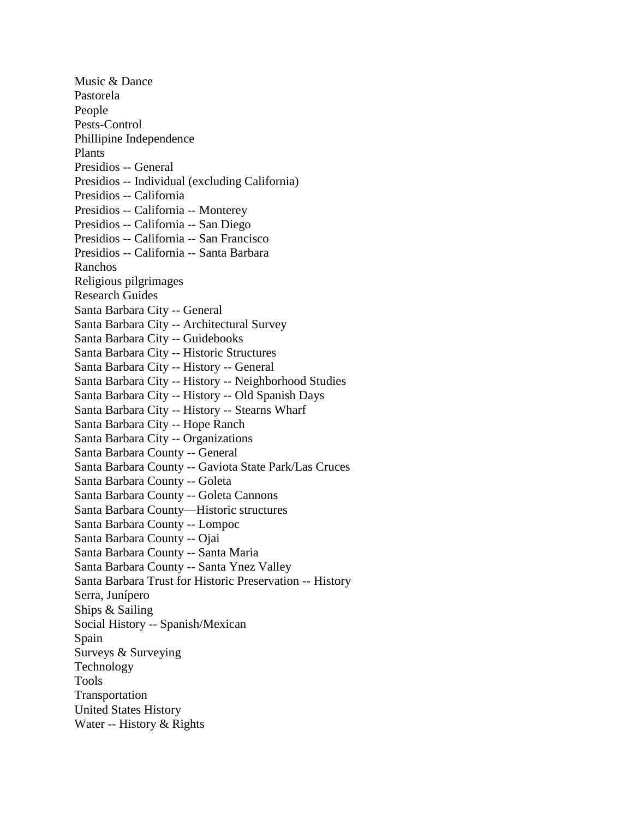Music & Dance Pastorela People Pests-Control Phillipine Independence Plants Presidios -- General Presidios -- Individual (excluding California) Presidios -- California Presidios -- California -- Monterey Presidios -- California -- San Diego Presidios -- California -- San Francisco Presidios -- California -- Santa Barbara Ranchos Religious pilgrimages Research Guides Santa Barbara City -- General Santa Barbara City -- Architectural Survey Santa Barbara City -- Guidebooks Santa Barbara City -- Historic Structures Santa Barbara City -- History -- General Santa Barbara City -- History -- Neighborhood Studies Santa Barbara City -- History -- Old Spanish Days Santa Barbara City -- History -- Stearns Wharf Santa Barbara City -- Hope Ranch Santa Barbara City -- Organizations Santa Barbara County -- General Santa Barbara County -- Gaviota State Park/Las Cruces Santa Barbara County -- Goleta Santa Barbara County -- Goleta Cannons Santa Barbara County—Historic structures Santa Barbara County -- Lompoc Santa Barbara County -- Ojai Santa Barbara County -- Santa Maria Santa Barbara County -- Santa Ynez Valley Santa Barbara Trust for Historic Preservation -- History Serra, Junípero Ships & Sailing Social History -- Spanish/Mexican Spain Surveys & Surveying Technology Tools Transportation United States History Water -- History & Rights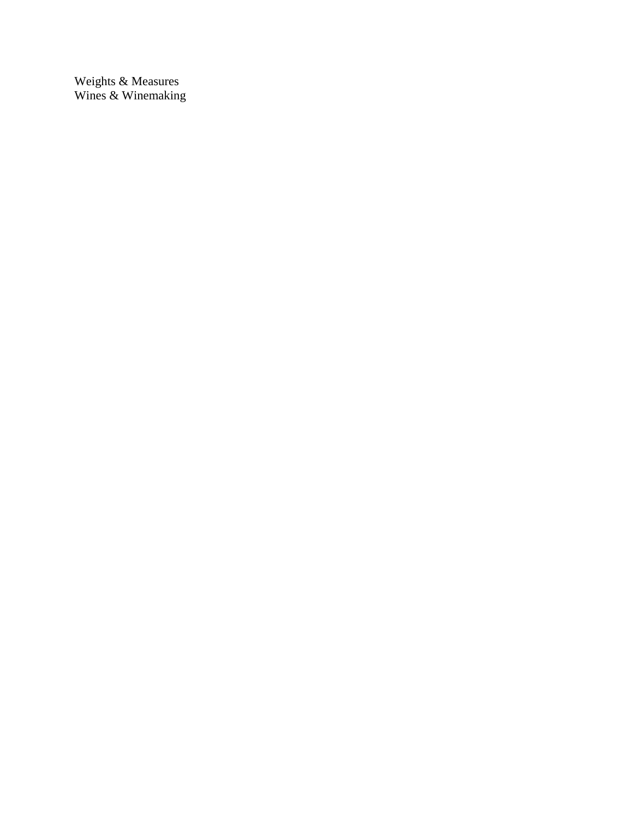Weights & Measures Wines & Winemaking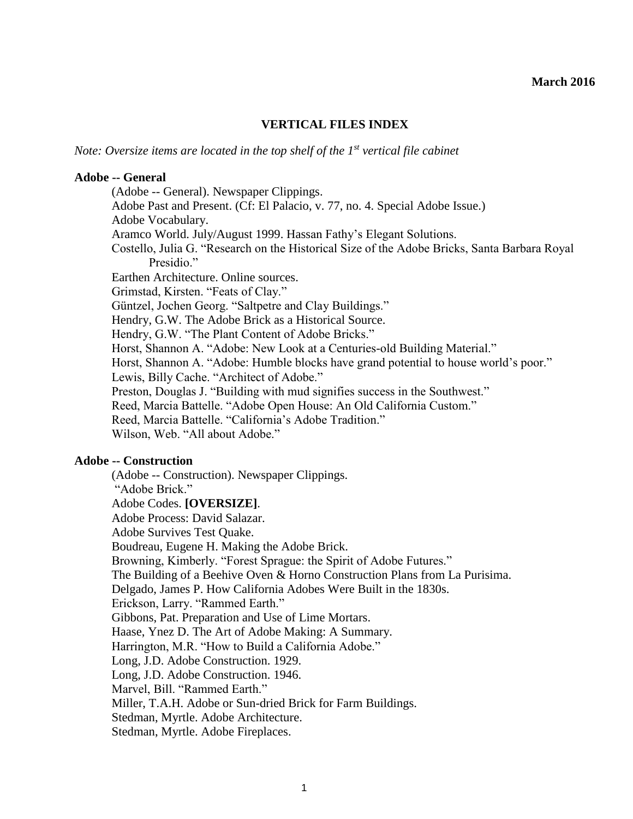## **VERTICAL FILES INDEX**

*Note: Oversize items are located in the top shelf of the 1st vertical file cabinet*

#### **Adobe -- General**

(Adobe -- General). Newspaper Clippings. Adobe Past and Present. (Cf: El Palacio, v. 77, no. 4. Special Adobe Issue.) Adobe Vocabulary. Aramco World. July/August 1999. Hassan Fathy's Elegant Solutions. Costello, Julia G. "Research on the Historical Size of the Adobe Bricks, Santa Barbara Royal Presidio<sup>"</sup> Earthen Architecture. Online sources. Grimstad, Kirsten. "Feats of Clay." Güntzel, Jochen Georg. "Saltpetre and Clay Buildings." Hendry, G.W. The Adobe Brick as a Historical Source. Hendry, G.W. "The Plant Content of Adobe Bricks." Horst, Shannon A. "Adobe: New Look at a Centuries-old Building Material." Horst, Shannon A. "Adobe: Humble blocks have grand potential to house world's poor." Lewis, Billy Cache. "Architect of Adobe." Preston, Douglas J. "Building with mud signifies success in the Southwest." Reed, Marcia Battelle. "Adobe Open House: An Old California Custom." Reed, Marcia Battelle. "California's Adobe Tradition." Wilson, Web. "All about Adobe."

## **Adobe -- Construction**

(Adobe -- Construction). Newspaper Clippings. "Adobe Brick." Adobe Codes. **[OVERSIZE]**. Adobe Process: David Salazar. Adobe Survives Test Quake. Boudreau, Eugene H. Making the Adobe Brick. Browning, Kimberly. "Forest Sprague: the Spirit of Adobe Futures." The Building of a Beehive Oven & Horno Construction Plans from La Purisima. Delgado, James P. How California Adobes Were Built in the 1830s. Erickson, Larry. "Rammed Earth." Gibbons, Pat. Preparation and Use of Lime Mortars. Haase, Ynez D. The Art of Adobe Making: A Summary. Harrington, M.R. "How to Build a California Adobe." Long, J.D. Adobe Construction. 1929. Long, J.D. Adobe Construction. 1946. Marvel, Bill. "Rammed Earth." Miller, T.A.H. Adobe or Sun-dried Brick for Farm Buildings. Stedman, Myrtle. Adobe Architecture. Stedman, Myrtle. Adobe Fireplaces.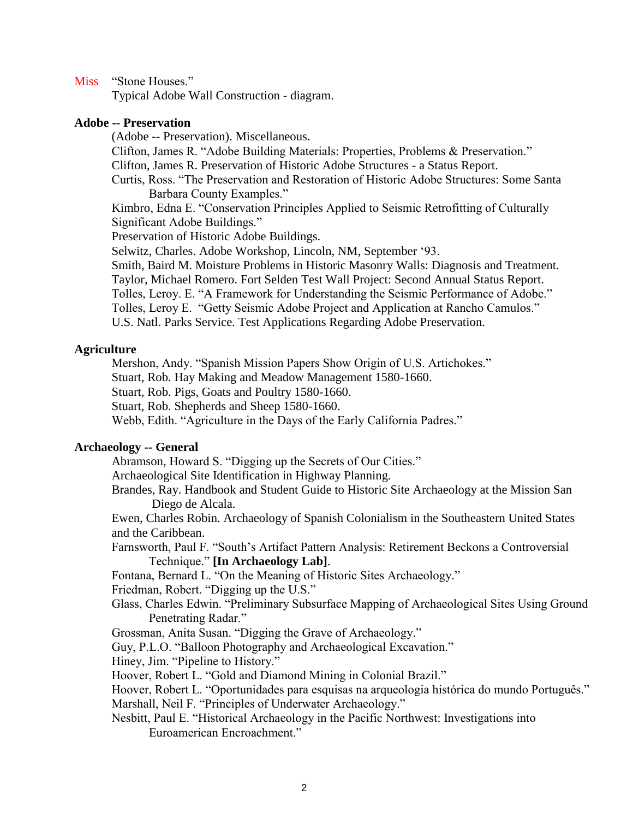Miss "Stone Houses."

Typical Adobe Wall Construction - diagram.

# **Adobe -- Preservation**

(Adobe -- Preservation). Miscellaneous. Clifton, James R. "Adobe Building Materials: Properties, Problems & Preservation." Clifton, James R. Preservation of Historic Adobe Structures - a Status Report. Curtis, Ross. "The Preservation and Restoration of Historic Adobe Structures: Some Santa Barbara County Examples." Kimbro, Edna E. "Conservation Principles Applied to Seismic Retrofitting of Culturally Significant Adobe Buildings." Preservation of Historic Adobe Buildings. Selwitz, Charles. Adobe Workshop, Lincoln, NM, September '93. Smith, Baird M. Moisture Problems in Historic Masonry Walls: Diagnosis and Treatment. Taylor, Michael Romero. Fort Selden Test Wall Project: Second Annual Status Report. Tolles, Leroy. E. "A Framework for Understanding the Seismic Performance of Adobe." Tolles, Leroy E. "Getty Seismic Adobe Project and Application at Rancho Camulos." U.S. Natl. Parks Service. Test Applications Regarding Adobe Preservation.

# **Agriculture**

Mershon, Andy. "Spanish Mission Papers Show Origin of U.S. Artichokes."

Stuart, Rob. Hay Making and Meadow Management 1580-1660.

Stuart, Rob. Pigs, Goats and Poultry 1580-1660.

Stuart, Rob. Shepherds and Sheep 1580-1660.

Webb, Edith. "Agriculture in the Days of the Early California Padres."

# **Archaeology -- General**

Abramson, Howard S. "Digging up the Secrets of Our Cities."

Archaeological Site Identification in Highway Planning.

Brandes, Ray. Handbook and Student Guide to Historic Site Archaeology at the Mission San Diego de Alcala.

Ewen, Charles Robin. Archaeology of Spanish Colonialism in the Southeastern United States and the Caribbean.

Farnsworth, Paul F. "South's Artifact Pattern Analysis: Retirement Beckons a Controversial Technique." **[In Archaeology Lab]**.

Fontana, Bernard L. "On the Meaning of Historic Sites Archaeology."

Friedman, Robert. "Digging up the U.S."

Glass, Charles Edwin. "Preliminary Subsurface Mapping of Archaeological Sites Using Ground Penetrating Radar."

Grossman, Anita Susan. "Digging the Grave of Archaeology."

Guy, P.L.O. "Balloon Photography and Archaeological Excavation."

Hiney, Jim. "Pipeline to History."

Hoover, Robert L. "Gold and Diamond Mining in Colonial Brazil."

Hoover, Robert L. "Oportunidades para esquisas na arqueologia histórica do mundo Português." Marshall, Neil F. "Principles of Underwater Archaeology."

Nesbitt, Paul E. "Historical Archaeology in the Pacific Northwest: Investigations into Euroamerican Encroachment."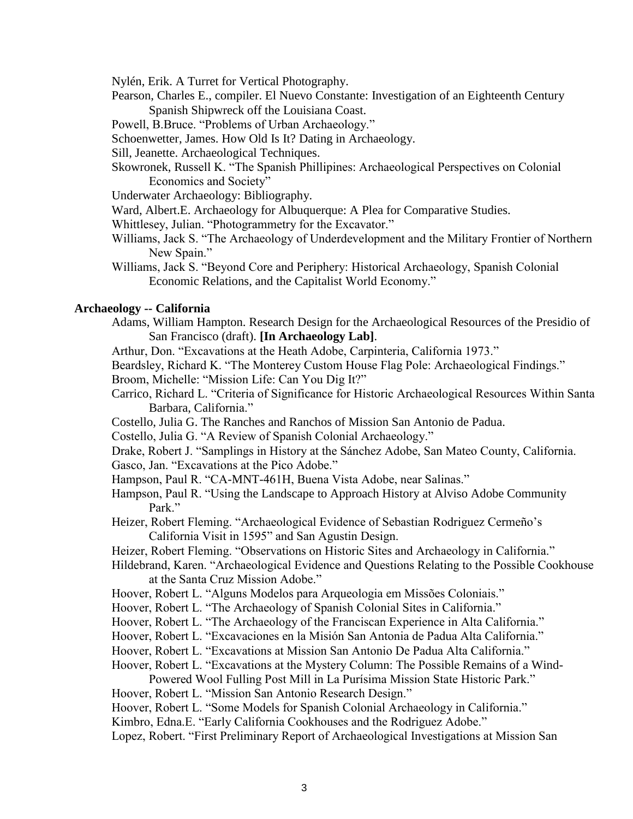Nylén, Erik. A Turret for Vertical Photography.

- Pearson, Charles E., compiler. El Nuevo Constante: Investigation of an Eighteenth Century Spanish Shipwreck off the Louisiana Coast.
- Powell, B.Bruce. "Problems of Urban Archaeology."
- Schoenwetter, James. How Old Is It? Dating in Archaeology.
- Sill, Jeanette. Archaeological Techniques.
- Skowronek, Russell K. "The Spanish Phillipines: Archaeological Perspectives on Colonial Economics and Society"
- Underwater Archaeology: Bibliography.
- Ward, Albert.E. Archaeology for Albuquerque: A Plea for Comparative Studies.
- Whittlesey, Julian. "Photogrammetry for the Excavator."
- Williams, Jack S. "The Archaeology of Underdevelopment and the Military Frontier of Northern New Spain."
- Williams, Jack S. "Beyond Core and Periphery: Historical Archaeology, Spanish Colonial Economic Relations, and the Capitalist World Economy."

#### **Archaeology -- California**

- Adams, William Hampton. Research Design for the Archaeological Resources of the Presidio of San Francisco (draft). **[In Archaeology Lab]**.
- Arthur, Don. "Excavations at the Heath Adobe, Carpinteria, California 1973."
- Beardsley, Richard K. "The Monterey Custom House Flag Pole: Archaeological Findings."
- Broom, Michelle: "Mission Life: Can You Dig It?"
- Carrico, Richard L. "Criteria of Significance for Historic Archaeological Resources Within Santa Barbara, California."
- Costello, Julia G. The Ranches and Ranchos of Mission San Antonio de Padua.
- Costello, Julia G. "A Review of Spanish Colonial Archaeology."
- Drake, Robert J. "Samplings in History at the Sánchez Adobe, San Mateo County, California. Gasco, Jan. "Excavations at the Pico Adobe."
- Hampson, Paul R. "CA-MNT-461H, Buena Vista Adobe, near Salinas."
- Hampson, Paul R. "Using the Landscape to Approach History at Alviso Adobe Community Park."
- Heizer, Robert Fleming. "Archaeological Evidence of Sebastian Rodriguez Cermeño's California Visit in 1595" and San Agustin Design.
- Heizer, Robert Fleming. "Observations on Historic Sites and Archaeology in California."
- Hildebrand, Karen. "Archaeological Evidence and Questions Relating to the Possible Cookhouse at the Santa Cruz Mission Adobe."
- Hoover, Robert L. "Alguns Modelos para Arqueologia em Missões Coloniais."
- Hoover, Robert L. "The Archaeology of Spanish Colonial Sites in California."
- Hoover, Robert L. "The Archaeology of the Franciscan Experience in Alta California."
- Hoover, Robert L. "Excavaciones en la Misión San Antonia de Padua Alta California."
- Hoover, Robert L. "Excavations at Mission San Antonio De Padua Alta California."
- Hoover, Robert L. "Excavations at the Mystery Column: The Possible Remains of a Wind-Powered Wool Fulling Post Mill in La Purísima Mission State Historic Park."
- Hoover, Robert L. "Mission San Antonio Research Design."
- Hoover, Robert L. "Some Models for Spanish Colonial Archaeology in California."
- Kimbro, Edna.E. "Early California Cookhouses and the Rodriguez Adobe."
- Lopez, Robert. "First Preliminary Report of Archaeological Investigations at Mission San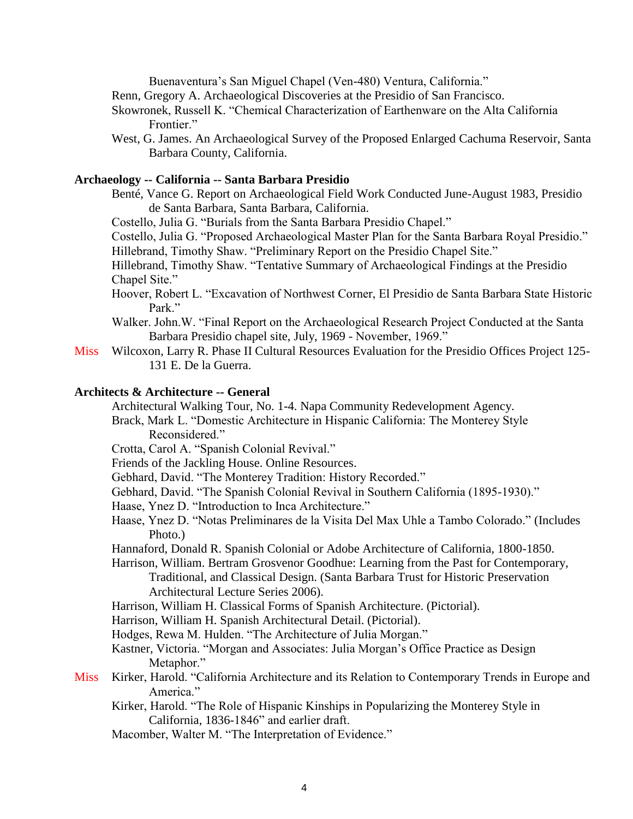Buenaventura's San Miguel Chapel (Ven-480) Ventura, California."

- Renn, Gregory A. Archaeological Discoveries at the Presidio of San Francisco.
- Skowronek, Russell K. "Chemical Characterization of Earthenware on the Alta California Frontier."
- West, G. James. An Archaeological Survey of the Proposed Enlarged Cachuma Reservoir, Santa Barbara County, California.

# **Archaeology -- California -- Santa Barbara Presidio**

Benté, Vance G. Report on Archaeological Field Work Conducted June-August 1983, Presidio de Santa Barbara, Santa Barbara, California.

Costello, Julia G. "Burials from the Santa Barbara Presidio Chapel."

Costello, Julia G. "Proposed Archaeological Master Plan for the Santa Barbara Royal Presidio." Hillebrand, Timothy Shaw. "Preliminary Report on the Presidio Chapel Site."

Hillebrand, Timothy Shaw. "Tentative Summary of Archaeological Findings at the Presidio Chapel Site."

- Hoover, Robert L. "Excavation of Northwest Corner, El Presidio de Santa Barbara State Historic Park"
- Walker. John.W. "Final Report on the Archaeological Research Project Conducted at the Santa Barbara Presidio chapel site, July, 1969 - November, 1969."
- Miss Wilcoxon, Larry R. Phase II Cultural Resources Evaluation for the Presidio Offices Project 125- 131 E. De la Guerra.

# **Architects & Architecture -- General**

Architectural Walking Tour, No. 1-4. Napa Community Redevelopment Agency.

- Brack, Mark L. "Domestic Architecture in Hispanic California: The Monterey Style Reconsidered."
- Crotta, Carol A. "Spanish Colonial Revival."
- Friends of the Jackling House. Online Resources.
- Gebhard, David. "The Monterey Tradition: History Recorded."
- Gebhard, David. "The Spanish Colonial Revival in Southern California (1895-1930)."
- Haase, Ynez D. "Introduction to Inca Architecture."
- Haase, Ynez D. "Notas Preliminares de la Visita Del Max Uhle a Tambo Colorado." (Includes Photo.)
- Hannaford, Donald R. Spanish Colonial or Adobe Architecture of California, 1800-1850.

Harrison, William. Bertram Grosvenor Goodhue: Learning from the Past for Contemporary, Traditional, and Classical Design. (Santa Barbara Trust for Historic Preservation Architectural Lecture Series 2006).

Harrison, William H. Classical Forms of Spanish Architecture. (Pictorial).

- Harrison, William H. Spanish Architectural Detail. (Pictorial).
- Hodges, Rewa M. Hulden. "The Architecture of Julia Morgan."
- Kastner, Victoria. "Morgan and Associates: Julia Morgan's Office Practice as Design Metaphor."
- Miss Kirker, Harold. "California Architecture and its Relation to Contemporary Trends in Europe and America."
	- Kirker, Harold. "The Role of Hispanic Kinships in Popularizing the Monterey Style in California, 1836-1846" and earlier draft.
	- Macomber, Walter M. "The Interpretation of Evidence."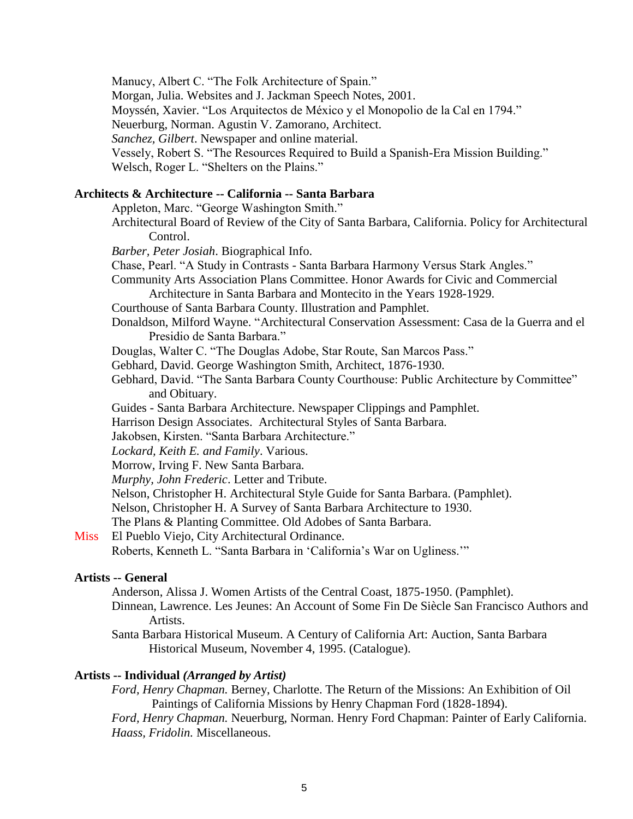Manucy, Albert C. "The Folk Architecture of Spain."

Morgan, Julia. Websites and J. Jackman Speech Notes, 2001.

Moyssén, Xavier. "Los Arquitectos de México y el Monopolio de la Cal en 1794."

Neuerburg, Norman. Agustin V. Zamorano, Architect.

*Sanchez, Gilbert*. Newspaper and online material.

Vessely, Robert S. "The Resources Required to Build a Spanish-Era Mission Building."

Welsch, Roger L. "Shelters on the Plains."

# **Architects & Architecture -- California -- Santa Barbara**

Appleton, Marc. "George Washington Smith."

Architectural Board of Review of the City of Santa Barbara, California. Policy for Architectural Control.

*Barber, Peter Josiah*. Biographical Info.

Chase, Pearl. "A Study in Contrasts - Santa Barbara Harmony Versus Stark Angles."

Community Arts Association Plans Committee. Honor Awards for Civic and Commercial Architecture in Santa Barbara and Montecito in the Years 1928-1929.

Courthouse of Santa Barbara County. Illustration and Pamphlet.

Donaldson, Milford Wayne. "Architectural Conservation Assessment: Casa de la Guerra and el Presidio de Santa Barbara."

Douglas, Walter C. "The Douglas Adobe, Star Route, San Marcos Pass."

Gebhard, David. George Washington Smith, Architect, 1876-1930.

Gebhard, David. "The Santa Barbara County Courthouse: Public Architecture by Committee" and Obituary.

Guides - Santa Barbara Architecture. Newspaper Clippings and Pamphlet.

Harrison Design Associates. Architectural Styles of Santa Barbara.

Jakobsen, Kirsten. "Santa Barbara Architecture."

*Lockard, Keith E. and Family*. Various.

Morrow, Irving F. New Santa Barbara.

*Murphy, John Frederic*. Letter and Tribute.

Nelson, Christopher H. Architectural Style Guide for Santa Barbara. (Pamphlet).

Nelson, Christopher H. A Survey of Santa Barbara Architecture to 1930.

The Plans & Planting Committee. Old Adobes of Santa Barbara.

Miss El Pueblo Viejo, City Architectural Ordinance.

Roberts, Kenneth L. "Santa Barbara in 'California's War on Ugliness.'"

## **Artists -- General**

Anderson, Alissa J. Women Artists of the Central Coast, 1875-1950. (Pamphlet).

Dinnean, Lawrence. Les Jeunes: An Account of Some Fin De Siècle San Francisco Authors and Artists.

Santa Barbara Historical Museum. A Century of California Art: Auction, Santa Barbara Historical Museum, November 4, 1995. (Catalogue).

## **Artists -- Individual** *(Arranged by Artist)*

*Ford, Henry Chapman.* Berney, Charlotte. The Return of the Missions: An Exhibition of Oil Paintings of California Missions by Henry Chapman Ford (1828-1894).

*Ford, Henry Chapman.* Neuerburg, Norman. Henry Ford Chapman: Painter of Early California. *Haass, Fridolin.* Miscellaneous.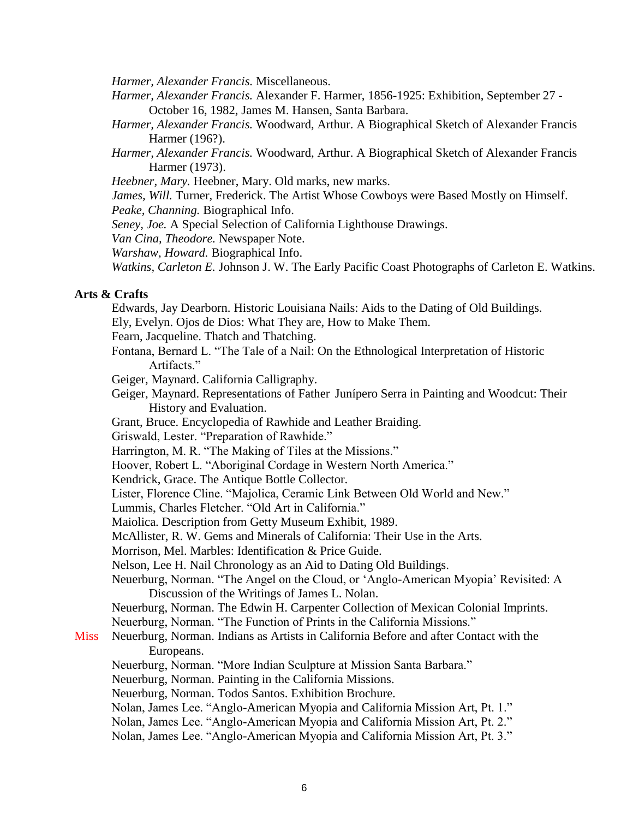*Harmer, Alexander Francis.* Miscellaneous.

- *Harmer, Alexander Francis.* Alexander F. Harmer, 1856-1925: Exhibition, September 27 October 16, 1982, James M. Hansen, Santa Barbara.
- *Harmer, Alexander Francis.* Woodward, Arthur. A Biographical Sketch of Alexander Francis Harmer (196?).
- *Harmer, Alexander Francis.* Woodward, Arthur. A Biographical Sketch of Alexander Francis Harmer (1973).
- *Heebner, Mary.* Heebner, Mary. Old marks, new marks.
- *James, Will.* Turner, Frederick. The Artist Whose Cowboys were Based Mostly on Himself.

*Peake, Channing.* Biographical Info.

*Seney, Joe.* A Special Selection of California Lighthouse Drawings.

*Van Cina, Theodore.* Newspaper Note.

*Warshaw, Howard.* Biographical Info.

*Watkins, Carleton E.* Johnson J. W. The Early Pacific Coast Photographs of Carleton E. Watkins.

## **Arts & Crafts**

Edwards, Jay Dearborn. Historic Louisiana Nails: Aids to the Dating of Old Buildings.

Ely, Evelyn. Ojos de Dios: What They are, How to Make Them.

Fearn, Jacqueline. Thatch and Thatching.

- Fontana, Bernard L. "The Tale of a Nail: On the Ethnological Interpretation of Historic Artifacts."
- Geiger, Maynard. California Calligraphy.
- Geiger, Maynard. Representations of Father Junípero Serra in Painting and Woodcut: Their History and Evaluation.
- Grant, Bruce. Encyclopedia of Rawhide and Leather Braiding.

Griswald, Lester. "Preparation of Rawhide."

- Harrington, M. R. "The Making of Tiles at the Missions."
- Hoover, Robert L. "Aboriginal Cordage in Western North America."
- Kendrick, Grace. The Antique Bottle Collector.

Lister, Florence Cline. "Majolica, Ceramic Link Between Old World and New."

Lummis, Charles Fletcher. "Old Art in California."

Maiolica. Description from Getty Museum Exhibit, 1989.

McAllister, R. W. Gems and Minerals of California: Their Use in the Arts.

Morrison, Mel. Marbles: Identification & Price Guide.

Nelson, Lee H. Nail Chronology as an Aid to Dating Old Buildings.

Neuerburg, Norman. "The Angel on the Cloud, or 'Anglo-American Myopia' Revisited: A Discussion of the Writings of James L. Nolan.

Neuerburg, Norman. The Edwin H. Carpenter Collection of Mexican Colonial Imprints.

Neuerburg, Norman. "The Function of Prints in the California Missions."

# Miss Neuerburg, Norman. Indians as Artists in California Before and after Contact with the Europeans.

Neuerburg, Norman. "More Indian Sculpture at Mission Santa Barbara."

Neuerburg, Norman. Painting in the California Missions.

Neuerburg, Norman. Todos Santos. Exhibition Brochure.

Nolan, James Lee. "Anglo-American Myopia and California Mission Art, Pt. 1."

Nolan, James Lee. "Anglo-American Myopia and California Mission Art, Pt. 2."

Nolan, James Lee. "Anglo-American Myopia and California Mission Art, Pt. 3."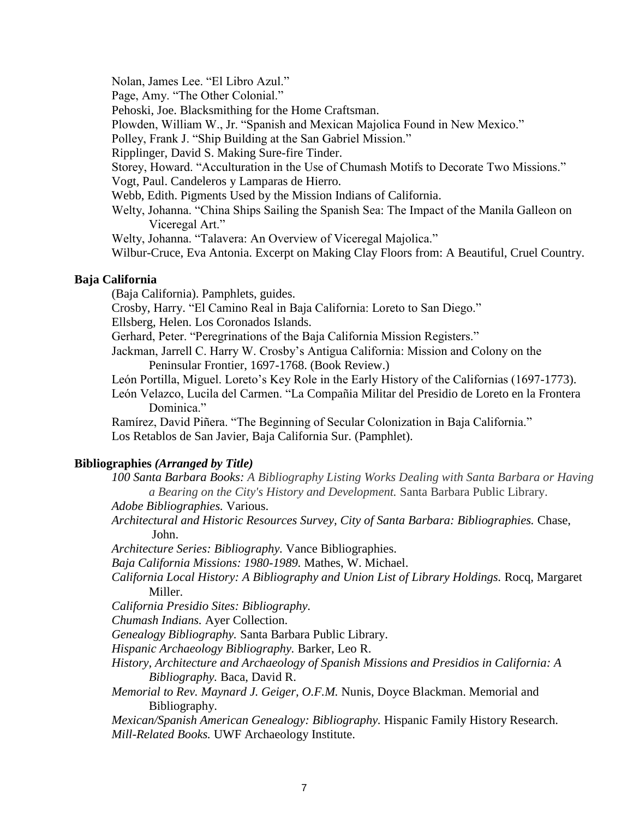Nolan, James Lee. "El Libro Azul."

Page, Amy. "The Other Colonial."

Pehoski, Joe. Blacksmithing for the Home Craftsman.

Plowden, William W., Jr. "Spanish and Mexican Majolica Found in New Mexico."

Polley, Frank J. "Ship Building at the San Gabriel Mission."

Ripplinger, David S. Making Sure-fire Tinder.

Storey, Howard. "Acculturation in the Use of Chumash Motifs to Decorate Two Missions."

Vogt, Paul. Candeleros y Lamparas de Hierro.

Webb, Edith. Pigments Used by the Mission Indians of California.

Welty, Johanna. "China Ships Sailing the Spanish Sea: The Impact of the Manila Galleon on Viceregal Art."

Welty, Johanna. "Talavera: An Overview of Viceregal Majolica."

Wilbur-Cruce, Eva Antonia. Excerpt on Making Clay Floors from: A Beautiful, Cruel Country.

# **Baja California**

(Baja California). Pamphlets, guides.

Crosby, Harry. "El Camino Real in Baja California: Loreto to San Diego."

Ellsberg, Helen. Los Coronados Islands.

Gerhard, Peter. "Peregrinations of the Baja California Mission Registers."

- Jackman, Jarrell C. Harry W. Crosby's Antigua California: Mission and Colony on the Peninsular Frontier, 1697-1768. (Book Review.)
- León Portilla, Miguel. Loreto's Key Role in the Early History of the Californias (1697-1773).
- León Velazco, Lucila del Carmen. "La Compañia Militar del Presidio de Loreto en la Frontera Dominica."

Ramírez, David Piñera. "The Beginning of Secular Colonization in Baja California." Los Retablos de San Javier, Baja California Sur. (Pamphlet).

# **Bibliographies** *(Arranged by Title)*

*100 Santa Barbara Books: A Bibliography Listing Works Dealing with Santa Barbara or Having a Bearing on the City's History and Development.* Santa Barbara Public Library.

*Adobe Bibliographies.* Various.

*Architectural and Historic Resources Survey, City of Santa Barbara: Bibliographies.* Chase, John.

*Architecture Series: Bibliography.* Vance Bibliographies.

*Baja California Missions: 1980-1989.* Mathes, W. Michael.

*California Local History: A Bibliography and Union List of Library Holdings.* Rocq, Margaret Miller.

*California Presidio Sites: Bibliography.*

*Chumash Indians.* Ayer Collection.

*Genealogy Bibliography.* Santa Barbara Public Library.

*Hispanic Archaeology Bibliography.* Barker, Leo R.

*History, Architecture and Archaeology of Spanish Missions and Presidios in California: A Bibliography.* Baca, David R.

*Memorial to Rev. Maynard J. Geiger, O.F.M.* Nunis, Doyce Blackman. Memorial and Bibliography.

*Mexican/Spanish American Genealogy: Bibliography.* Hispanic Family History Research. *Mill-Related Books.* UWF Archaeology Institute.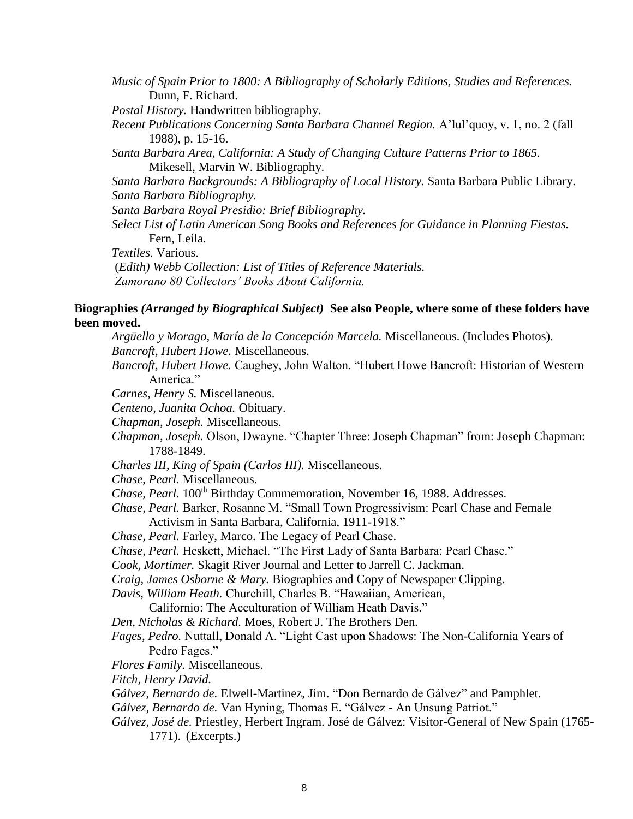*Music of Spain Prior to 1800: A Bibliography of Scholarly Editions, Studies and References.* Dunn, F. Richard.

*Postal History.* Handwritten bibliography.

*Recent Publications Concerning Santa Barbara Channel Region.* A'lul'quoy, v. 1, no. 2 (fall 1988), p. 15-16.

*Santa Barbara Area, California: A Study of Changing Culture Patterns Prior to 1865.* Mikesell, Marvin W. Bibliography.

*Santa Barbara Backgrounds: A Bibliography of Local History.* Santa Barbara Public Library. *Santa Barbara Bibliography.*

*Santa Barbara Royal Presidio: Brief Bibliography.*

*Select List of Latin American Song Books and References for Guidance in Planning Fiestas.* Fern, Leila.

*Textiles.* Various.

(*Edith) Webb Collection: List of Titles of Reference Materials. Zamorano 80 Collectors' Books About California.*

# **Biographies** *(Arranged by Biographical Subject)* **See also People, where some of these folders have been moved.**

*Argüello y Morago, María de la Concepción Marcela.* Miscellaneous. (Includes Photos). *Bancroft, Hubert Howe.* Miscellaneous.

*Bancroft, Hubert Howe.* Caughey, John Walton. "Hubert Howe Bancroft: Historian of Western America."

*Carnes, Henry S.* Miscellaneous.

*Centeno, Juanita Ochoa.* Obituary.

*Chapman, Joseph.* Miscellaneous.

*Chapman, Joseph.* Olson, Dwayne. "Chapter Three: Joseph Chapman" from: Joseph Chapman: 1788-1849.

*Charles III, King of Spain (Carlos III).* Miscellaneous.

*Chase, Pearl.* Miscellaneous.

*Chase, Pearl.* 100<sup>th</sup> Birthday Commemoration, November 16, 1988. Addresses.

*Chase, Pearl.* Barker, Rosanne M. "Small Town Progressivism: Pearl Chase and Female Activism in Santa Barbara, California, 1911-1918."

- *Chase, Pearl.* Farley, Marco. The Legacy of Pearl Chase.
- *Chase, Pearl.* Heskett, Michael. "The First Lady of Santa Barbara: Pearl Chase."

*Cook, Mortimer.* Skagit River Journal and Letter to Jarrell C. Jackman.

*Craig, James Osborne & Mary.* Biographies and Copy of Newspaper Clipping.

*Davis, William Heath.* Churchill, Charles B. "Hawaiian, American,

Californio: The Acculturation of William Heath Davis."

*Den, Nicholas & Richard.* Moes, Robert J. The Brothers Den.

*Fages, Pedro.* Nuttall, Donald A. "Light Cast upon Shadows: The Non-California Years of Pedro Fages."

*Flores Family.* Miscellaneous.

*Fitch, Henry David.*

*Gálvez, Bernardo de.* Elwell-Martinez, Jim. "Don Bernardo de Gálvez" and Pamphlet.

- *Gálvez, Bernardo de.* Van Hyning, Thomas E. "Gálvez An Unsung Patriot."
- *Gálvez, José de.* Priestley, Herbert Ingram. José de Gálvez: Visitor-General of New Spain (1765- 1771). (Excerpts.)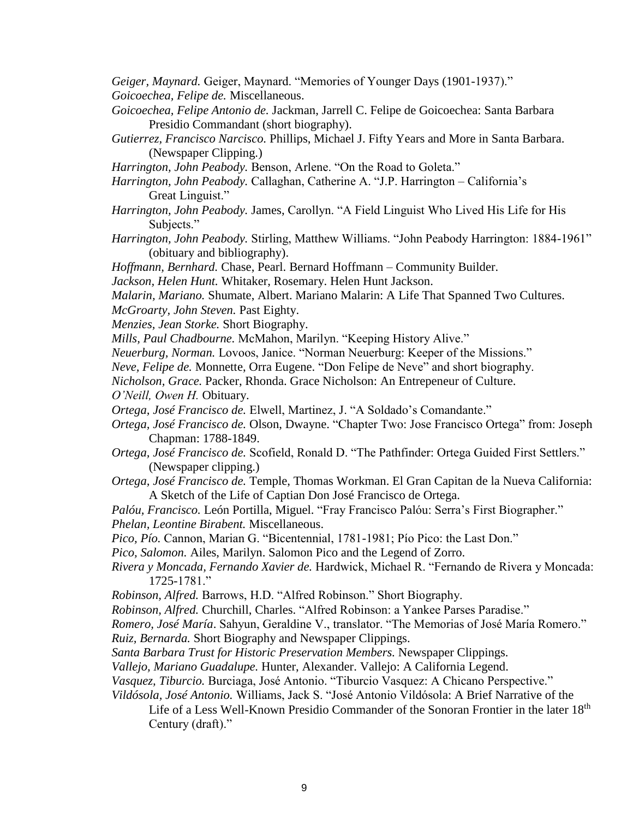*Geiger, Maynard.* Geiger, Maynard. "Memories of Younger Days (1901-1937)." *Goicoechea, Felipe de.* Miscellaneous.

- *Goicoechea, Felipe Antonio de.* Jackman, Jarrell C. Felipe de Goicoechea: Santa Barbara Presidio Commandant (short biography).
- *Gutierrez, Francisco Narcisco.* Phillips, Michael J. Fifty Years and More in Santa Barbara. (Newspaper Clipping.)
- *Harrington, John Peabody.* Benson, Arlene. "On the Road to Goleta."
- *Harrington, John Peabody.* Callaghan, Catherine A. "J.P. Harrington California's Great Linguist."
- *Harrington, John Peabody.* James, Carollyn. "A Field Linguist Who Lived His Life for His Subjects."
- *Harrington, John Peabody.* Stirling, Matthew Williams. "John Peabody Harrington: 1884-1961" (obituary and bibliography).
- *Hoffmann, Bernhard.* Chase, Pearl. Bernard Hoffmann Community Builder.

*Jackson, Helen Hunt.* Whitaker, Rosemary. Helen Hunt Jackson.

- *Malarin, Mariano.* Shumate, Albert. Mariano Malarin: A Life That Spanned Two Cultures.
- *McGroarty, John Steven.* Past Eighty.
- *Menzies, Jean Storke.* Short Biography.
- *Mills, Paul Chadbourne.* McMahon, Marilyn. "Keeping History Alive."

*Neuerburg, Norman.* Lovoos, Janice. "Norman Neuerburg: Keeper of the Missions."

*Neve, Felipe de.* Monnette, Orra Eugene. "Don Felipe de Neve" and short biography.

*Nicholson, Grace.* Packer, Rhonda. Grace Nicholson: An Entrepeneur of Culture. *O'Neill, Owen H.* Obituary.

*Ortega, José Francisco de.* Elwell, Martinez, J. "A Soldado's Comandante."

- *Ortega, José Francisco de.* Olson, Dwayne. "Chapter Two: Jose Francisco Ortega" from: Joseph Chapman: 1788-1849.
- *Ortega, José Francisco de.* Scofield, Ronald D. "The Pathfinder: Ortega Guided First Settlers." (Newspaper clipping.)
- *Ortega, José Francisco de.* Temple, Thomas Workman. El Gran Capitan de la Nueva California: A Sketch of the Life of Captian Don José Francisco de Ortega.

*Palóu, Francisco.* León Portilla, Miguel. "Fray Francisco Palóu: Serra's First Biographer."

*Phelan, Leontine Birabent.* Miscellaneous.

*Pico, Pío.* Cannon, Marian G. "Bicentennial, 1781-1981; Pío Pico: the Last Don."

*Pico, Salomon.* Ailes, Marilyn. Salomon Pico and the Legend of Zorro.

*Rivera y Moncada, Fernando Xavier de.* Hardwick, Michael R. "Fernando de Rivera y Moncada: 1725-1781."

*Robinson, Alfred.* Barrows, H.D. "Alfred Robinson." Short Biography.

*Robinson, Alfred.* Churchill, Charles. "Alfred Robinson: a Yankee Parses Paradise."

- *Romero, José María*. Sahyun, Geraldine V., translator. "The Memorias of José María Romero." *Ruiz, Bernarda.* Short Biography and Newspaper Clippings.
- *Santa Barbara Trust for Historic Preservation Members.* Newspaper Clippings.

*Vallejo, Mariano Guadalupe.* Hunter, Alexander. Vallejo: A California Legend.

*Vasquez, Tiburcio.* Burciaga, José Antonio. "Tiburcio Vasquez: A Chicano Perspective."

*Vildósola, José Antonio.* Williams, Jack S. "José Antonio Vildósola: A Brief Narrative of the

Life of a Less Well-Known Presidio Commander of the Sonoran Frontier in the later 18<sup>th</sup> Century (draft)."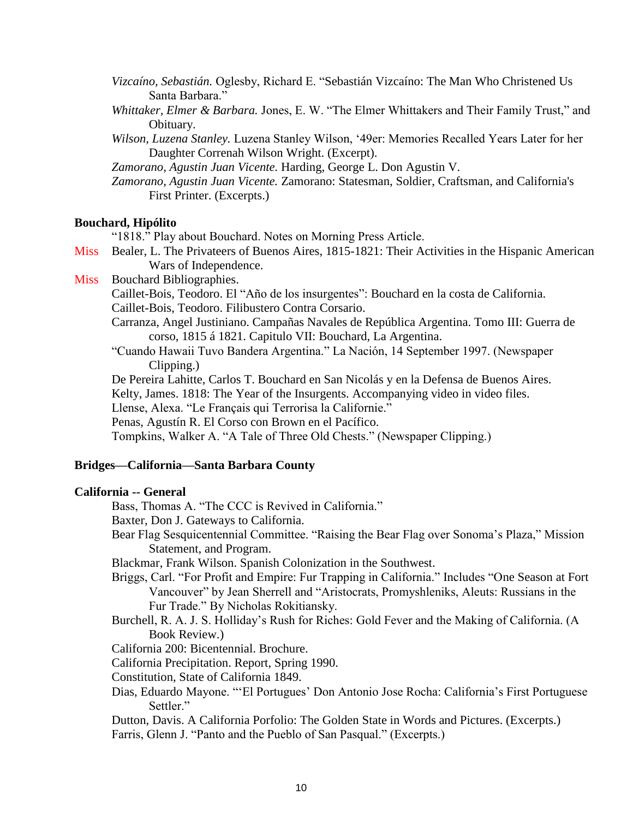- *Vizcaíno, Sebastián.* Oglesby, Richard E. "Sebastián Vizcaíno: The Man Who Christened Us Santa Barbara."
- *Whittaker, Elmer & Barbara.* Jones, E. W. "The Elmer Whittakers and Their Family Trust," and Obituary.
- *Wilson, Luzena Stanley.* Luzena Stanley Wilson, '49er: Memories Recalled Years Later for her Daughter Correnah Wilson Wright. (Excerpt).
- *Zamorano, Agustin Juan Vicente.* Harding, George L. Don Agustin V.
- *Zamorano, Agustin Juan Vicente.* Zamorano: Statesman, Soldier, Craftsman, and California's First Printer. (Excerpts.)

## **Bouchard, Hipólito**

"1818." Play about Bouchard. Notes on Morning Press Article.

- Miss Bealer, L. The Privateers of Buenos Aires, 1815-1821: Their Activities in the Hispanic American Wars of Independence.
- Miss Bouchard Bibliographies.
	- Caillet-Bois, Teodoro. El "Año de los insurgentes": Bouchard en la costa de California. Caillet-Bois, Teodoro. Filibustero Contra Corsario.
	- Carranza, Angel Justiniano. Campañas Navales de República Argentina. Tomo III: Guerra de corso, 1815 á 1821. Capitulo VII: Bouchard, La Argentina.
	- "Cuando Hawaii Tuvo Bandera Argentina." La Nación, 14 September 1997. (Newspaper Clipping.)
	- De Pereira Lahitte, Carlos T. Bouchard en San Nicolás y en la Defensa de Buenos Aires.

Kelty, James. 1818: The Year of the Insurgents. Accompanying video in video files.

Llense, Alexa. "Le Français qui Terrorisa la Californie."

Penas, Agustín R. El Corso con Brown en el Pacífico.

Tompkins, Walker A. "A Tale of Three Old Chests." (Newspaper Clipping.)

## **Bridges—California—Santa Barbara County**

## **California -- General**

Bass, Thomas A. "The CCC is Revived in California."

Baxter, Don J. Gateways to California.

Bear Flag Sesquicentennial Committee. "Raising the Bear Flag over Sonoma's Plaza," Mission Statement, and Program.

Blackmar, Frank Wilson. Spanish Colonization in the Southwest.

- Briggs, Carl. "For Profit and Empire: Fur Trapping in California." Includes "One Season at Fort Vancouver" by Jean Sherrell and "Aristocrats, Promyshleniks, Aleuts: Russians in the Fur Trade." By Nicholas Rokitiansky.
- Burchell, R. A. J. S. Holliday's Rush for Riches: Gold Fever and the Making of California. (A Book Review.)

California 200: Bicentennial. Brochure.

California Precipitation. Report, Spring 1990.

Constitution, State of California 1849.

- Dias, Eduardo Mayone. "'El Portugues' Don Antonio Jose Rocha: California's First Portuguese Settler."
- Dutton, Davis. A California Porfolio: The Golden State in Words and Pictures. (Excerpts.) Farris, Glenn J. "Panto and the Pueblo of San Pasqual." (Excerpts.)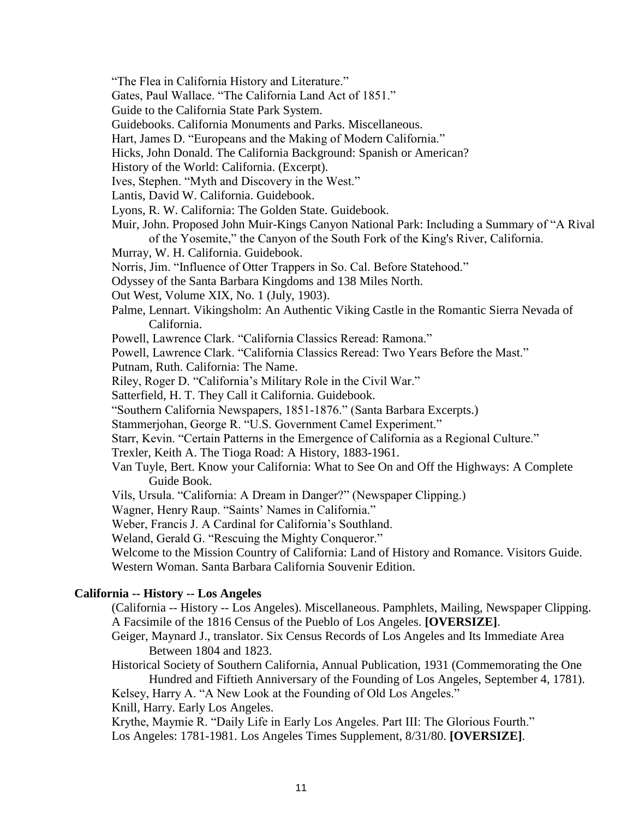"The Flea in California History and Literature."

Gates, Paul Wallace. "The California Land Act of 1851."

Guide to the California State Park System.

Guidebooks. California Monuments and Parks. Miscellaneous.

Hart, James D. "Europeans and the Making of Modern California."

Hicks, John Donald. The California Background: Spanish or American?

History of the World: California. (Excerpt).

Ives, Stephen. "Myth and Discovery in the West."

Lantis, David W. California. Guidebook.

Lyons, R. W. California: The Golden State. Guidebook.

Muir, John. Proposed John Muir-Kings Canyon National Park: Including a Summary of "A Rival of the Yosemite," the Canyon of the South Fork of the King's River, California.

Murray, W. H. California. Guidebook.

Norris, Jim. "Influence of Otter Trappers in So. Cal. Before Statehood."

Odyssey of the Santa Barbara Kingdoms and 138 Miles North.

Out West, Volume XIX, No. 1 (July, 1903).

- Palme, Lennart. Vikingsholm: An Authentic Viking Castle in the Romantic Sierra Nevada of California.
- Powell, Lawrence Clark. "California Classics Reread: Ramona."

Powell, Lawrence Clark. "California Classics Reread: Two Years Before the Mast."

Putnam, Ruth. California: The Name.

Riley, Roger D. "California's Military Role in the Civil War."

Satterfield, H. T. They Call it California. Guidebook.

"Southern California Newspapers, 1851-1876." (Santa Barbara Excerpts.)

Stammerjohan, George R. "U.S. Government Camel Experiment."

Starr, Kevin. "Certain Patterns in the Emergence of California as a Regional Culture."

Trexler, Keith A. The Tioga Road: A History, 1883-1961.

Van Tuyle, Bert. Know your California: What to See On and Off the Highways: A Complete Guide Book.

Vils, Ursula. "California: A Dream in Danger?" (Newspaper Clipping.)

Wagner, Henry Raup. "Saints' Names in California."

Weber, Francis J. A Cardinal for California's Southland.

Weland, Gerald G. "Rescuing the Mighty Conqueror."

Welcome to the Mission Country of California: Land of History and Romance. Visitors Guide. Western Woman. Santa Barbara California Souvenir Edition.

# **California -- History -- Los Angeles**

(California -- History -- Los Angeles). Miscellaneous. Pamphlets, Mailing, Newspaper Clipping. A Facsimile of the 1816 Census of the Pueblo of Los Angeles. **[OVERSIZE]**.

Geiger, Maynard J., translator. Six Census Records of Los Angeles and Its Immediate Area Between 1804 and 1823.

Historical Society of Southern California, Annual Publication, 1931 (Commemorating the One Hundred and Fiftieth Anniversary of the Founding of Los Angeles, September 4, 1781).

Kelsey, Harry A. "A New Look at the Founding of Old Los Angeles."

Knill, Harry. Early Los Angeles.

Krythe, Maymie R. "Daily Life in Early Los Angeles. Part III: The Glorious Fourth." Los Angeles: 1781-1981. Los Angeles Times Supplement, 8/31/80. **[OVERSIZE]**.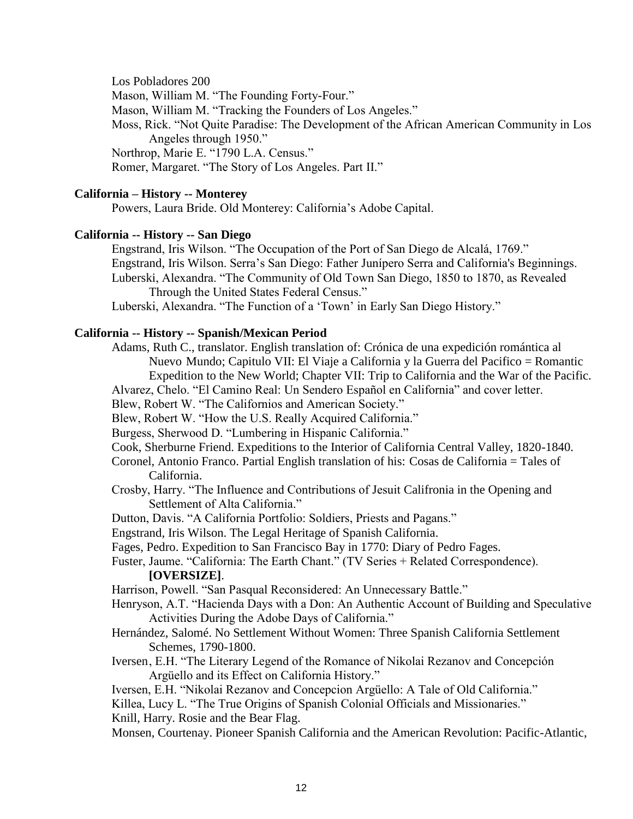Los Pobladores 200

Mason, William M. "The Founding Forty-Four."

Mason, William M. "Tracking the Founders of Los Angeles."

Moss, Rick. "Not Quite Paradise: The Development of the African American Community in Los Angeles through 1950."

Northrop, Marie E. "1790 L.A. Census."

Romer, Margaret. "The Story of Los Angeles. Part II."

# **California – History -- Monterey**

Powers, Laura Bride. Old Monterey: California's Adobe Capital.

# **California -- History -- San Diego**

Engstrand, Iris Wilson. "The Occupation of the Port of San Diego de Alcalá, 1769." Engstrand, Iris Wilson. Serra's San Diego: Father Junípero Serra and California's Beginnings. Luberski, Alexandra. "The Community of Old Town San Diego, 1850 to 1870, as Revealed Through the United States Federal Census."

Luberski, Alexandra. "The Function of a 'Town' in Early San Diego History."

# **California -- History -- Spanish/Mexican Period**

Adams, Ruth C., translator. English translation of: Crónica de una expedición romántica al Nuevo Mundo; Capitulo VII: El Viaje a California y la Guerra del Pacifico = Romantic

Expedition to the New World; Chapter VII: Trip to California and the War of the Pacific.

Alvarez, Chelo. "El Camino Real: Un Sendero Español en California" and cover letter.

Blew, Robert W. "The Californios and American Society."

Blew, Robert W. "How the U.S. Really Acquired California."

Burgess, Sherwood D. "Lumbering in Hispanic California."

- Cook, Sherburne Friend. Expeditions to the Interior of California Central Valley, 1820-1840.
- Coronel, Antonio Franco. Partial English translation of his: Cosas de California = Tales of California.
- Crosby, Harry. "The Influence and Contributions of Jesuit Califronia in the Opening and Settlement of Alta California."
- Dutton, Davis. "A California Portfolio: Soldiers, Priests and Pagans."

Engstrand, Iris Wilson. The Legal Heritage of Spanish California.

Fages, Pedro. Expedition to San Francisco Bay in 1770: Diary of Pedro Fages.

Fuster, Jaume. "California: The Earth Chant." (TV Series + Related Correspondence). **[OVERSIZE]**.

Harrison, Powell. "San Pasqual Reconsidered: An Unnecessary Battle."

- Henryson, A.T. "Hacienda Days with a Don: An Authentic Account of Building and Speculative Activities During the Adobe Days of California."
- Hernández, Salomé. No Settlement Without Women: Three Spanish California Settlement Schemes, 1790-1800.
- Iversen, E.H. "The Literary Legend of the Romance of Nikolai Rezanov and Concepción Argüello and its Effect on California History."

Iversen, E.H. "Nikolai Rezanov and Concepcion Argüello: A Tale of Old California."

Killea, Lucy L. "The True Origins of Spanish Colonial Officials and Missionaries."

Knill, Harry. Rosie and the Bear Flag.

Monsen, Courtenay. Pioneer Spanish California and the American Revolution: Pacific-Atlantic,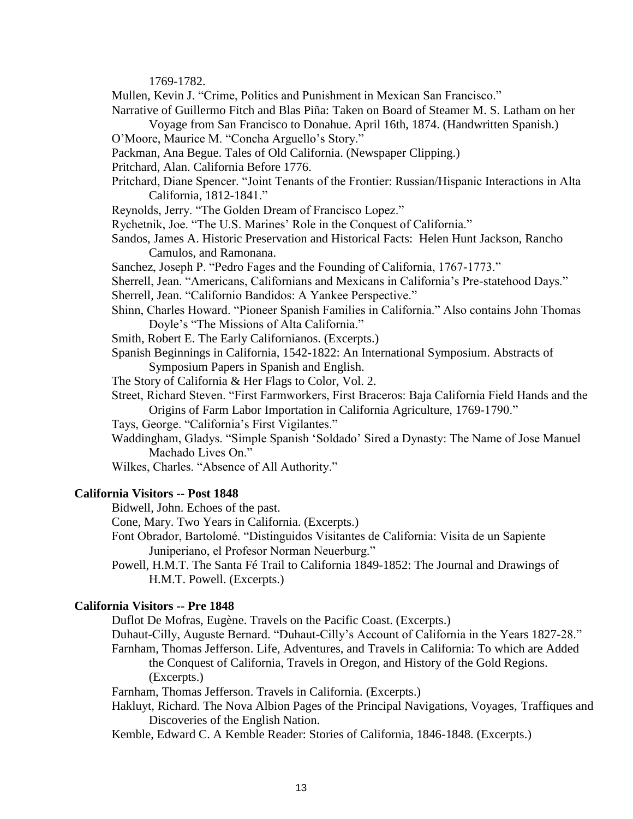1769-1782.

Mullen, Kevin J. "Crime, Politics and Punishment in Mexican San Francisco."

Narrative of Guillermo Fitch and Blas Piña: Taken on Board of Steamer M. S. Latham on her Voyage from San Francisco to Donahue. April 16th, 1874. (Handwritten Spanish.)

- O'Moore, Maurice M. "Concha Arguello's Story."
- Packman, Ana Begue. Tales of Old California. (Newspaper Clipping.)
- Pritchard, Alan. California Before 1776.
- Pritchard, Diane Spencer. "Joint Tenants of the Frontier: Russian/Hispanic Interactions in Alta California, 1812-1841."
- Reynolds, Jerry. "The Golden Dream of Francisco Lopez."
- Rychetnik, Joe. "The U.S. Marines' Role in the Conquest of California."
- Sandos, James A. Historic Preservation and Historical Facts: Helen Hunt Jackson, Rancho Camulos, and Ramonana.
- Sanchez, Joseph P. "Pedro Fages and the Founding of California, 1767-1773."
- Sherrell, Jean. "Americans, Californians and Mexicans in California's Pre-statehood Days."
- Sherrell, Jean. "Californio Bandidos: A Yankee Perspective."
- Shinn, Charles Howard. "Pioneer Spanish Families in California." Also contains John Thomas Doyle's "The Missions of Alta California."
- Smith, Robert E. The Early Californianos. (Excerpts.)
- Spanish Beginnings in California, 1542-1822: An International Symposium. Abstracts of Symposium Papers in Spanish and English.
- The Story of California & Her Flags to Color, Vol. 2.
- Street, Richard Steven. "First Farmworkers, First Braceros: Baja California Field Hands and the Origins of Farm Labor Importation in California Agriculture, 1769-1790."
- Tays, George. "California's First Vigilantes."
- Waddingham, Gladys. "Simple Spanish 'Soldado' Sired a Dynasty: The Name of Jose Manuel Machado Lives On."
- Wilkes, Charles. "Absence of All Authority."

#### **California Visitors -- Post 1848**

Bidwell, John. Echoes of the past.

Cone, Mary. Two Years in California. (Excerpts.)

- Font Obrador, Bartolomé. "Distinguidos Visitantes de California: Visita de un Sapiente Juniperiano, el Profesor Norman Neuerburg."
- Powell, H.M.T. The Santa Fé Trail to California 1849-1852: The Journal and Drawings of H.M.T. Powell. (Excerpts.)

#### **California Visitors -- Pre 1848**

Duflot De Mofras, Eugène. Travels on the Pacific Coast. (Excerpts.)

- Duhaut-Cilly, Auguste Bernard. "Duhaut-Cilly's Account of California in the Years 1827-28."
- Farnham, Thomas Jefferson. Life, Adventures, and Travels in California: To which are Added the Conquest of California, Travels in Oregon, and History of the Gold Regions. (Excerpts.)
- Farnham, Thomas Jefferson. Travels in California. (Excerpts.)
- Hakluyt, Richard. The Nova Albion Pages of the Principal Navigations, Voyages, Traffiques and Discoveries of the English Nation.
- Kemble, Edward C. A Kemble Reader: Stories of California, 1846-1848. (Excerpts.)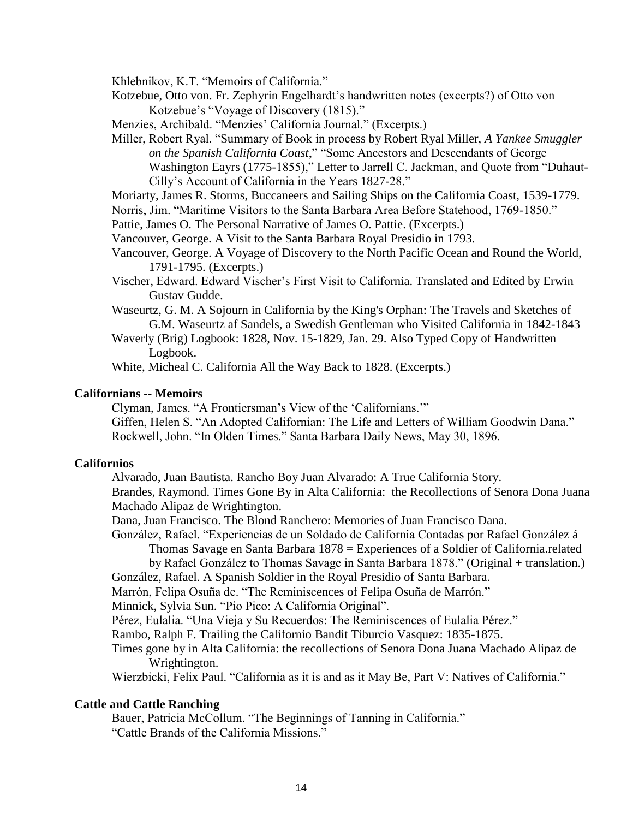Khlebnikov, K.T. "Memoirs of California."

- Kotzebue, Otto von. Fr. Zephyrin Engelhardt's handwritten notes (excerpts?) of Otto von Kotzebue's "Voyage of Discovery (1815)."
- Menzies, Archibald. "Menzies' California Journal." (Excerpts.)
- Miller, Robert Ryal. "Summary of Book in process by Robert Ryal Miller, *A Yankee Smuggler on the Spanish California Coast*," "Some Ancestors and Descendants of George Washington Eayrs (1775-1855)," Letter to Jarrell C. Jackman, and Quote from "Duhaut-Cilly's Account of California in the Years 1827-28."
- Moriarty, James R. Storms, Buccaneers and Sailing Ships on the California Coast, 1539-1779.
- Norris, Jim. "Maritime Visitors to the Santa Barbara Area Before Statehood, 1769-1850."
- Pattie, James O. The Personal Narrative of James O. Pattie. (Excerpts.)
- Vancouver, George. A Visit to the Santa Barbara Royal Presidio in 1793.
- Vancouver, George. A Voyage of Discovery to the North Pacific Ocean and Round the World, 1791-1795. (Excerpts.)
- Vischer, Edward. Edward Vischer's First Visit to California. Translated and Edited by Erwin Gustav Gudde.
- Waseurtz, G. M. A Sojourn in California by the King's Orphan: The Travels and Sketches of G.M. Waseurtz af Sandels, a Swedish Gentleman who Visited California in 1842-1843
- Waverly (Brig) Logbook: 1828, Nov. 15-1829, Jan. 29. Also Typed Copy of Handwritten Logbook.

White, Micheal C. California All the Way Back to 1828. (Excerpts.)

#### **Californians -- Memoirs**

Clyman, James. "A Frontiersman's View of the 'Californians.'"

Giffen, Helen S. "An Adopted Californian: The Life and Letters of William Goodwin Dana." Rockwell, John. "In Olden Times." Santa Barbara Daily News, May 30, 1896.

## **Californios**

Alvarado, Juan Bautista. Rancho Boy Juan Alvarado: A True California Story.

Brandes, Raymond. Times Gone By in Alta California: the Recollections of Senora Dona Juana Machado Alipaz de Wrightington.

Dana, Juan Francisco. The Blond Ranchero: Memories of Juan Francisco Dana.

González, Rafael. "Experiencias de un Soldado de California Contadas por Rafael González á Thomas Savage en Santa Barbara 1878 = Experiences of a Soldier of California.related

by Rafael González to Thomas Savage in Santa Barbara 1878." (Original + translation.)

González, Rafael. A Spanish Soldier in the Royal Presidio of Santa Barbara.

Marrón, Felipa Osuña de. "The Reminiscences of Felipa Osuña de Marrón."

Minnick, Sylvia Sun. "Pio Pico: A California Original".

Pérez, Eulalia. "Una Vieja y Su Recuerdos: The Reminiscences of Eulalia Pérez."

Rambo, Ralph F. Trailing the Californio Bandit Tiburcio Vasquez: 1835-1875.

Times gone by in Alta California: the recollections of Senora Dona Juana Machado Alipaz de Wrightington.

Wierzbicki, Felix Paul. "California as it is and as it May Be, Part V: Natives of California."

## **Cattle and Cattle Ranching**

Bauer, Patricia McCollum. "The Beginnings of Tanning in California." "Cattle Brands of the California Missions."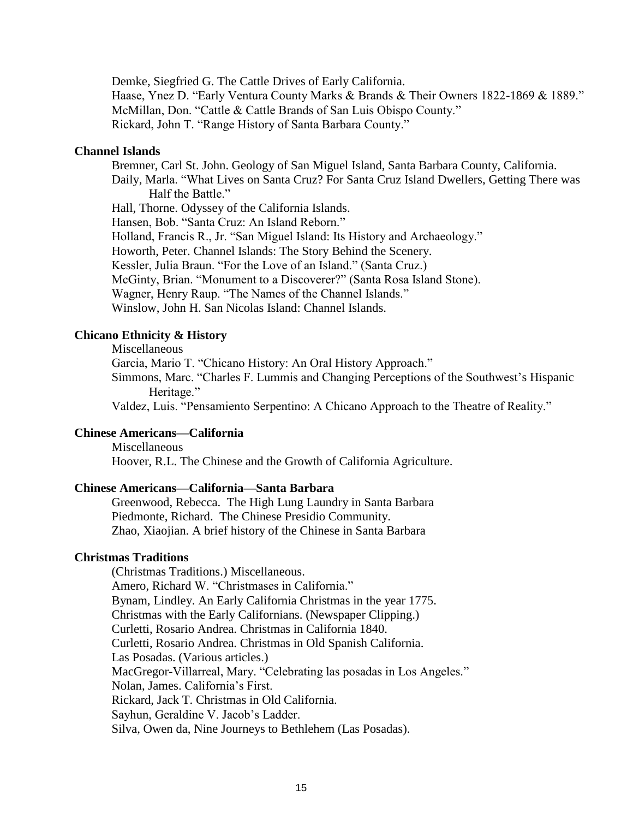Demke, Siegfried G. The Cattle Drives of Early California. Haase, Ynez D. "Early Ventura County Marks & Brands & Their Owners 1822-1869 & 1889." McMillan, Don. "Cattle & Cattle Brands of San Luis Obispo County." Rickard, John T. "Range History of Santa Barbara County."

## **Channel Islands**

Bremner, Carl St. John. Geology of San Miguel Island, Santa Barbara County, California. Daily, Marla. "What Lives on Santa Cruz? For Santa Cruz Island Dwellers, Getting There was Half the Battle." Hall, Thorne. Odyssey of the California Islands. Hansen, Bob. "Santa Cruz: An Island Reborn." Holland, Francis R., Jr. "San Miguel Island: Its History and Archaeology." Howorth, Peter. Channel Islands: The Story Behind the Scenery.

Kessler, Julia Braun. "For the Love of an Island." (Santa Cruz.)

McGinty, Brian. "Monument to a Discoverer?" (Santa Rosa Island Stone).

Wagner, Henry Raup. "The Names of the Channel Islands."

Winslow, John H. San Nicolas Island: Channel Islands.

# **Chicano Ethnicity & History**

Miscellaneous

Garcia, Mario T. "Chicano History: An Oral History Approach."

Simmons, Marc. "Charles F. Lummis and Changing Perceptions of the Southwest's Hispanic Heritage."

Valdez, Luis. "Pensamiento Serpentino: A Chicano Approach to the Theatre of Reality."

# **Chinese Americans—California**

Miscellaneous Hoover, R.L. The Chinese and the Growth of California Agriculture.

#### **Chinese Americans—California—Santa Barbara**

Greenwood, Rebecca. The High Lung Laundry in Santa Barbara Piedmonte, Richard. The Chinese Presidio Community. Zhao, Xiaojian. A brief history of the Chinese in Santa Barbara

## **Christmas Traditions**

(Christmas Traditions.) Miscellaneous. Amero, Richard W. "Christmases in California." Bynam, Lindley. An Early California Christmas in the year 1775. Christmas with the Early Californians. (Newspaper Clipping.) Curletti, Rosario Andrea. Christmas in California 1840. Curletti, Rosario Andrea. Christmas in Old Spanish California. Las Posadas. (Various articles.) MacGregor-Villarreal, Mary. "Celebrating las posadas in Los Angeles." Nolan, James. California's First. Rickard, Jack T. Christmas in Old California. Sayhun, Geraldine V. Jacob's Ladder. Silva, Owen da, Nine Journeys to Bethlehem (Las Posadas).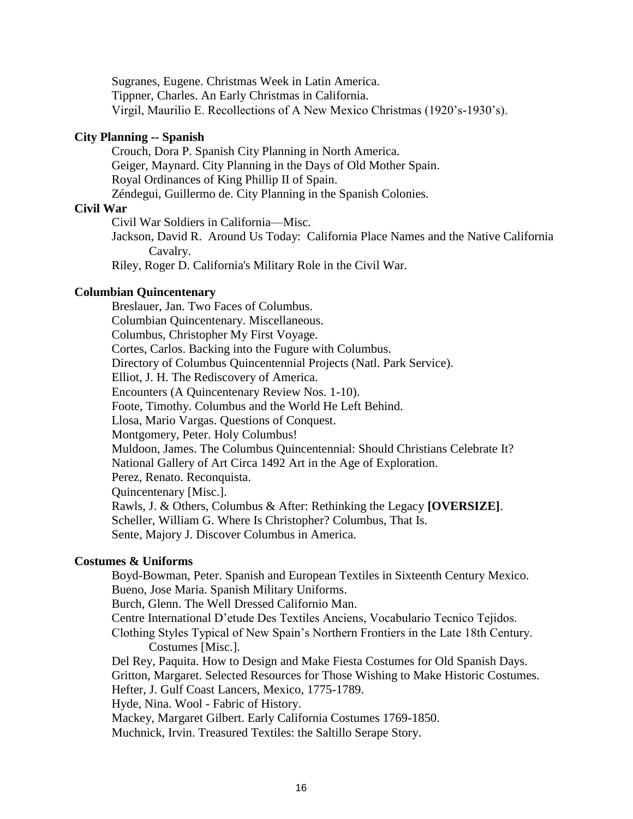Sugranes, Eugene. Christmas Week in Latin America. Tippner, Charles. An Early Christmas in California. Virgil, Maurilio E. Recollections of A New Mexico Christmas (1920's-1930's).

## **City Planning -- Spanish**

Crouch, Dora P. Spanish City Planning in North America. Geiger, Maynard. City Planning in the Days of Old Mother Spain. Royal Ordinances of King Phillip II of Spain. Zéndegui, Guillermo de. City Planning in the Spanish Colonies.

#### **Civil War**

Civil War Soldiers in California—Misc.

Jackson, David R. Around Us Today: California Place Names and the Native California Cavalry.

Riley, Roger D. California's Military Role in the Civil War.

## **Columbian Quincentenary**

Breslauer, Jan. Two Faces of Columbus. Columbian Quincentenary. Miscellaneous. Columbus, Christopher My First Voyage. Cortes, Carlos. Backing into the Fugure with Columbus. Directory of Columbus Quincentennial Projects (Natl. Park Service). Elliot, J. H. The Rediscovery of America. Encounters (A Quincentenary Review Nos. 1-10). Foote, Timothy. Columbus and the World He Left Behind. Llosa, Mario Vargas. Questions of Conquest. Montgomery, Peter. Holy Columbus! Muldoon, James. The Columbus Quincentennial: Should Christians Celebrate It? National Gallery of Art Circa 1492 Art in the Age of Exploration. Perez, Renato. Reconquista. Quincentenary [Misc.]. Rawls, J. & Others, Columbus & After: Rethinking the Legacy **[OVERSIZE]**. Scheller, William G. Where Is Christopher? Columbus, That Is. Sente, Majory J. Discover Columbus in America.

## **Costumes & Uniforms**

Boyd-Bowman, Peter. Spanish and European Textiles in Sixteenth Century Mexico. Bueno, Jose Maria. Spanish Military Uniforms. Burch, Glenn. The Well Dressed Californio Man. Centre International D'etude Des Textiles Anciens, Vocabulario Tecnico Tejidos. Clothing Styles Typical of New Spain's Northern Frontiers in the Late 18th Century. Costumes [Misc.]. Del Rey, Paquita. How to Design and Make Fiesta Costumes for Old Spanish Days. Gritton, Margaret. Selected Resources for Those Wishing to Make Historic Costumes. Hefter, J. Gulf Coast Lancers, Mexico, 1775-1789. Hyde, Nina. Wool - Fabric of History. Mackey, Margaret Gilbert. Early California Costumes 1769-1850. Muchnick, Irvin. Treasured Textiles: the Saltillo Serape Story.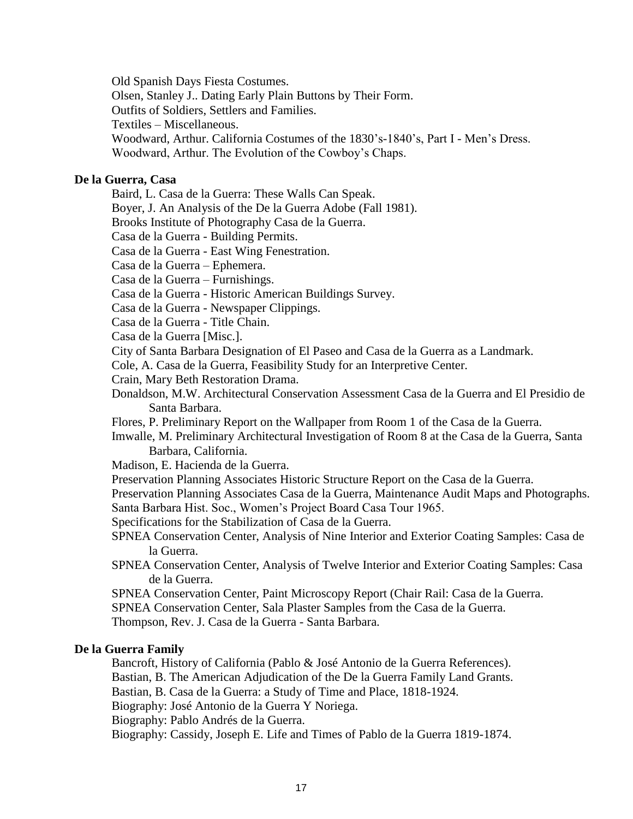Old Spanish Days Fiesta Costumes.

Olsen, Stanley J.. Dating Early Plain Buttons by Their Form.

Outfits of Soldiers, Settlers and Families.

Textiles – Miscellaneous.

Woodward, Arthur. California Costumes of the 1830's-1840's, Part I - Men's Dress.

Woodward, Arthur. The Evolution of the Cowboy's Chaps.

# **De la Guerra, Casa**

Baird, L. Casa de la Guerra: These Walls Can Speak.

Boyer, J. An Analysis of the De la Guerra Adobe (Fall 1981).

Brooks Institute of Photography Casa de la Guerra.

Casa de la Guerra - Building Permits.

Casa de la Guerra - East Wing Fenestration.

Casa de la Guerra – Ephemera.

Casa de la Guerra – Furnishings.

Casa de la Guerra - Historic American Buildings Survey.

Casa de la Guerra - Newspaper Clippings.

Casa de la Guerra - Title Chain.

Casa de la Guerra [Misc.].

City of Santa Barbara Designation of El Paseo and Casa de la Guerra as a Landmark.

Cole, A. Casa de la Guerra, Feasibility Study for an Interpretive Center.

Crain, Mary Beth Restoration Drama.

Donaldson, M.W. Architectural Conservation Assessment Casa de la Guerra and El Presidio de Santa Barbara.

Flores, P. Preliminary Report on the Wallpaper from Room 1 of the Casa de la Guerra.

Imwalle, M. Preliminary Architectural Investigation of Room 8 at the Casa de la Guerra, Santa Barbara, California.

Madison, E. Hacienda de la Guerra.

Preservation Planning Associates Historic Structure Report on the Casa de la Guerra.

Preservation Planning Associates Casa de la Guerra, Maintenance Audit Maps and Photographs. Santa Barbara Hist. Soc., Women's Project Board Casa Tour 1965.

Specifications for the Stabilization of Casa de la Guerra.

SPNEA Conservation Center, Analysis of Nine Interior and Exterior Coating Samples: Casa de la Guerra.

SPNEA Conservation Center, Analysis of Twelve Interior and Exterior Coating Samples: Casa de la Guerra.

SPNEA Conservation Center, Paint Microscopy Report (Chair Rail: Casa de la Guerra.

SPNEA Conservation Center, Sala Plaster Samples from the Casa de la Guerra.

Thompson, Rev. J. Casa de la Guerra - Santa Barbara.

# **De la Guerra Family**

Bancroft, History of California (Pablo & José Antonio de la Guerra References).

Bastian, B. The American Adjudication of the De la Guerra Family Land Grants.

Bastian, B. Casa de la Guerra: a Study of Time and Place, 1818-1924.

Biography: José Antonio de la Guerra Y Noriega.

Biography: Pablo Andrés de la Guerra.

Biography: Cassidy, Joseph E. Life and Times of Pablo de la Guerra 1819-1874.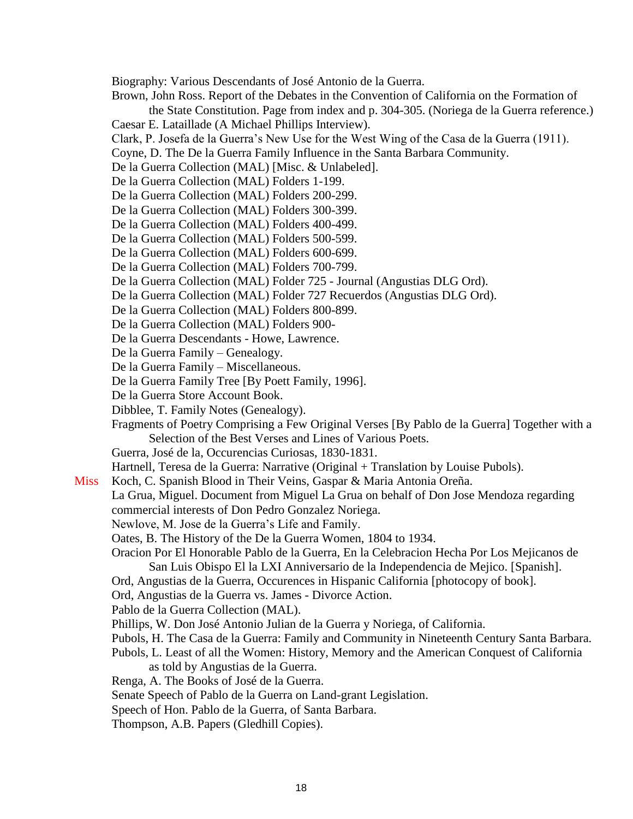Biography: Various Descendants of José Antonio de la Guerra.

Brown, John Ross. Report of the Debates in the Convention of California on the Formation of

the State Constitution. Page from index and p. 304-305. (Noriega de la Guerra reference.) Caesar E. Lataillade (A Michael Phillips Interview).

- Clark, P. Josefa de la Guerra's New Use for the West Wing of the Casa de la Guerra (1911).
- Coyne, D. The De la Guerra Family Influence in the Santa Barbara Community.
- De la Guerra Collection (MAL) [Misc. & Unlabeled].
- De la Guerra Collection (MAL) Folders 1-199.
- De la Guerra Collection (MAL) Folders 200-299.
- De la Guerra Collection (MAL) Folders 300-399.
- De la Guerra Collection (MAL) Folders 400-499.
- De la Guerra Collection (MAL) Folders 500-599.
- De la Guerra Collection (MAL) Folders 600-699.
- De la Guerra Collection (MAL) Folders 700-799.
- De la Guerra Collection (MAL) Folder 725 Journal (Angustias DLG Ord).
- De la Guerra Collection (MAL) Folder 727 Recuerdos (Angustias DLG Ord).
- De la Guerra Collection (MAL) Folders 800-899.
- De la Guerra Collection (MAL) Folders 900-
- De la Guerra Descendants Howe, Lawrence.
- De la Guerra Family Genealogy.
- De la Guerra Family Miscellaneous.
- De la Guerra Family Tree [By Poett Family, 1996].
- De la Guerra Store Account Book.
- Dibblee, T. Family Notes (Genealogy).
- Fragments of Poetry Comprising a Few Original Verses [By Pablo de la Guerra] Together with a Selection of the Best Verses and Lines of Various Poets.
- Guerra, José de la, Occurencias Curiosas, 1830-1831.
- Hartnell, Teresa de la Guerra: Narrative (Original + Translation by Louise Pubols).
- Miss Koch, C. Spanish Blood in Their Veins, Gaspar & Maria Antonia Oreña.
	- La Grua, Miguel. Document from Miguel La Grua on behalf of Don Jose Mendoza regarding commercial interests of Don Pedro Gonzalez Noriega.
	- Newlove, M. Jose de la Guerra's Life and Family.
	- Oates, B. The History of the De la Guerra Women, 1804 to 1934.
	- Oracion Por El Honorable Pablo de la Guerra, En la Celebracion Hecha Por Los Mejicanos de San Luis Obispo El la LXI Anniversario de la Independencia de Mejico. [Spanish].
	- Ord, Angustias de la Guerra, Occurences in Hispanic California [photocopy of book].
	- Ord, Angustias de la Guerra vs. James Divorce Action.
	- Pablo de la Guerra Collection (MAL).
	- Phillips, W. Don José Antonio Julian de la Guerra y Noriega, of California.
	- Pubols, H. The Casa de la Guerra: Family and Community in Nineteenth Century Santa Barbara.
	- Pubols, L. Least of all the Women: History, Memory and the American Conquest of California as told by Angustias de la Guerra.
	- Renga, A. The Books of José de la Guerra.
	- Senate Speech of Pablo de la Guerra on Land-grant Legislation.
	- Speech of Hon. Pablo de la Guerra, of Santa Barbara.
	- Thompson, A.B. Papers (Gledhill Copies).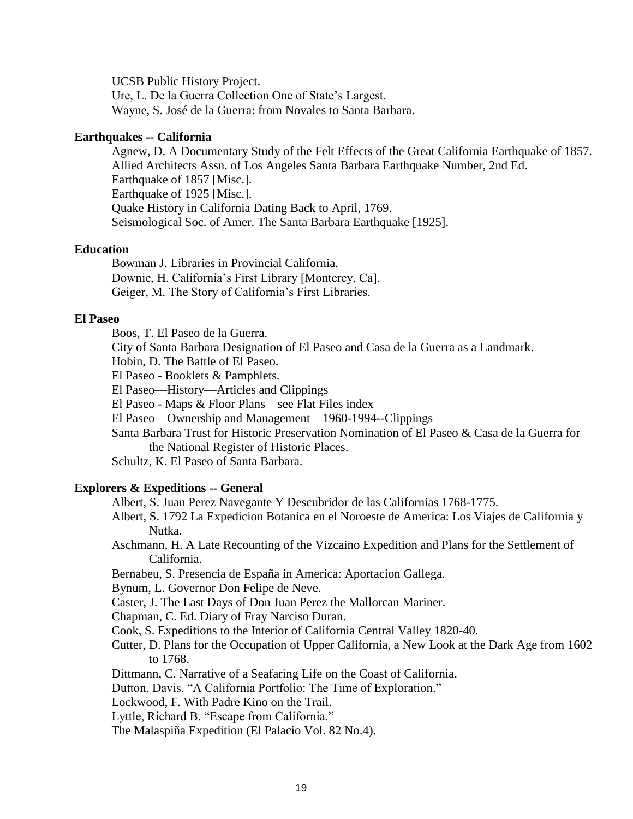UCSB Public History Project.

Ure, L. De la Guerra Collection One of State's Largest. Wayne, S. José de la Guerra: from Novales to Santa Barbara.

# **Earthquakes -- California**

Agnew, D. A Documentary Study of the Felt Effects of the Great California Earthquake of 1857. Allied Architects Assn. of Los Angeles Santa Barbara Earthquake Number, 2nd Ed. Earthquake of 1857 [Misc.]. Earthquake of 1925 [Misc.]. Quake History in California Dating Back to April, 1769. Seismological Soc. of Amer. The Santa Barbara Earthquake [1925].

# **Education**

Bowman J. Libraries in Provincial California. Downie, H. California's First Library [Monterey, Ca]. Geiger, M. The Story of California's First Libraries.

# **El Paseo**

Boos, T. El Paseo de la Guerra.

City of Santa Barbara Designation of El Paseo and Casa de la Guerra as a Landmark.

Hobin, D. The Battle of El Paseo.

El Paseo - Booklets & Pamphlets.

El Paseo—History—Articles and Clippings

El Paseo - Maps & Floor Plans—see Flat Files index

El Paseo – Ownership and Management—1960-1994--Clippings

Santa Barbara Trust for Historic Preservation Nomination of El Paseo & Casa de la Guerra for the National Register of Historic Places.

Schultz, K. El Paseo of Santa Barbara.

# **Explorers & Expeditions -- General**

Albert, S. Juan Perez Navegante Y Descubridor de las Californias 1768-1775.

Albert, S. 1792 La Expedicion Botanica en el Noroeste de America: Los Viajes de California y Nutka.

Aschmann, H. A Late Recounting of the Vizcaino Expedition and Plans for the Settlement of California.

Bernabeu, S. Presencia de España in America: Aportacion Gallega.

Bynum, L. Governor Don Felipe de Neve.

Caster, J. The Last Days of Don Juan Perez the Mallorcan Mariner.

Chapman, C. Ed. Diary of Fray Narciso Duran.

Cook, S. Expeditions to the Interior of California Central Valley 1820-40.

Cutter, D. Plans for the Occupation of Upper California, a New Look at the Dark Age from 1602 to 1768.

Dittmann, C. Narrative of a Seafaring Life on the Coast of California.

Dutton, Davis. "A California Portfolio: The Time of Exploration."

Lockwood, F. With Padre Kino on the Trail.

Lyttle, Richard B. "Escape from California."

The Malaspiña Expedition (El Palacio Vol. 82 No.4).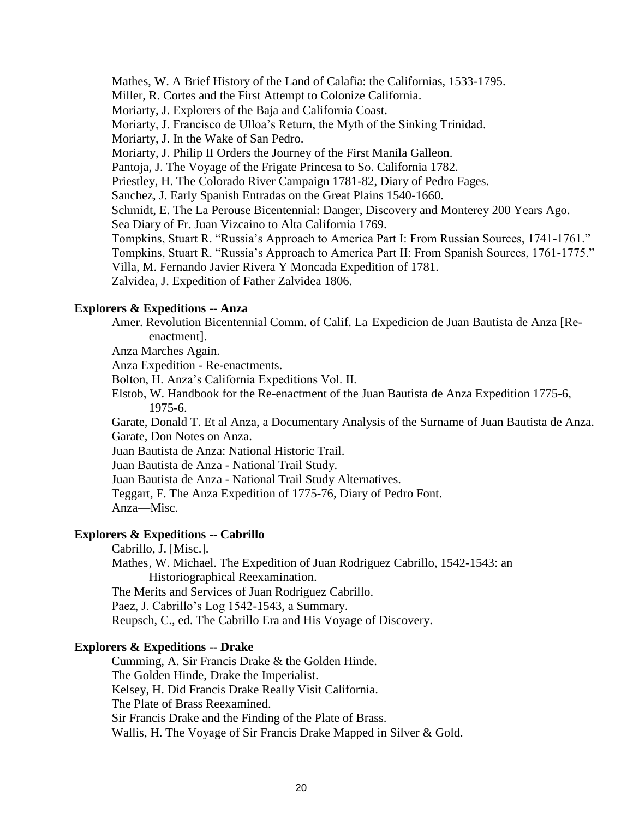Mathes, W. A Brief History of the Land of Calafia: the Californias, 1533-1795. Miller, R. Cortes and the First Attempt to Colonize California. Moriarty, J. Explorers of the Baja and California Coast. Moriarty, J. Francisco de Ulloa's Return, the Myth of the Sinking Trinidad. Moriarty, J. In the Wake of San Pedro. Moriarty, J. Philip II Orders the Journey of the First Manila Galleon. Pantoja, J. The Voyage of the Frigate Princesa to So. California 1782. Priestley, H. The Colorado River Campaign 1781-82, Diary of Pedro Fages. Sanchez, J. Early Spanish Entradas on the Great Plains 1540-1660. Schmidt, E. The La Perouse Bicentennial: Danger, Discovery and Monterey 200 Years Ago. Sea Diary of Fr. Juan Vizcaino to Alta California 1769. Tompkins, Stuart R. "Russia's Approach to America Part I: From Russian Sources, 1741-1761." Tompkins, Stuart R. "Russia's Approach to America Part II: From Spanish Sources, 1761-1775." Villa, M. Fernando Javier Rivera Y Moncada Expedition of 1781. Zalvidea, J. Expedition of Father Zalvidea 1806.

# **Explorers & Expeditions -- Anza**

Amer. Revolution Bicentennial Comm. of Calif. La Expedicion de Juan Bautista de Anza [Reenactment].

Anza Marches Again.

Anza Expedition - Re-enactments.

Bolton, H. Anza's California Expeditions Vol. II.

Elstob, W. Handbook for the Re-enactment of the Juan Bautista de Anza Expedition 1775-6, 1975-6.

Garate, Donald T. Et al Anza, a Documentary Analysis of the Surname of Juan Bautista de Anza. Garate, Don Notes on Anza.

Juan Bautista de Anza: National Historic Trail.

Juan Bautista de Anza - National Trail Study.

Juan Bautista de Anza - National Trail Study Alternatives.

Teggart, F. The Anza Expedition of 1775-76, Diary of Pedro Font. Anza—Misc.

# **Explorers & Expeditions -- Cabrillo**

Cabrillo, J. [Misc.].

Mathes, W. Michael. The Expedition of Juan Rodriguez Cabrillo, 1542-1543: an Historiographical Reexamination. The Merits and Services of Juan Rodriguez Cabrillo. Paez, J. Cabrillo's Log 1542-1543, a Summary.

Reupsch, C., ed. The Cabrillo Era and His Voyage of Discovery.

# **Explorers & Expeditions -- Drake**

Cumming, A. Sir Francis Drake & the Golden Hinde. The Golden Hinde, Drake the Imperialist. Kelsey, H. Did Francis Drake Really Visit California. The Plate of Brass Reexamined. Sir Francis Drake and the Finding of the Plate of Brass. Wallis, H. The Voyage of Sir Francis Drake Mapped in Silver & Gold.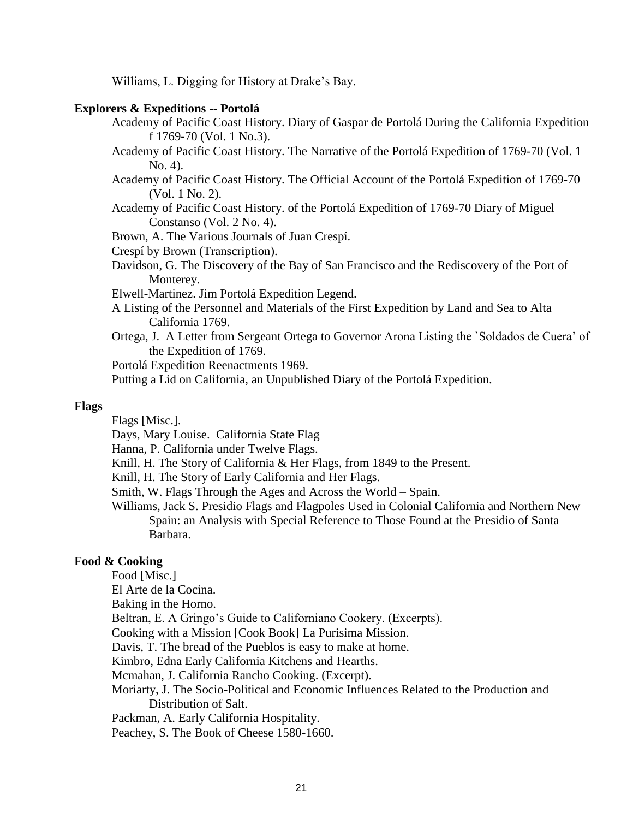Williams, L. Digging for History at Drake's Bay.

## **Explorers & Expeditions -- Portolá**

Academy of Pacific Coast History. Diary of Gaspar de Portolá During the California Expedition f 1769-70 (Vol. 1 No.3).

- Academy of Pacific Coast History. The Narrative of the Portolá Expedition of 1769-70 (Vol. 1 No. 4).
- Academy of Pacific Coast History. The Official Account of the Portolá Expedition of 1769-70 (Vol. 1 No. 2).
- Academy of Pacific Coast History. of the Portolá Expedition of 1769-70 Diary of Miguel Constanso (Vol. 2 No. 4).
- Brown, A. The Various Journals of Juan Crespí.

Crespí by Brown (Transcription).

Davidson, G. The Discovery of the Bay of San Francisco and the Rediscovery of the Port of Monterey.

Elwell-Martinez. Jim Portolá Expedition Legend.

- A Listing of the Personnel and Materials of the First Expedition by Land and Sea to Alta California 1769.
- Ortega, J. A Letter from Sergeant Ortega to Governor Arona Listing the `Soldados de Cuera' of the Expedition of 1769.

Portolá Expedition Reenactments 1969.

Putting a Lid on California, an Unpublished Diary of the Portolá Expedition.

#### **Flags**

Flags [Misc.].

Days, Mary Louise. California State Flag

Hanna, P. California under Twelve Flags.

Knill, H. The Story of California & Her Flags, from 1849 to the Present.

Knill, H. The Story of Early California and Her Flags.

Smith, W. Flags Through the Ages and Across the World – Spain.

Williams, Jack S. Presidio Flags and Flagpoles Used in Colonial California and Northern New Spain: an Analysis with Special Reference to Those Found at the Presidio of Santa Barbara.

#### **Food & Cooking**

Food [Misc.]

El Arte de la Cocina.

Baking in the Horno.

Beltran, E. A Gringo's Guide to Californiano Cookery. (Excerpts).

Cooking with a Mission [Cook Book] La Purisima Mission.

Davis, T. The bread of the Pueblos is easy to make at home.

Kimbro, Edna Early California Kitchens and Hearths.

Mcmahan, J. California Rancho Cooking. (Excerpt).

Moriarty, J. The Socio-Political and Economic Influences Related to the Production and Distribution of Salt.

Packman, A. Early California Hospitality.

Peachey, S. The Book of Cheese 1580-1660.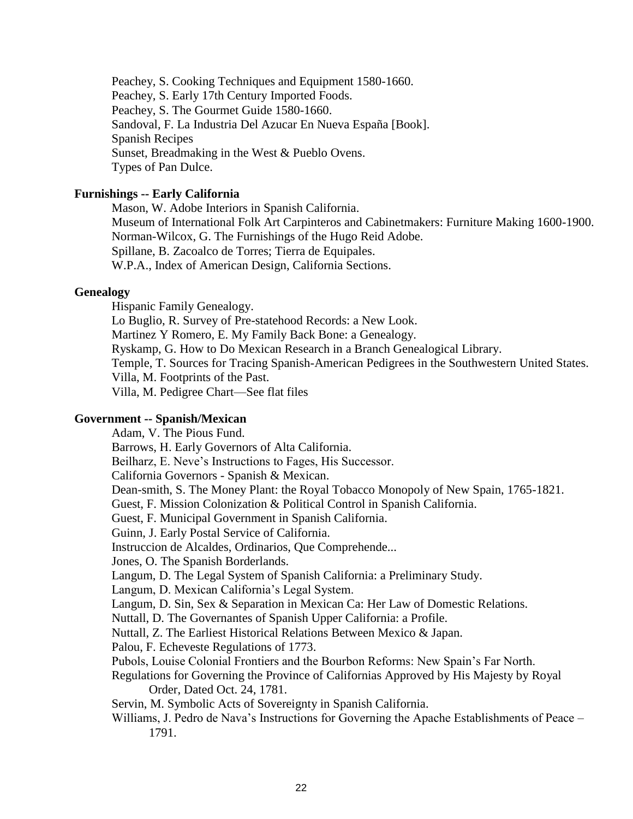Peachey, S. Cooking Techniques and Equipment 1580-1660. Peachey, S. Early 17th Century Imported Foods. Peachey, S. The Gourmet Guide 1580-1660. Sandoval, F. La Industria Del Azucar En Nueva España [Book]. Spanish Recipes Sunset, Breadmaking in the West & Pueblo Ovens. Types of Pan Dulce.

## **Furnishings -- Early California**

Mason, W. Adobe Interiors in Spanish California. Museum of International Folk Art Carpinteros and Cabinetmakers: Furniture Making 1600-1900. Norman-Wilcox, G. The Furnishings of the Hugo Reid Adobe. Spillane, B. Zacoalco de Torres; Tierra de Equipales. W.P.A., Index of American Design, California Sections.

# **Genealogy**

Hispanic Family Genealogy.

Lo Buglio, R. Survey of Pre-statehood Records: a New Look.

Martinez Y Romero, E. My Family Back Bone: a Genealogy.

Ryskamp, G. How to Do Mexican Research in a Branch Genealogical Library.

Temple, T. Sources for Tracing Spanish-American Pedigrees in the Southwestern United States.

Villa, M. Footprints of the Past.

Villa, M. Pedigree Chart—See flat files

#### **Government -- Spanish/Mexican**

Adam, V. The Pious Fund. Barrows, H. Early Governors of Alta California. Beilharz, E. Neve's Instructions to Fages, His Successor. California Governors - Spanish & Mexican. Dean-smith, S. The Money Plant: the Royal Tobacco Monopoly of New Spain, 1765-1821. Guest, F. Mission Colonization & Political Control in Spanish California. Guest, F. Municipal Government in Spanish California. Guinn, J. Early Postal Service of California. Instruccion de Alcaldes, Ordinarios, Que Comprehende... Jones, O. The Spanish Borderlands. Langum, D. The Legal System of Spanish California: a Preliminary Study. Langum, D. Mexican California's Legal System. Langum, D. Sin, Sex & Separation in Mexican Ca: Her Law of Domestic Relations. Nuttall, D. The Governantes of Spanish Upper California: a Profile. Nuttall, Z. The Earliest Historical Relations Between Mexico & Japan. Palou, F. Echeveste Regulations of 1773. Pubols, Louise Colonial Frontiers and the Bourbon Reforms: New Spain's Far North. Regulations for Governing the Province of Californias Approved by His Majesty by Royal Order, Dated Oct. 24, 1781. Servin, M. Symbolic Acts of Sovereignty in Spanish California. Williams, J. Pedro de Nava's Instructions for Governing the Apache Establishments of Peace – 1791.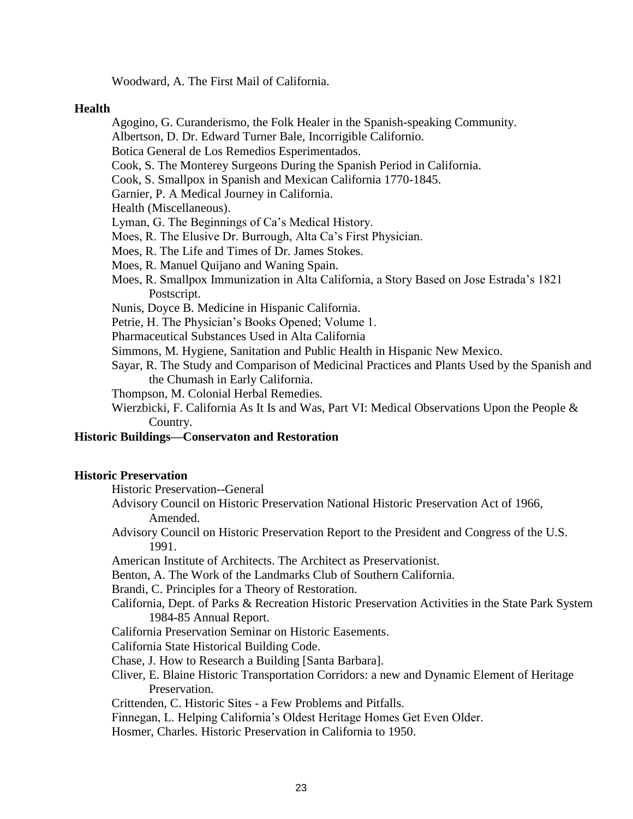Woodward, A. The First Mail of California.

#### **Health**

Agogino, G. Curanderismo, the Folk Healer in the Spanish-speaking Community.

Albertson, D. Dr. Edward Turner Bale, Incorrigible Californio.

Botica General de Los Remedios Esperimentados.

Cook, S. The Monterey Surgeons During the Spanish Period in California.

Cook, S. Smallpox in Spanish and Mexican California 1770-1845.

Garnier, P. A Medical Journey in California.

Health (Miscellaneous).

Lyman, G. The Beginnings of Ca's Medical History.

Moes, R. The Elusive Dr. Burrough, Alta Ca's First Physician.

- Moes, R. The Life and Times of Dr. James Stokes.
- Moes, R. Manuel Quijano and Waning Spain.
- Moes, R. Smallpox Immunization in Alta California, a Story Based on Jose Estrada's 1821 Postscript.
- Nunis, Doyce B. Medicine in Hispanic California.

Petrie, H. The Physician's Books Opened; Volume 1.

Pharmaceutical Substances Used in Alta California

Simmons, M. Hygiene, Sanitation and Public Health in Hispanic New Mexico.

Sayar, R. The Study and Comparison of Medicinal Practices and Plants Used by the Spanish and the Chumash in Early California.

Thompson, M. Colonial Herbal Remedies.

Wierzbicki, F. California As It Is and Was, Part VI: Medical Observations Upon the People & Country.

# **Historic Buildings—Conservaton and Restoration**

## **Historic Preservation**

Historic Preservation--General

- Advisory Council on Historic Preservation National Historic Preservation Act of 1966, Amended.
- Advisory Council on Historic Preservation Report to the President and Congress of the U.S. 1991.

American Institute of Architects. The Architect as Preservationist.

Benton, A. The Work of the Landmarks Club of Southern California.

Brandi, C. Principles for a Theory of Restoration.

- California, Dept. of Parks & Recreation Historic Preservation Activities in the State Park System 1984-85 Annual Report.
- California Preservation Seminar on Historic Easements.

California State Historical Building Code.

Chase, J. How to Research a Building [Santa Barbara].

Cliver, E. Blaine Historic Transportation Corridors: a new and Dynamic Element of Heritage Preservation.

Crittenden, C. Historic Sites - a Few Problems and Pitfalls.

Finnegan, L. Helping California's Oldest Heritage Homes Get Even Older.

Hosmer, Charles. Historic Preservation in California to 1950.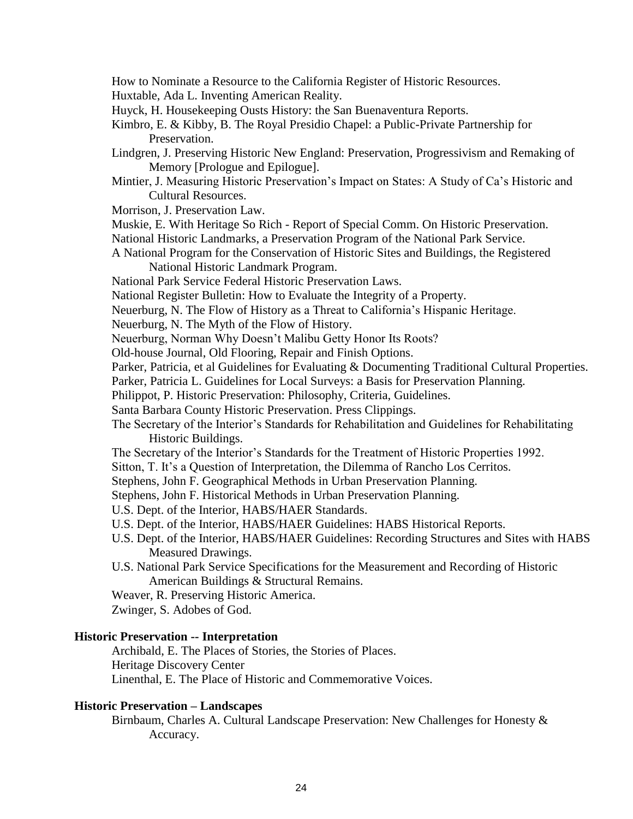- How to Nominate a Resource to the California Register of Historic Resources.
- Huxtable, Ada L. Inventing American Reality.
- Huyck, H. Housekeeping Ousts History: the San Buenaventura Reports.
- Kimbro, E. & Kibby, B. The Royal Presidio Chapel: a Public-Private Partnership for Preservation.
- Lindgren, J. Preserving Historic New England: Preservation, Progressivism and Remaking of Memory [Prologue and Epilogue].
- Mintier, J. Measuring Historic Preservation's Impact on States: A Study of Ca's Historic and Cultural Resources.
- Morrison, J. Preservation Law.
- Muskie, E. With Heritage So Rich Report of Special Comm. On Historic Preservation.
- National Historic Landmarks, a Preservation Program of the National Park Service.
- A National Program for the Conservation of Historic Sites and Buildings, the Registered National Historic Landmark Program.
- National Park Service Federal Historic Preservation Laws.
- National Register Bulletin: How to Evaluate the Integrity of a Property.
- Neuerburg, N. The Flow of History as a Threat to California's Hispanic Heritage.
- Neuerburg, N. The Myth of the Flow of History.
- Neuerburg, Norman Why Doesn't Malibu Getty Honor Its Roots?
- Old-house Journal, Old Flooring, Repair and Finish Options.
- Parker, Patricia, et al Guidelines for Evaluating & Documenting Traditional Cultural Properties.
- Parker, Patricia L. Guidelines for Local Surveys: a Basis for Preservation Planning.
- Philippot, P. Historic Preservation: Philosophy, Criteria, Guidelines.
- Santa Barbara County Historic Preservation. Press Clippings.
- The Secretary of the Interior's Standards for Rehabilitation and Guidelines for Rehabilitating Historic Buildings.
- The Secretary of the Interior's Standards for the Treatment of Historic Properties 1992.
- Sitton, T. It's a Question of Interpretation, the Dilemma of Rancho Los Cerritos.
- Stephens, John F. Geographical Methods in Urban Preservation Planning.
- Stephens, John F. Historical Methods in Urban Preservation Planning.
- U.S. Dept. of the Interior, HABS/HAER Standards.
- U.S. Dept. of the Interior, HABS/HAER Guidelines: HABS Historical Reports.
- U.S. Dept. of the Interior, HABS/HAER Guidelines: Recording Structures and Sites with HABS Measured Drawings.
- U.S. National Park Service Specifications for the Measurement and Recording of Historic American Buildings & Structural Remains.
- Weaver, R. Preserving Historic America.
- Zwinger, S. Adobes of God.

# **Historic Preservation -- Interpretation**

Archibald, E. The Places of Stories, the Stories of Places. Heritage Discovery Center Linenthal, E. The Place of Historic and Commemorative Voices.

# **Historic Preservation – Landscapes**

Birnbaum, Charles A. Cultural Landscape Preservation: New Challenges for Honesty & Accuracy.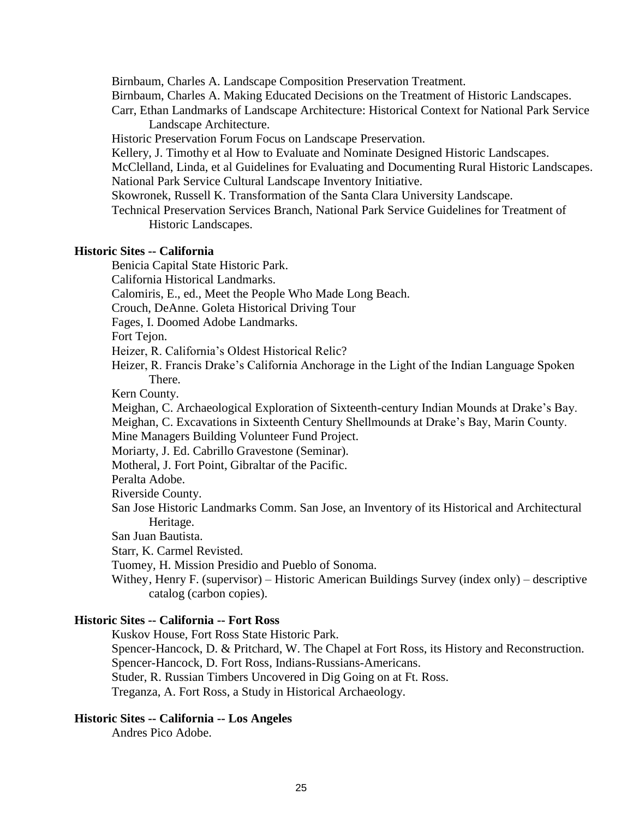Birnbaum, Charles A. Landscape Composition Preservation Treatment.

Birnbaum, Charles A. Making Educated Decisions on the Treatment of Historic Landscapes.

Carr, Ethan Landmarks of Landscape Architecture: Historical Context for National Park Service Landscape Architecture.

Historic Preservation Forum Focus on Landscape Preservation.

Kellery, J. Timothy et al How to Evaluate and Nominate Designed Historic Landscapes.

McClelland, Linda, et al Guidelines for Evaluating and Documenting Rural Historic Landscapes. National Park Service Cultural Landscape Inventory Initiative.

Skowronek, Russell K. Transformation of the Santa Clara University Landscape.

Technical Preservation Services Branch, National Park Service Guidelines for Treatment of Historic Landscapes.

# **Historic Sites -- California**

Benicia Capital State Historic Park.

California Historical Landmarks.

Calomiris, E., ed., Meet the People Who Made Long Beach.

Crouch, DeAnne. Goleta Historical Driving Tour

Fages, I. Doomed Adobe Landmarks.

Fort Tejon.

Heizer, R. California's Oldest Historical Relic?

Heizer, R. Francis Drake's California Anchorage in the Light of the Indian Language Spoken There.

Kern County.

Meighan, C. Archaeological Exploration of Sixteenth-century Indian Mounds at Drake's Bay.

Meighan, C. Excavations in Sixteenth Century Shellmounds at Drake's Bay, Marin County.

Mine Managers Building Volunteer Fund Project.

Moriarty, J. Ed. Cabrillo Gravestone (Seminar).

Motheral, J. Fort Point, Gibraltar of the Pacific.

Peralta Adobe.

Riverside County.

San Jose Historic Landmarks Comm. San Jose, an Inventory of its Historical and Architectural Heritage.

San Juan Bautista.

Starr, K. Carmel Revisted.

Tuomey, H. Mission Presidio and Pueblo of Sonoma.

Withey, Henry F. (supervisor) – Historic American Buildings Survey (index only) – descriptive catalog (carbon copies).

# **Historic Sites -- California -- Fort Ross**

Kuskov House, Fort Ross State Historic Park.

Spencer-Hancock, D. & Pritchard, W. The Chapel at Fort Ross, its History and Reconstruction. Spencer-Hancock, D. Fort Ross, Indians-Russians-Americans.

Studer, R. Russian Timbers Uncovered in Dig Going on at Ft. Ross.

Treganza, A. Fort Ross, a Study in Historical Archaeology.

# **Historic Sites -- California -- Los Angeles**

Andres Pico Adobe.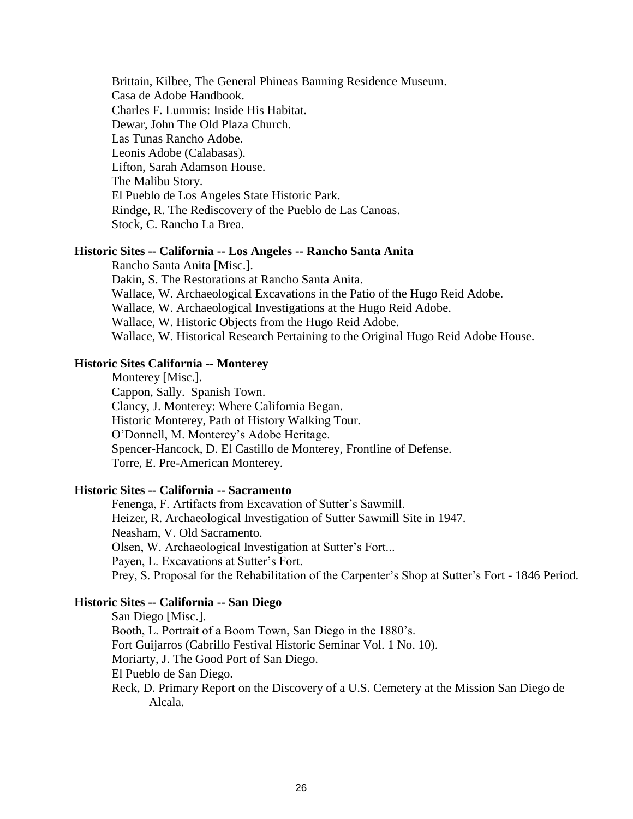Brittain, Kilbee, The General Phineas Banning Residence Museum. Casa de Adobe Handbook. Charles F. Lummis: Inside His Habitat. Dewar, John The Old Plaza Church. Las Tunas Rancho Adobe. Leonis Adobe (Calabasas). Lifton, Sarah Adamson House. The Malibu Story. El Pueblo de Los Angeles State Historic Park. Rindge, R. The Rediscovery of the Pueblo de Las Canoas. Stock, C. Rancho La Brea.

#### **Historic Sites -- California -- Los Angeles -- Rancho Santa Anita**

Rancho Santa Anita [Misc.]. Dakin, S. The Restorations at Rancho Santa Anita. Wallace, W. Archaeological Excavations in the Patio of the Hugo Reid Adobe. Wallace, W. Archaeological Investigations at the Hugo Reid Adobe. Wallace, W. Historic Objects from the Hugo Reid Adobe. Wallace, W. Historical Research Pertaining to the Original Hugo Reid Adobe House.

# **Historic Sites California -- Monterey**

Monterey [Misc.]. Cappon, Sally. Spanish Town. Clancy, J. Monterey: Where California Began. Historic Monterey, Path of History Walking Tour. O'Donnell, M. Monterey's Adobe Heritage. Spencer-Hancock, D. El Castillo de Monterey, Frontline of Defense. Torre, E. Pre-American Monterey.

# **Historic Sites -- California -- Sacramento**

Fenenga, F. Artifacts from Excavation of Sutter's Sawmill. Heizer, R. Archaeological Investigation of Sutter Sawmill Site in 1947. Neasham, V. Old Sacramento. Olsen, W. Archaeological Investigation at Sutter's Fort... Payen, L. Excavations at Sutter's Fort. Prey, S. Proposal for the Rehabilitation of the Carpenter's Shop at Sutter's Fort - 1846 Period.

## **Historic Sites -- California -- San Diego**

San Diego [Misc.]. Booth, L. Portrait of a Boom Town, San Diego in the 1880's. Fort Guijarros (Cabrillo Festival Historic Seminar Vol. 1 No. 10). Moriarty, J. The Good Port of San Diego. El Pueblo de San Diego. Reck, D. Primary Report on the Discovery of a U.S. Cemetery at the Mission San Diego de Alcala.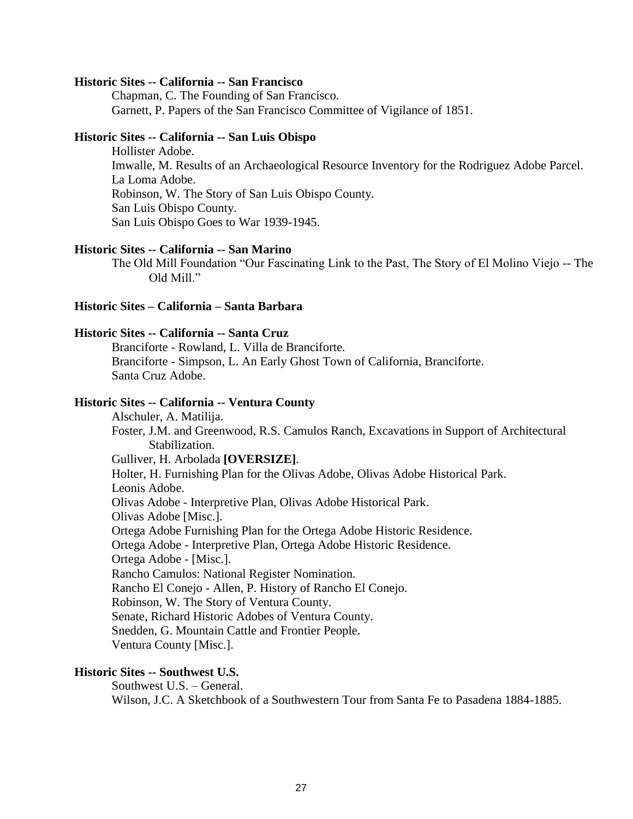#### **Historic Sites -- California -- San Francisco**

Chapman, C. The Founding of San Francisco. Garnett, P. Papers of the San Francisco Committee of Vigilance of 1851.

## **Historic Sites -- California -- San Luis Obispo**

Hollister Adobe. Imwalle, M. Results of an Archaeological Resource Inventory for the Rodriguez Adobe Parcel. La Loma Adobe. Robinson, W. The Story of San Luis Obispo County. San Luis Obispo County. San Luis Obispo Goes to War 1939-1945.

## **Historic Sites -- California -- San Marino**

The Old Mill Foundation "Our Fascinating Link to the Past, The Story of El Molino Viejo -- The Old Mill."

#### **Historic Sites – California – Santa Barbara**

#### **Historic Sites -- California -- Santa Cruz**

Branciforte - Rowland, L. Villa de Branciforte. Branciforte - Simpson, L. An Early Ghost Town of California, Branciforte. Santa Cruz Adobe.

#### **Historic Sites -- California -- Ventura County**

Alschuler, A. Matilija. Foster, J.M. and Greenwood, R.S. Camulos Ranch, Excavations in Support of Architectural Stabilization. Gulliver, H. Arbolada **[OVERSIZE]**. Holter, H. Furnishing Plan for the Olivas Adobe, Olivas Adobe Historical Park. Leonis Adobe. Olivas Adobe - Interpretive Plan, Olivas Adobe Historical Park. Olivas Adobe [Misc.]. Ortega Adobe Furnishing Plan for the Ortega Adobe Historic Residence. Ortega Adobe - Interpretive Plan, Ortega Adobe Historic Residence. Ortega Adobe - [Misc.]. Rancho Camulos: National Register Nomination. Rancho El Conejo - Allen, P. History of Rancho El Conejo. Robinson, W. The Story of Ventura County. Senate, Richard Historic Adobes of Ventura County. Snedden, G. Mountain Cattle and Frontier People. Ventura County [Misc.].

## **Historic Sites -- Southwest U.S.**

Southwest U.S. – General. Wilson, J.C. A Sketchbook of a Southwestern Tour from Santa Fe to Pasadena 1884-1885.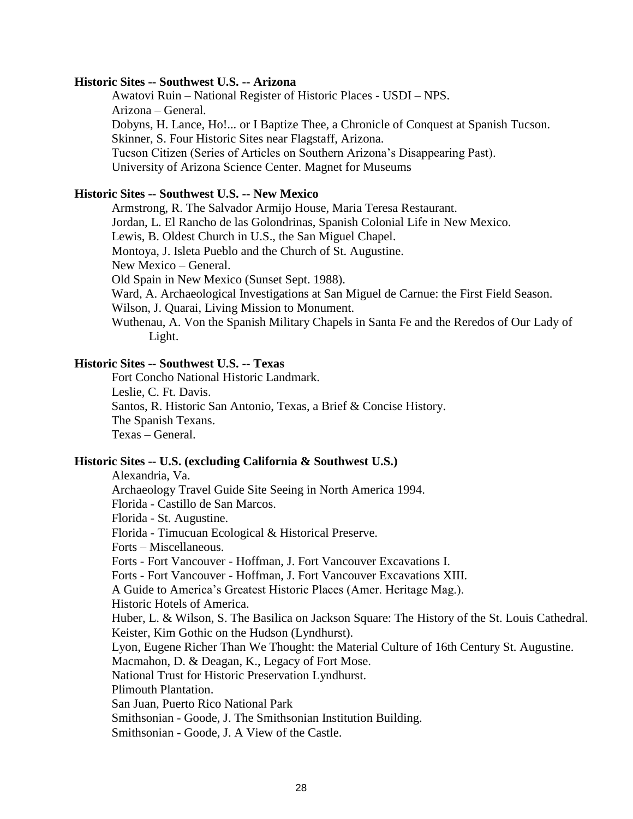## **Historic Sites -- Southwest U.S. -- Arizona**

Awatovi Ruin – National Register of Historic Places - USDI – NPS. Arizona – General. Dobyns, H. Lance, Ho!... or I Baptize Thee, a Chronicle of Conquest at Spanish Tucson. Skinner, S. Four Historic Sites near Flagstaff, Arizona. Tucson Citizen (Series of Articles on Southern Arizona's Disappearing Past). University of Arizona Science Center. Magnet for Museums

# **Historic Sites -- Southwest U.S. -- New Mexico**

Armstrong, R. The Salvador Armijo House, Maria Teresa Restaurant. Jordan, L. El Rancho de las Golondrinas, Spanish Colonial Life in New Mexico. Lewis, B. Oldest Church in U.S., the San Miguel Chapel. Montoya, J. Isleta Pueblo and the Church of St. Augustine. New Mexico – General. Old Spain in New Mexico (Sunset Sept. 1988). Ward, A. Archaeological Investigations at San Miguel de Carnue: the First Field Season. Wilson, J. Quarai, Living Mission to Monument. Wuthenau, A. Von the Spanish Military Chapels in Santa Fe and the Reredos of Our Lady of

Light.

# **Historic Sites -- Southwest U.S. -- Texas**

Fort Concho National Historic Landmark. Leslie, C. Ft. Davis. Santos, R. Historic San Antonio, Texas, a Brief & Concise History. The Spanish Texans. Texas – General.

## **Historic Sites -- U.S. (excluding California & Southwest U.S.)**

Alexandria, Va. Archaeology Travel Guide Site Seeing in North America 1994. Florida - Castillo de San Marcos. Florida - St. Augustine. Florida - Timucuan Ecological & Historical Preserve. Forts – Miscellaneous. Forts - Fort Vancouver - Hoffman, J. Fort Vancouver Excavations I. Forts - Fort Vancouver - Hoffman, J. Fort Vancouver Excavations XIII. A Guide to America's Greatest Historic Places (Amer. Heritage Mag.). Historic Hotels of America. Huber, L. & Wilson, S. The Basilica on Jackson Square: The History of the St. Louis Cathedral. Keister, Kim Gothic on the Hudson (Lyndhurst). Lyon, Eugene Richer Than We Thought: the Material Culture of 16th Century St. Augustine. Macmahon, D. & Deagan, K., Legacy of Fort Mose. National Trust for Historic Preservation Lyndhurst. Plimouth Plantation. San Juan, Puerto Rico National Park Smithsonian - Goode, J. The Smithsonian Institution Building. Smithsonian - Goode, J. A View of the Castle.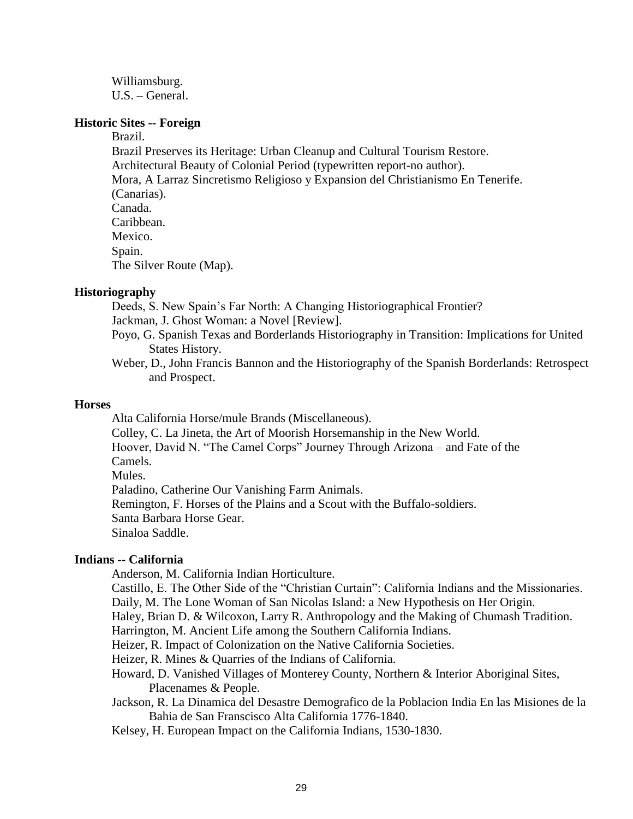Williamsburg. U.S. – General.

#### **Historic Sites -- Foreign**

Brazil.

Brazil Preserves its Heritage: Urban Cleanup and Cultural Tourism Restore. Architectural Beauty of Colonial Period (typewritten report-no author). Mora, A Larraz Sincretismo Religioso y Expansion del Christianismo En Tenerife. (Canarias). Canada. Caribbean. Mexico. Spain. The Silver Route (Map).

# **Historiography**

Deeds, S. New Spain's Far North: A Changing Historiographical Frontier? Jackman, J. Ghost Woman: a Novel [Review].

- Poyo, G. Spanish Texas and Borderlands Historiography in Transition: Implications for United States History.
- Weber, D., John Francis Bannon and the Historiography of the Spanish Borderlands: Retrospect and Prospect.

#### **Horses**

Alta California Horse/mule Brands (Miscellaneous).

Colley, C. La Jineta, the Art of Moorish Horsemanship in the New World.

Hoover, David N. "The Camel Corps" Journey Through Arizona – and Fate of the Camels.

Mules.

Paladino, Catherine Our Vanishing Farm Animals.

Remington, F. Horses of the Plains and a Scout with the Buffalo-soldiers.

Santa Barbara Horse Gear.

Sinaloa Saddle.

## **Indians -- California**

Anderson, M. California Indian Horticulture.

Castillo, E. The Other Side of the "Christian Curtain": California Indians and the Missionaries.

Daily, M. The Lone Woman of San Nicolas Island: a New Hypothesis on Her Origin.

Haley, Brian D. & Wilcoxon, Larry R. Anthropology and the Making of Chumash Tradition.

Harrington, M. Ancient Life among the Southern California Indians.

Heizer, R. Impact of Colonization on the Native California Societies.

Heizer, R. Mines & Quarries of the Indians of California.

- Howard, D. Vanished Villages of Monterey County, Northern & Interior Aboriginal Sites, Placenames & People.
- Jackson, R. La Dinamica del Desastre Demografico de la Poblacion India En las Misiones de la Bahia de San Franscisco Alta California 1776-1840.

Kelsey, H. European Impact on the California Indians, 1530-1830.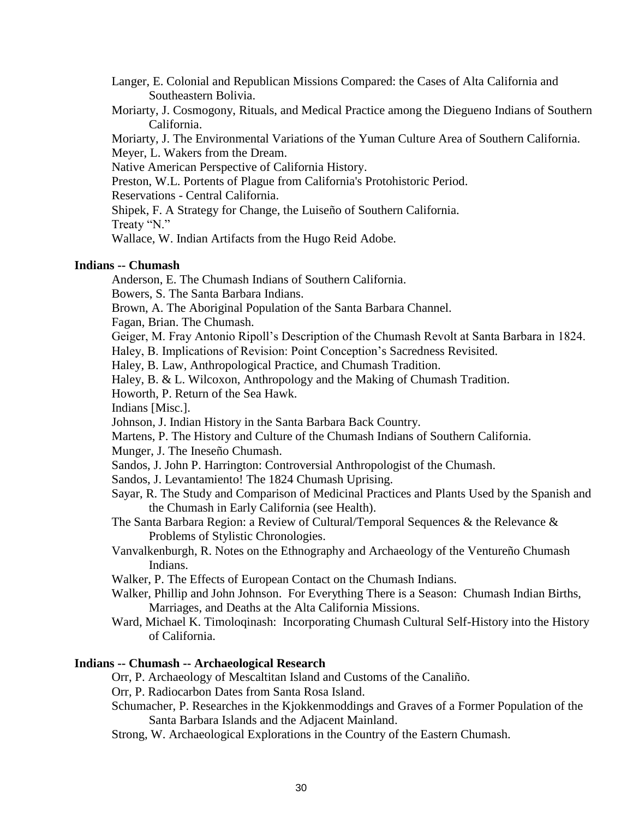Langer, E. Colonial and Republican Missions Compared: the Cases of Alta California and Southeastern Bolivia.

Moriarty, J. Cosmogony, Rituals, and Medical Practice among the Diegueno Indians of Southern California.

Moriarty, J. The Environmental Variations of the Yuman Culture Area of Southern California. Meyer, L. Wakers from the Dream.

Native American Perspective of California History.

Preston, W.L. Portents of Plague from California's Protohistoric Period.

Reservations - Central California.

Shipek, F. A Strategy for Change, the Luiseño of Southern California. Treaty "N."

Wallace, W. Indian Artifacts from the Hugo Reid Adobe.

## **Indians -- Chumash**

Anderson, E. The Chumash Indians of Southern California.

Bowers, S. The Santa Barbara Indians.

Brown, A. The Aboriginal Population of the Santa Barbara Channel.

Fagan, Brian. The Chumash.

Geiger, M. Fray Antonio Ripoll's Description of the Chumash Revolt at Santa Barbara in 1824.

Haley, B. Implications of Revision: Point Conception's Sacredness Revisited.

Haley, B. Law, Anthropological Practice, and Chumash Tradition.

Haley, B. & L. Wilcoxon, Anthropology and the Making of Chumash Tradition.

Howorth, P. Return of the Sea Hawk.

Indians [Misc.].

Johnson, J. Indian History in the Santa Barbara Back Country.

Martens, P. The History and Culture of the Chumash Indians of Southern California.

Munger, J. The Ineseño Chumash.

Sandos, J. John P. Harrington: Controversial Anthropologist of the Chumash.

Sandos, J. Levantamiento! The 1824 Chumash Uprising.

- Sayar, R. The Study and Comparison of Medicinal Practices and Plants Used by the Spanish and the Chumash in Early California (see Health).
- The Santa Barbara Region: a Review of Cultural/Temporal Sequences & the Relevance & Problems of Stylistic Chronologies.

Vanvalkenburgh, R. Notes on the Ethnography and Archaeology of the Ventureño Chumash Indians.

Walker, P. The Effects of European Contact on the Chumash Indians.

Walker, Phillip and John Johnson. For Everything There is a Season: Chumash Indian Births, Marriages, and Deaths at the Alta California Missions.

Ward, Michael K. Timoloqinash: Incorporating Chumash Cultural Self-History into the History of California.

# **Indians -- Chumash -- Archaeological Research**

Orr, P. Archaeology of Mescaltitan Island and Customs of the Canaliño.

Orr, P. Radiocarbon Dates from Santa Rosa Island.

Schumacher, P. Researches in the Kjokkenmoddings and Graves of a Former Population of the Santa Barbara Islands and the Adjacent Mainland.

Strong, W. Archaeological Explorations in the Country of the Eastern Chumash.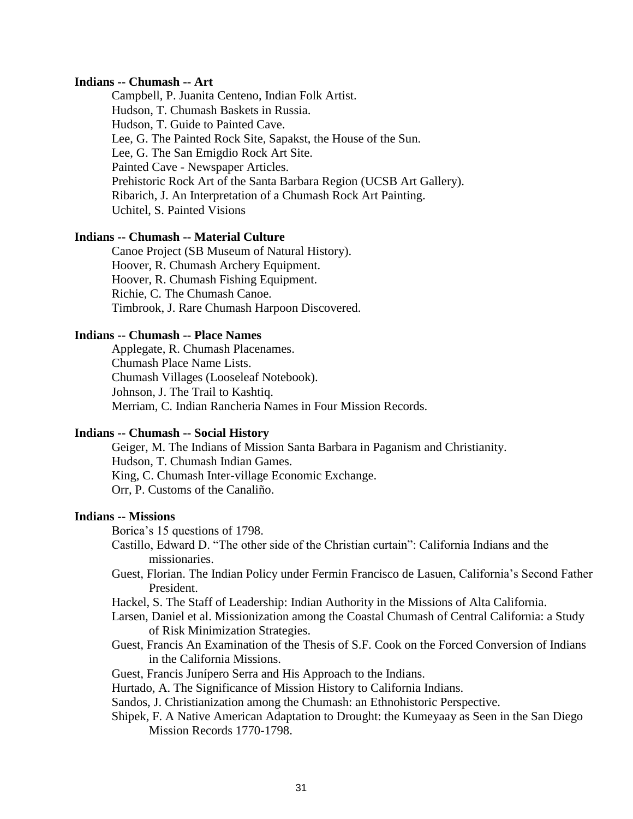## **Indians -- Chumash -- Art**

Campbell, P. Juanita Centeno, Indian Folk Artist. Hudson, T. Chumash Baskets in Russia. Hudson, T. Guide to Painted Cave. Lee, G. The Painted Rock Site, Sapakst, the House of the Sun. Lee, G. The San Emigdio Rock Art Site. Painted Cave - Newspaper Articles. Prehistoric Rock Art of the Santa Barbara Region (UCSB Art Gallery). Ribarich, J. An Interpretation of a Chumash Rock Art Painting. Uchitel, S. Painted Visions

#### **Indians -- Chumash -- Material Culture**

Canoe Project (SB Museum of Natural History). Hoover, R. Chumash Archery Equipment. Hoover, R. Chumash Fishing Equipment. Richie, C. The Chumash Canoe. Timbrook, J. Rare Chumash Harpoon Discovered.

# **Indians -- Chumash -- Place Names**

Applegate, R. Chumash Placenames. Chumash Place Name Lists. Chumash Villages (Looseleaf Notebook). Johnson, J. The Trail to Kashtiq. Merriam, C. Indian Rancheria Names in Four Mission Records.

#### **Indians -- Chumash -- Social History**

Geiger, M. The Indians of Mission Santa Barbara in Paganism and Christianity. Hudson, T. Chumash Indian Games. King, C. Chumash Inter-village Economic Exchange. Orr, P. Customs of the Canaliño.

## **Indians -- Missions**

Borica's 15 questions of 1798.

- Castillo, Edward D. "The other side of the Christian curtain": California Indians and the missionaries.
- Guest, Florian. The Indian Policy under Fermin Francisco de Lasuen, California's Second Father President.
- Hackel, S. The Staff of Leadership: Indian Authority in the Missions of Alta California.
- Larsen, Daniel et al. Missionization among the Coastal Chumash of Central California: a Study of Risk Minimization Strategies.
- Guest, Francis An Examination of the Thesis of S.F. Cook on the Forced Conversion of Indians in the California Missions.
- Guest, Francis Junípero Serra and His Approach to the Indians.
- Hurtado, A. The Significance of Mission History to California Indians.
- Sandos, J. Christianization among the Chumash: an Ethnohistoric Perspective.
- Shipek, F. A Native American Adaptation to Drought: the Kumeyaay as Seen in the San Diego Mission Records 1770-1798.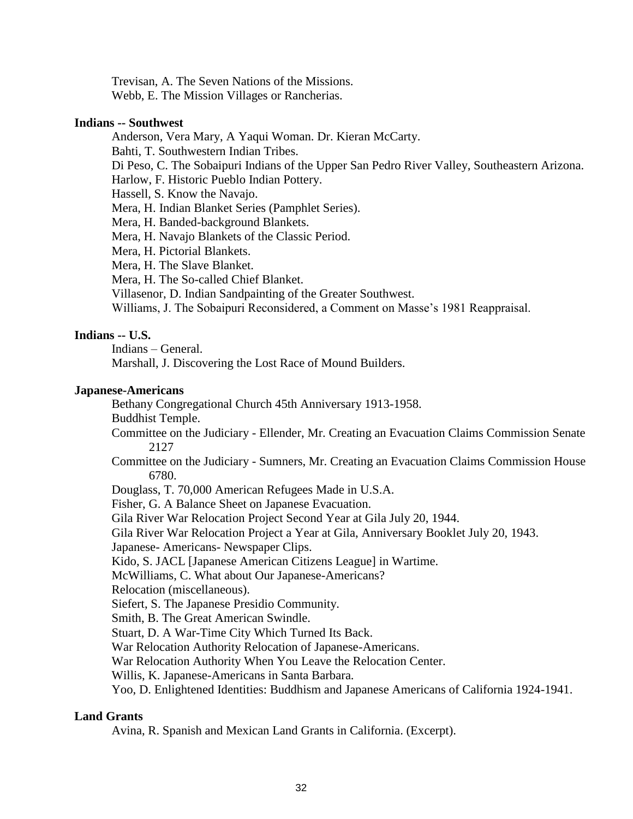Trevisan, A. The Seven Nations of the Missions. Webb, E. The Mission Villages or Rancherias.

## **Indians -- Southwest**

Anderson, Vera Mary, A Yaqui Woman. Dr. Kieran McCarty. Bahti, T. Southwestern Indian Tribes. Di Peso, C. The Sobaipuri Indians of the Upper San Pedro River Valley, Southeastern Arizona. Harlow, F. Historic Pueblo Indian Pottery. Hassell, S. Know the Navajo. Mera, H. Indian Blanket Series (Pamphlet Series). Mera, H. Banded-background Blankets. Mera, H. Navajo Blankets of the Classic Period. Mera, H. Pictorial Blankets. Mera, H. The Slave Blanket. Mera, H. The So-called Chief Blanket. Villasenor, D. Indian Sandpainting of the Greater Southwest. Williams, J. The Sobaipuri Reconsidered, a Comment on Masse's 1981 Reappraisal.

# **Indians -- U.S.**

Indians – General.

Marshall, J. Discovering the Lost Race of Mound Builders.

# **Japanese-Americans**

Bethany Congregational Church 45th Anniversary 1913-1958.

Buddhist Temple.

Committee on the Judiciary - Ellender, Mr. Creating an Evacuation Claims Commission Senate 2127

- Committee on the Judiciary Sumners, Mr. Creating an Evacuation Claims Commission House 6780.
- Douglass, T. 70,000 American Refugees Made in U.S.A.

Fisher, G. A Balance Sheet on Japanese Evacuation.

Gila River War Relocation Project Second Year at Gila July 20, 1944.

Gila River War Relocation Project a Year at Gila, Anniversary Booklet July 20, 1943.

Japanese- Americans- Newspaper Clips.

Kido, S. JACL [Japanese American Citizens League] in Wartime.

McWilliams, C. What about Our Japanese-Americans?

Relocation (miscellaneous).

Siefert, S. The Japanese Presidio Community.

Smith, B. The Great American Swindle.

Stuart, D. A War-Time City Which Turned Its Back.

War Relocation Authority Relocation of Japanese-Americans.

War Relocation Authority When You Leave the Relocation Center.

Willis, K. Japanese-Americans in Santa Barbara.

Yoo, D. Enlightened Identities: Buddhism and Japanese Americans of California 1924-1941.

# **Land Grants**

Avina, R. Spanish and Mexican Land Grants in California. (Excerpt).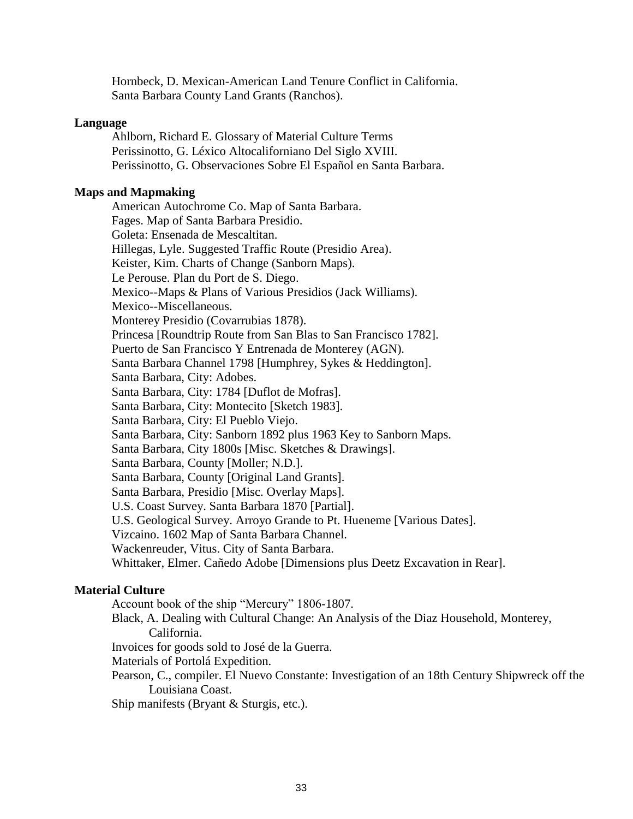Hornbeck, D. Mexican-American Land Tenure Conflict in California. Santa Barbara County Land Grants (Ranchos).

#### **Language**

Ahlborn, Richard E. Glossary of Material Culture Terms Perissinotto, G. Léxico Altocaliforniano Del Siglo XVIII. Perissinotto, G. Observaciones Sobre El Español en Santa Barbara.

#### **Maps and Mapmaking**

American Autochrome Co. Map of Santa Barbara. Fages. Map of Santa Barbara Presidio. Goleta: Ensenada de Mescaltitan. Hillegas, Lyle. Suggested Traffic Route (Presidio Area). Keister, Kim. Charts of Change (Sanborn Maps). Le Perouse. Plan du Port de S. Diego. Mexico--Maps & Plans of Various Presidios (Jack Williams). Mexico--Miscellaneous. Monterey Presidio (Covarrubias 1878). Princesa [Roundtrip Route from San Blas to San Francisco 1782]. Puerto de San Francisco Y Entrenada de Monterey (AGN). Santa Barbara Channel 1798 [Humphrey, Sykes & Heddington]. Santa Barbara, City: Adobes. Santa Barbara, City: 1784 [Duflot de Mofras]. Santa Barbara, City: Montecito [Sketch 1983]. Santa Barbara, City: El Pueblo Viejo. Santa Barbara, City: Sanborn 1892 plus 1963 Key to Sanborn Maps. Santa Barbara, City 1800s [Misc. Sketches & Drawings]. Santa Barbara, County [Moller; N.D.]. Santa Barbara, County [Original Land Grants]. Santa Barbara, Presidio [Misc. Overlay Maps]. U.S. Coast Survey. Santa Barbara 1870 [Partial]. U.S. Geological Survey. Arroyo Grande to Pt. Hueneme [Various Dates]. Vizcaino. 1602 Map of Santa Barbara Channel. Wackenreuder, Vitus. City of Santa Barbara. Whittaker, Elmer. Cañedo Adobe [Dimensions plus Deetz Excavation in Rear].

#### **Material Culture**

Account book of the ship "Mercury" 1806-1807.

- Black, A. Dealing with Cultural Change: An Analysis of the Diaz Household, Monterey, California.
- Invoices for goods sold to José de la Guerra.
- Materials of Portolá Expedition.
- Pearson, C., compiler. El Nuevo Constante: Investigation of an 18th Century Shipwreck off the Louisiana Coast.

Ship manifests (Bryant & Sturgis, etc.).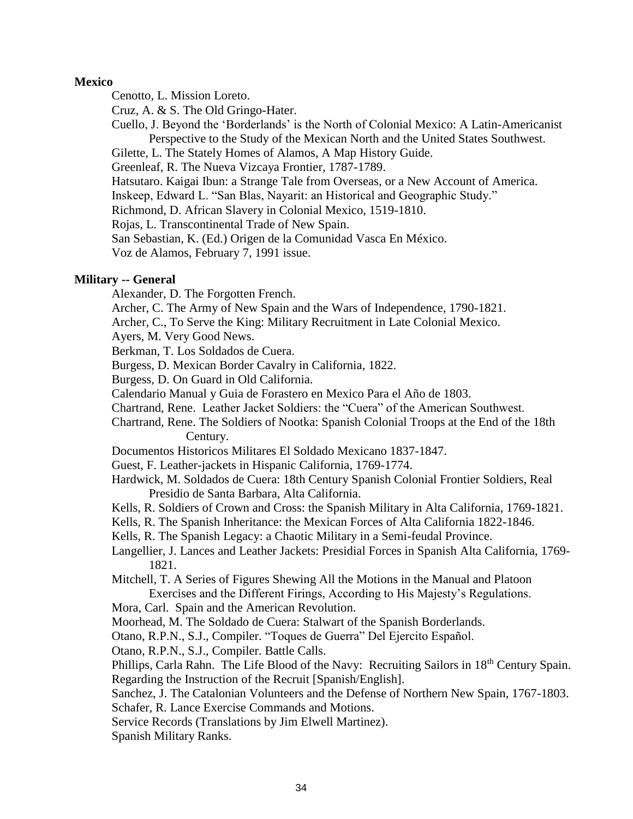## **Mexico**

Cenotto, L. Mission Loreto.

Cruz, A. & S. The Old Gringo-Hater.

Cuello, J. Beyond the 'Borderlands' is the North of Colonial Mexico: A Latin-Americanist Perspective to the Study of the Mexican North and the United States Southwest.

Gilette, L. The Stately Homes of Alamos, A Map History Guide.

Greenleaf, R. The Nueva Vizcaya Frontier, 1787-1789.

Hatsutaro. Kaigai Ibun: a Strange Tale from Overseas, or a New Account of America.

Inskeep, Edward L. "San Blas, Nayarit: an Historical and Geographic Study."

Richmond, D. African Slavery in Colonial Mexico, 1519-1810.

Rojas, L. Transcontinental Trade of New Spain.

San Sebastian, K. (Ed.) Origen de la Comunidad Vasca En México.

Voz de Alamos, February 7, 1991 issue.

# **Military -- General**

Alexander, D. The Forgotten French.

Archer, C. The Army of New Spain and the Wars of Independence, 1790-1821.

Archer, C., To Serve the King: Military Recruitment in Late Colonial Mexico.

Ayers, M. Very Good News.

Berkman, T. Los Soldados de Cuera.

Burgess, D. Mexican Border Cavalry in California, 1822.

Burgess, D. On Guard in Old California.

Calendario Manual y Guia de Forastero en Mexico Para el Año de 1803.

Chartrand, Rene. Leather Jacket Soldiers: the "Cuera" of the American Southwest.

Chartrand, Rene. The Soldiers of Nootka: Spanish Colonial Troops at the End of the 18th Century.

Documentos Historicos Militares El Soldado Mexicano 1837-1847.

Guest, F. Leather-jackets in Hispanic California, 1769-1774.

Hardwick, M. Soldados de Cuera: 18th Century Spanish Colonial Frontier Soldiers, Real Presidio de Santa Barbara, Alta California.

Kells, R. Soldiers of Crown and Cross: the Spanish Military in Alta California, 1769-1821.

Kells, R. The Spanish Inheritance: the Mexican Forces of Alta California 1822-1846.

Kells, R. The Spanish Legacy: a Chaotic Military in a Semi-feudal Province.

Langellier, J. Lances and Leather Jackets: Presidial Forces in Spanish Alta California, 1769- 1821.

Mitchell, T. A Series of Figures Shewing All the Motions in the Manual and Platoon Exercises and the Different Firings, According to His Majesty's Regulations.

Mora, Carl. Spain and the American Revolution.

Moorhead, M. The Soldado de Cuera: Stalwart of the Spanish Borderlands.

Otano, R.P.N., S.J., Compiler. "Toques de Guerra" Del Ejercito Español.

Otano, R.P.N., S.J., Compiler. Battle Calls.

Phillips, Carla Rahn. The Life Blood of the Navy: Recruiting Sailors in 18<sup>th</sup> Century Spain. Regarding the Instruction of the Recruit [Spanish/English].

Sanchez, J. The Catalonian Volunteers and the Defense of Northern New Spain, 1767-1803.

Schafer, R. Lance Exercise Commands and Motions.

Service Records (Translations by Jim Elwell Martinez).

Spanish Military Ranks.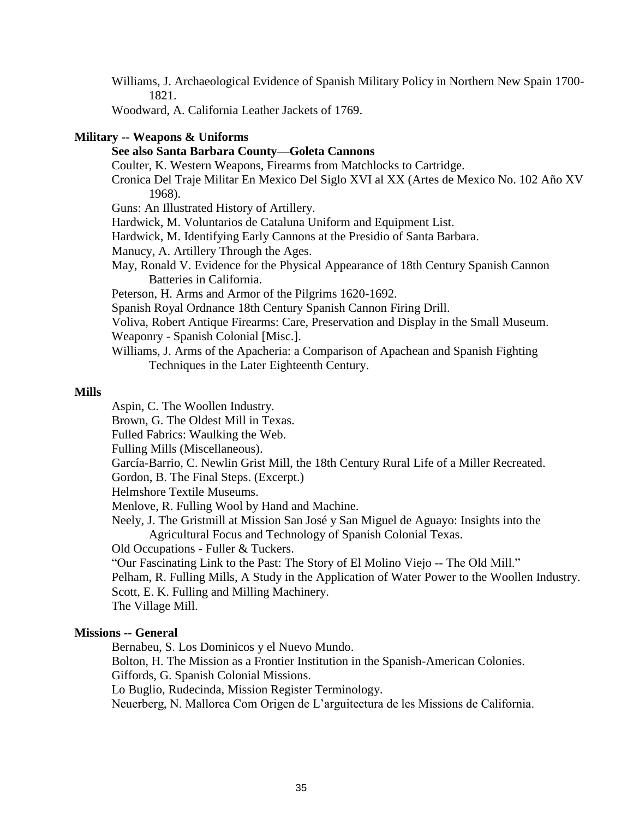Williams, J. Archaeological Evidence of Spanish Military Policy in Northern New Spain 1700- 1821.

Woodward, A. California Leather Jackets of 1769.

# **Military -- Weapons & Uniforms**

# **See also Santa Barbara County—Goleta Cannons**

Coulter, K. Western Weapons, Firearms from Matchlocks to Cartridge.

Cronica Del Traje Militar En Mexico Del Siglo XVI al XX (Artes de Mexico No. 102 Año XV 1968).

Guns: An Illustrated History of Artillery.

- Hardwick, M. Voluntarios de Cataluna Uniform and Equipment List.
- Hardwick, M. Identifying Early Cannons at the Presidio of Santa Barbara.

Manucy, A. Artillery Through the Ages.

May, Ronald V. Evidence for the Physical Appearance of 18th Century Spanish Cannon Batteries in California.

Peterson, H. Arms and Armor of the Pilgrims 1620-1692.

Spanish Royal Ordnance 18th Century Spanish Cannon Firing Drill.

- Voliva, Robert Antique Firearms: Care, Preservation and Display in the Small Museum.
- Weaponry Spanish Colonial [Misc.].
- Williams, J. Arms of the Apacheria: a Comparison of Apachean and Spanish Fighting Techniques in the Later Eighteenth Century.

# **Mills**

Aspin, C. The Woollen Industry.

Brown, G. The Oldest Mill in Texas.

Fulled Fabrics: Waulking the Web.

Fulling Mills (Miscellaneous).

García-Barrio, C. Newlin Grist Mill, the 18th Century Rural Life of a Miller Recreated.

Gordon, B. The Final Steps. (Excerpt.)

Helmshore Textile Museums.

Menlove, R. Fulling Wool by Hand and Machine.

Neely, J. The Gristmill at Mission San José y San Miguel de Aguayo: Insights into the Agricultural Focus and Technology of Spanish Colonial Texas.

Old Occupations - Fuller & Tuckers.

"Our Fascinating Link to the Past: The Story of El Molino Viejo -- The Old Mill."

Pelham, R. Fulling Mills, A Study in the Application of Water Power to the Woollen Industry. Scott, E. K. Fulling and Milling Machinery.

The Village Mill.

## **Missions -- General**

Bernabeu, S. Los Dominicos y el Nuevo Mundo.

Bolton, H. The Mission as a Frontier Institution in the Spanish-American Colonies.

Giffords, G. Spanish Colonial Missions.

Lo Buglio, Rudecinda, Mission Register Terminology.

Neuerberg, N. Mallorca Com Origen de L'arguitectura de les Missions de California.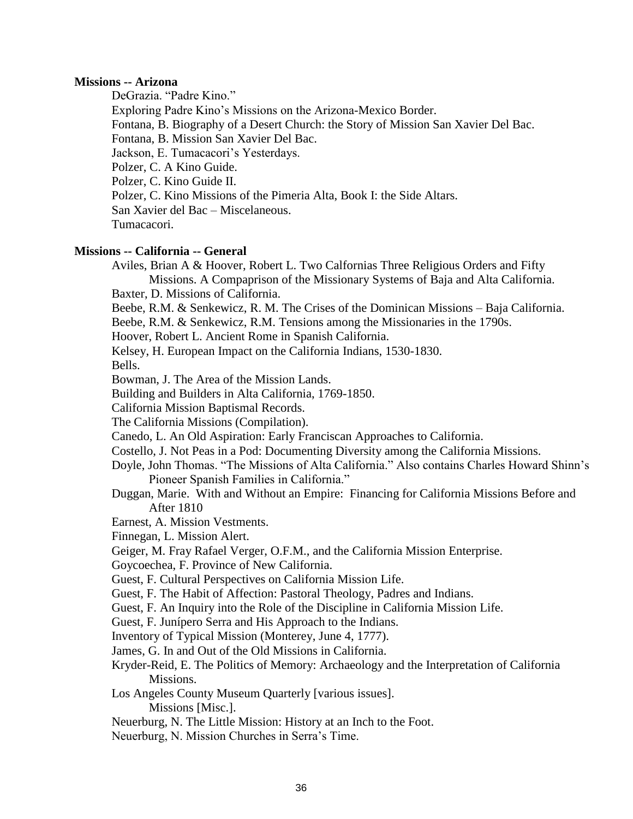## **Missions -- Arizona**

DeGrazia. "Padre Kino."

Exploring Padre Kino's Missions on the Arizona-Mexico Border.

Fontana, B. Biography of a Desert Church: the Story of Mission San Xavier Del Bac.

Fontana, B. Mission San Xavier Del Bac.

Jackson, E. Tumacacori's Yesterdays.

Polzer, C. A Kino Guide.

Polzer, C. Kino Guide II.

Polzer, C. Kino Missions of the Pimeria Alta, Book I: the Side Altars.

San Xavier del Bac – Miscelaneous.

Tumacacori.

# **Missions -- California -- General**

Aviles, Brian A & Hoover, Robert L. Two Calfornias Three Religious Orders and Fifty Missions. A Compaprison of the Missionary Systems of Baja and Alta California.

Baxter, D. Missions of California.

Beebe, R.M. & Senkewicz, R. M. The Crises of the Dominican Missions – Baja California.

Beebe, R.M. & Senkewicz, R.M. Tensions among the Missionaries in the 1790s.

Hoover, Robert L. Ancient Rome in Spanish California.

Kelsey, H. European Impact on the California Indians, 1530-1830.

Bells.

Bowman, J. The Area of the Mission Lands.

Building and Builders in Alta California, 1769-1850.

California Mission Baptismal Records.

The California Missions (Compilation).

Canedo, L. An Old Aspiration: Early Franciscan Approaches to California.

Costello, J. Not Peas in a Pod: Documenting Diversity among the California Missions.

- Doyle, John Thomas. "The Missions of Alta California." Also contains Charles Howard Shinn's Pioneer Spanish Families in California."
- Duggan, Marie. With and Without an Empire: Financing for California Missions Before and After 1810

Earnest, A. Mission Vestments.

Finnegan, L. Mission Alert.

Geiger, M. Fray Rafael Verger, O.F.M., and the California Mission Enterprise.

Goycoechea, F. Province of New California.

Guest, F. Cultural Perspectives on California Mission Life.

Guest, F. The Habit of Affection: Pastoral Theology, Padres and Indians.

Guest, F. An Inquiry into the Role of the Discipline in California Mission Life.

Guest, F. Junípero Serra and His Approach to the Indians.

Inventory of Typical Mission (Monterey, June 4, 1777).

James, G. In and Out of the Old Missions in California.

Kryder-Reid, E. The Politics of Memory: Archaeology and the Interpretation of California Missions.

Los Angeles County Museum Quarterly [various issues].

Missions [Misc.].

Neuerburg, N. The Little Mission: History at an Inch to the Foot.

Neuerburg, N. Mission Churches in Serra's Time.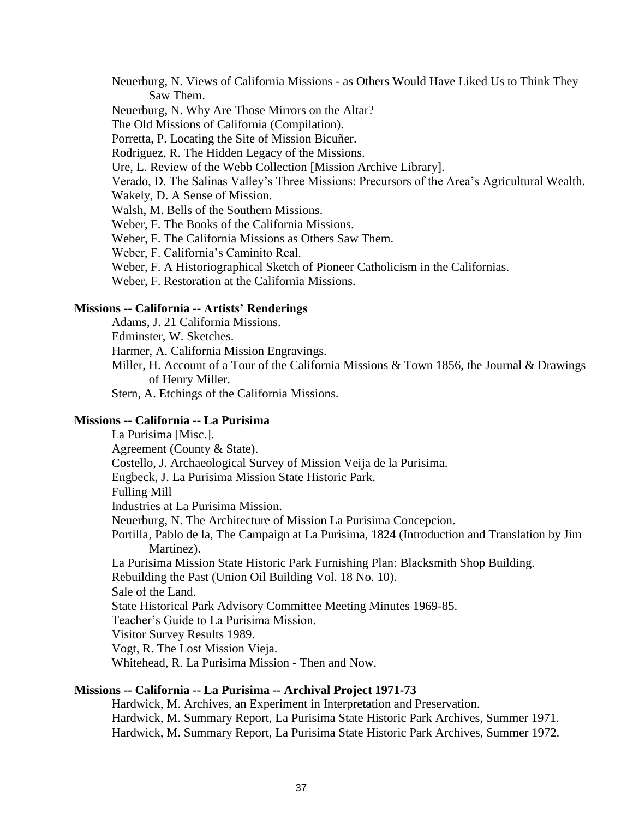Neuerburg, N. Views of California Missions - as Others Would Have Liked Us to Think They Saw Them.

Neuerburg, N. Why Are Those Mirrors on the Altar?

The Old Missions of California (Compilation).

Porretta, P. Locating the Site of Mission Bicuñer.

Rodriguez, R. The Hidden Legacy of the Missions.

Ure, L. Review of the Webb Collection [Mission Archive Library].

Verado, D. The Salinas Valley's Three Missions: Precursors of the Area's Agricultural Wealth.

Wakely, D. A Sense of Mission.

Walsh, M. Bells of the Southern Missions.

Weber, F. The Books of the California Missions.

Weber, F. The California Missions as Others Saw Them.

Weber, F. California's Caminito Real.

Weber, F. A Historiographical Sketch of Pioneer Catholicism in the Californias.

Weber, F. Restoration at the California Missions.

# **Missions -- California -- Artists' Renderings**

Adams, J. 21 California Missions.

Edminster, W. Sketches.

Harmer, A. California Mission Engravings.

Miller, H. Account of a Tour of the California Missions & Town 1856, the Journal & Drawings of Henry Miller.

Stern, A. Etchings of the California Missions.

#### **Missions -- California -- La Purisima**

La Purisima [Misc.]. Agreement (County & State). Costello, J. Archaeological Survey of Mission Veija de la Purisima. Engbeck, J. La Purisima Mission State Historic Park. Fulling Mill Industries at La Purisima Mission. Neuerburg, N. The Architecture of Mission La Purisima Concepcion. Portilla, Pablo de la, The Campaign at La Purisima, 1824 (Introduction and Translation by Jim Martinez). La Purisima Mission State Historic Park Furnishing Plan: Blacksmith Shop Building. Rebuilding the Past (Union Oil Building Vol. 18 No. 10). Sale of the Land. State Historical Park Advisory Committee Meeting Minutes 1969-85. Teacher's Guide to La Purisima Mission. Visitor Survey Results 1989. Vogt, R. The Lost Mission Vieja.

Whitehead, R. La Purisima Mission - Then and Now.

## **Missions -- California -- La Purisima -- Archival Project 1971-73**

Hardwick, M. Archives, an Experiment in Interpretation and Preservation. Hardwick, M. Summary Report, La Purisima State Historic Park Archives, Summer 1971. Hardwick, M. Summary Report, La Purisima State Historic Park Archives, Summer 1972.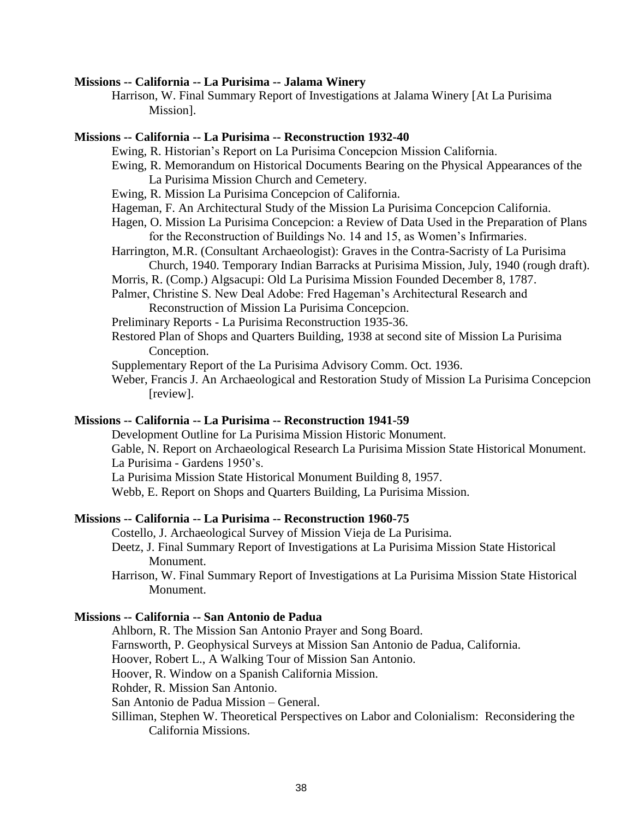#### **Missions -- California -- La Purisima -- Jalama Winery**

Harrison, W. Final Summary Report of Investigations at Jalama Winery [At La Purisima Mission].

#### **Missions -- California -- La Purisima -- Reconstruction 1932-40**

- Ewing, R. Historian's Report on La Purisima Concepcion Mission California.
- Ewing, R. Memorandum on Historical Documents Bearing on the Physical Appearances of the La Purisima Mission Church and Cemetery.
- Ewing, R. Mission La Purisima Concepcion of California.
- Hageman, F. An Architectural Study of the Mission La Purisima Concepcion California.
- Hagen, O. Mission La Purisima Concepcion: a Review of Data Used in the Preparation of Plans for the Reconstruction of Buildings No. 14 and 15, as Women's Infirmaries.
- Harrington, M.R. (Consultant Archaeologist): Graves in the Contra-Sacristy of La Purisima Church, 1940. Temporary Indian Barracks at Purisima Mission, July, 1940 (rough draft).
- Morris, R. (Comp.) Algsacupi: Old La Purisima Mission Founded December 8, 1787.
- Palmer, Christine S. New Deal Adobe: Fred Hageman's Architectural Research and Reconstruction of Mission La Purisima Concepcion.
- Preliminary Reports La Purisima Reconstruction 1935-36.
- Restored Plan of Shops and Quarters Building, 1938 at second site of Mission La Purisima Conception.
- Supplementary Report of the La Purisima Advisory Comm. Oct. 1936.
- Weber, Francis J. An Archaeological and Restoration Study of Mission La Purisima Concepcion [review].

# **Missions -- California -- La Purisima -- Reconstruction 1941-59**

Development Outline for La Purisima Mission Historic Monument. Gable, N. Report on Archaeological Research La Purisima Mission State Historical Monument. La Purisima - Gardens 1950's.

La Purisima Mission State Historical Monument Building 8, 1957.

Webb, E. Report on Shops and Quarters Building, La Purisima Mission.

## **Missions -- California -- La Purisima -- Reconstruction 1960-75**

Costello, J. Archaeological Survey of Mission Vieja de La Purisima. Deetz, J. Final Summary Report of Investigations at La Purisima Mission State Historical Monument.

Harrison, W. Final Summary Report of Investigations at La Purisima Mission State Historical Monument.

### **Missions -- California -- San Antonio de Padua**

Ahlborn, R. The Mission San Antonio Prayer and Song Board. Farnsworth, P. Geophysical Surveys at Mission San Antonio de Padua, California. Hoover, Robert L., A Walking Tour of Mission San Antonio. Hoover, R. Window on a Spanish California Mission. Rohder, R. Mission San Antonio. San Antonio de Padua Mission – General. Silliman, Stephen W. Theoretical Perspectives on Labor and Colonialism: Reconsidering the

California Missions.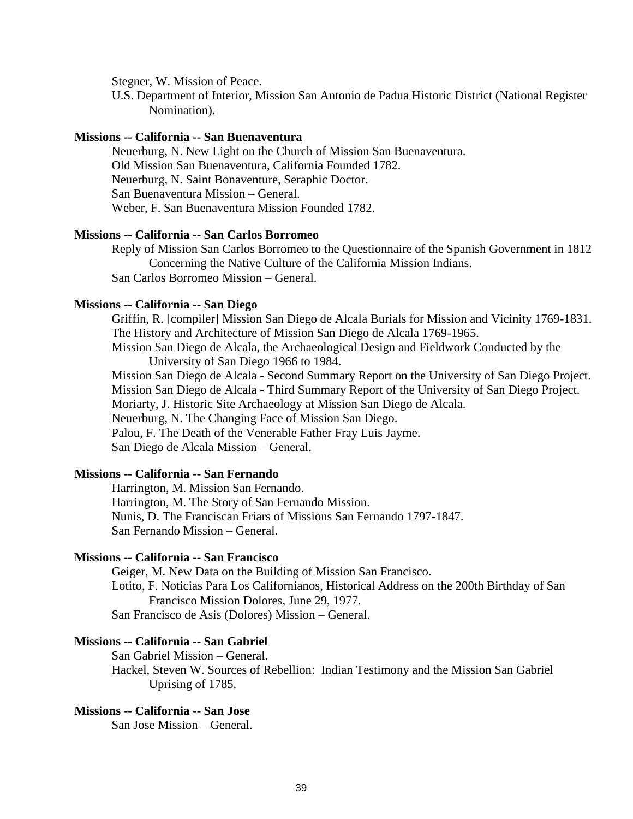Stegner, W. Mission of Peace.

U.S. Department of Interior, Mission San Antonio de Padua Historic District (National Register Nomination).

#### **Missions -- California -- San Buenaventura**

Neuerburg, N. New Light on the Church of Mission San Buenaventura. Old Mission San Buenaventura, California Founded 1782. Neuerburg, N. Saint Bonaventure, Seraphic Doctor. San Buenaventura Mission – General. Weber, F. San Buenaventura Mission Founded 1782.

## **Missions -- California -- San Carlos Borromeo**

Reply of Mission San Carlos Borromeo to the Questionnaire of the Spanish Government in 1812 Concerning the Native Culture of the California Mission Indians. San Carlos Borromeo Mission – General.

#### **Missions -- California -- San Diego**

Griffin, R. [compiler] Mission San Diego de Alcala Burials for Mission and Vicinity 1769-1831. The History and Architecture of Mission San Diego de Alcala 1769-1965.

Mission San Diego de Alcala, the Archaeological Design and Fieldwork Conducted by the University of San Diego 1966 to 1984.

Mission San Diego de Alcala - Second Summary Report on the University of San Diego Project. Mission San Diego de Alcala - Third Summary Report of the University of San Diego Project. Moriarty, J. Historic Site Archaeology at Mission San Diego de Alcala. Neuerburg, N. The Changing Face of Mission San Diego. Palou, F. The Death of the Venerable Father Fray Luis Jayme. San Diego de Alcala Mission – General.

# **Missions -- California -- San Fernando**

Harrington, M. Mission San Fernando. Harrington, M. The Story of San Fernando Mission. Nunis, D. The Franciscan Friars of Missions San Fernando 1797-1847. San Fernando Mission – General.

## **Missions -- California -- San Francisco**

Geiger, M. New Data on the Building of Mission San Francisco. Lotito, F. Noticias Para Los Californianos, Historical Address on the 200th Birthday of San Francisco Mission Dolores, June 29, 1977. San Francisco de Asis (Dolores) Mission – General.

#### **Missions -- California -- San Gabriel**

San Gabriel Mission – General. Hackel, Steven W. Sources of Rebellion: Indian Testimony and the Mission San Gabriel Uprising of 1785.

# **Missions -- California -- San Jose**

San Jose Mission – General.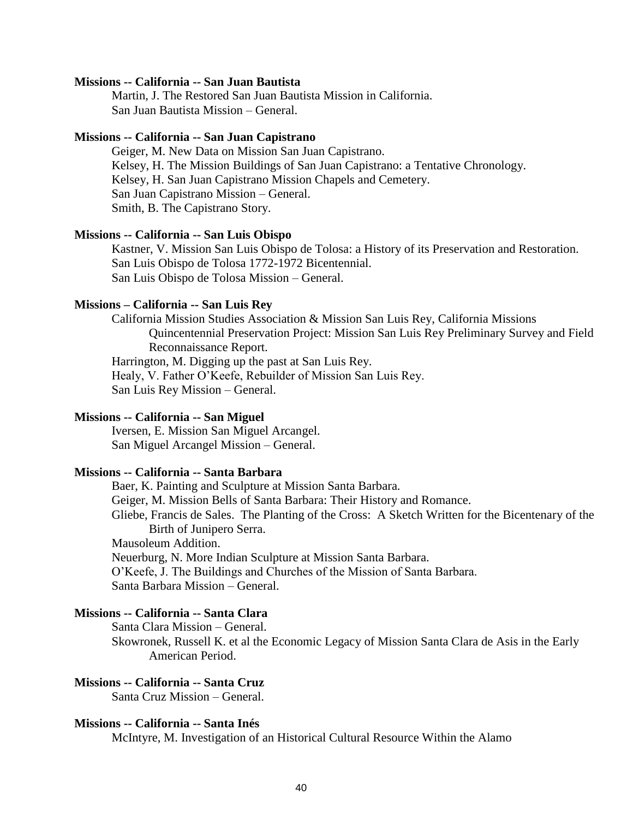#### **Missions -- California -- San Juan Bautista**

Martin, J. The Restored San Juan Bautista Mission in California. San Juan Bautista Mission – General.

#### **Missions -- California -- San Juan Capistrano**

Geiger, M. New Data on Mission San Juan Capistrano. Kelsey, H. The Mission Buildings of San Juan Capistrano: a Tentative Chronology. Kelsey, H. San Juan Capistrano Mission Chapels and Cemetery. San Juan Capistrano Mission – General. Smith, B. The Capistrano Story.

#### **Missions -- California -- San Luis Obispo**

Kastner, V. Mission San Luis Obispo de Tolosa: a History of its Preservation and Restoration. San Luis Obispo de Tolosa 1772-1972 Bicentennial. San Luis Obispo de Tolosa Mission – General.

#### **Missions – California -- San Luis Rey**

California Mission Studies Association & Mission San Luis Rey, California Missions Quincentennial Preservation Project: Mission San Luis Rey Preliminary Survey and Field Reconnaissance Report. Harrington, M. Digging up the past at San Luis Rey.

Healy, V. Father O'Keefe, Rebuilder of Mission San Luis Rey. San Luis Rey Mission – General.

## **Missions -- California -- San Miguel**

Iversen, E. Mission San Miguel Arcangel. San Miguel Arcangel Mission – General.

# **Missions -- California -- Santa Barbara**

Baer, K. Painting and Sculpture at Mission Santa Barbara. Geiger, M. Mission Bells of Santa Barbara: Their History and Romance. Gliebe, Francis de Sales. The Planting of the Cross: A Sketch Written for the Bicentenary of the Birth of Junipero Serra. Mausoleum Addition. Neuerburg, N. More Indian Sculpture at Mission Santa Barbara. O'Keefe, J. The Buildings and Churches of the Mission of Santa Barbara. Santa Barbara Mission – General.

# **Missions -- California -- Santa Clara**

Santa Clara Mission – General. Skowronek, Russell K. et al the Economic Legacy of Mission Santa Clara de Asis in the Early American Period.

# **Missions -- California -- Santa Cruz**

Santa Cruz Mission – General.

## **Missions -- California -- Santa Inés**

McIntyre, M. Investigation of an Historical Cultural Resource Within the Alamo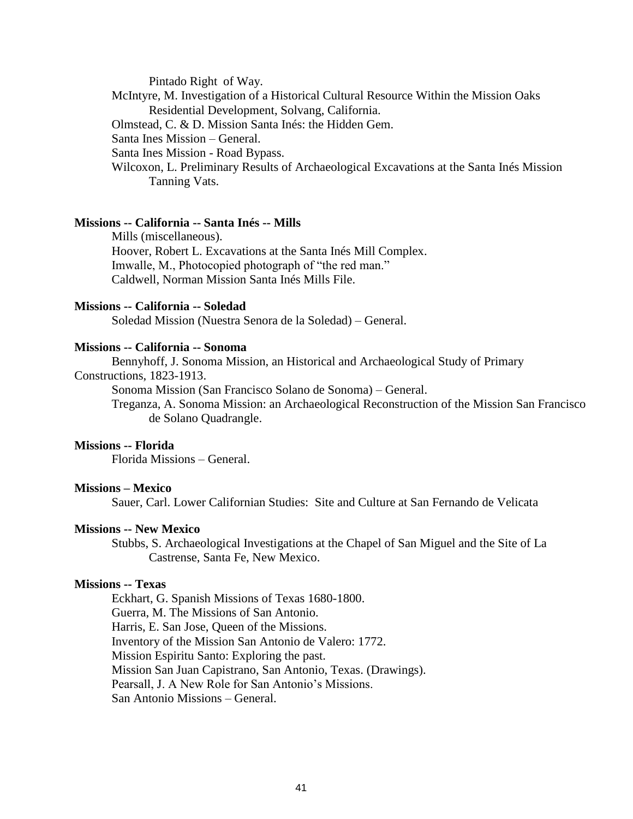Pintado Right of Way.

- McIntyre, M. Investigation of a Historical Cultural Resource Within the Mission Oaks Residential Development, Solvang, California.
- Olmstead, C. & D. Mission Santa Inés: the Hidden Gem.
- Santa Ines Mission General.
- Santa Ines Mission Road Bypass.
- Wilcoxon, L. Preliminary Results of Archaeological Excavations at the Santa Inés Mission Tanning Vats.

# **Missions -- California -- Santa Inés -- Mills**

Mills (miscellaneous). Hoover, Robert L. Excavations at the Santa Inés Mill Complex. Imwalle, M., Photocopied photograph of "the red man." Caldwell, Norman Mission Santa Inés Mills File.

#### **Missions -- California -- Soledad**

Soledad Mission (Nuestra Senora de la Soledad) – General.

## **Missions -- California -- Sonoma**

Bennyhoff, J. Sonoma Mission, an Historical and Archaeological Study of Primary

# Constructions, 1823-1913.

Sonoma Mission (San Francisco Solano de Sonoma) – General.

Treganza, A. Sonoma Mission: an Archaeological Reconstruction of the Mission San Francisco de Solano Quadrangle.

#### **Missions -- Florida**

Florida Missions – General.

#### **Missions – Mexico**

Sauer, Carl. Lower Californian Studies: Site and Culture at San Fernando de Velicata

# **Missions -- New Mexico**

Stubbs, S. Archaeological Investigations at the Chapel of San Miguel and the Site of La Castrense, Santa Fe, New Mexico.

#### **Missions -- Texas**

Eckhart, G. Spanish Missions of Texas 1680-1800. Guerra, M. The Missions of San Antonio. Harris, E. San Jose, Queen of the Missions. Inventory of the Mission San Antonio de Valero: 1772. Mission Espiritu Santo: Exploring the past. Mission San Juan Capistrano, San Antonio, Texas. (Drawings). Pearsall, J. A New Role for San Antonio's Missions. San Antonio Missions – General.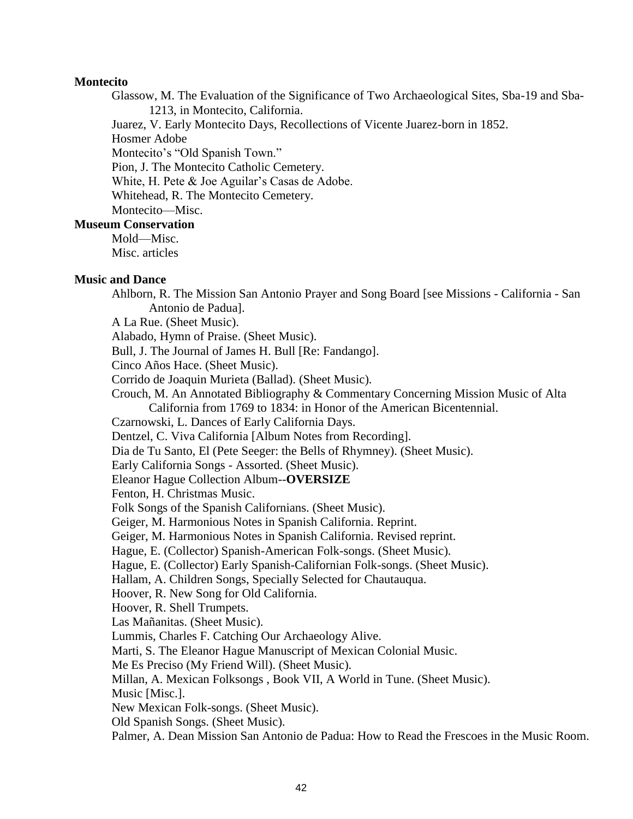### **Montecito**

Glassow, M. The Evaluation of the Significance of Two Archaeological Sites, Sba-19 and Sba-1213, in Montecito, California.

Juarez, V. Early Montecito Days, Recollections of Vicente Juarez-born in 1852.

Hosmer Adobe

Montecito's "Old Spanish Town."

Pion, J. The Montecito Catholic Cemetery.

White, H. Pete & Joe Aguilar's Casas de Adobe.

Whitehead, R. The Montecito Cemetery.

Montecito—Misc.

## **Museum Conservation**

Mold—Misc. Misc. articles

#### **Music and Dance**

Ahlborn, R. The Mission San Antonio Prayer and Song Board [see Missions - California - San Antonio de Padua].

A La Rue. (Sheet Music).

Alabado, Hymn of Praise. (Sheet Music).

Bull, J. The Journal of James H. Bull [Re: Fandango].

Cinco Años Hace. (Sheet Music).

Corrido de Joaquin Murieta (Ballad). (Sheet Music).

Crouch, M. An Annotated Bibliography & Commentary Concerning Mission Music of Alta California from 1769 to 1834: in Honor of the American Bicentennial.

Czarnowski, L. Dances of Early California Days.

Dentzel, C. Viva California [Album Notes from Recording].

Dia de Tu Santo, El (Pete Seeger: the Bells of Rhymney). (Sheet Music).

Early California Songs - Assorted. (Sheet Music).

Eleanor Hague Collection Album--**OVERSIZE**

Fenton, H. Christmas Music.

Folk Songs of the Spanish Californians. (Sheet Music).

Geiger, M. Harmonious Notes in Spanish California. Reprint.

Geiger, M. Harmonious Notes in Spanish California. Revised reprint.

Hague, E. (Collector) Spanish-American Folk-songs. (Sheet Music).

Hague, E. (Collector) Early Spanish-Californian Folk-songs. (Sheet Music).

Hallam, A. Children Songs, Specially Selected for Chautauqua.

Hoover, R. New Song for Old California.

Hoover, R. Shell Trumpets.

Las Mañanitas. (Sheet Music).

Lummis, Charles F. Catching Our Archaeology Alive.

Marti, S. The Eleanor Hague Manuscript of Mexican Colonial Music.

Me Es Preciso (My Friend Will). (Sheet Music).

Millan, A. Mexican Folksongs , Book VII, A World in Tune. (Sheet Music).

Music [Misc.].

New Mexican Folk-songs. (Sheet Music).

Old Spanish Songs. (Sheet Music).

Palmer, A. Dean Mission San Antonio de Padua: How to Read the Frescoes in the Music Room.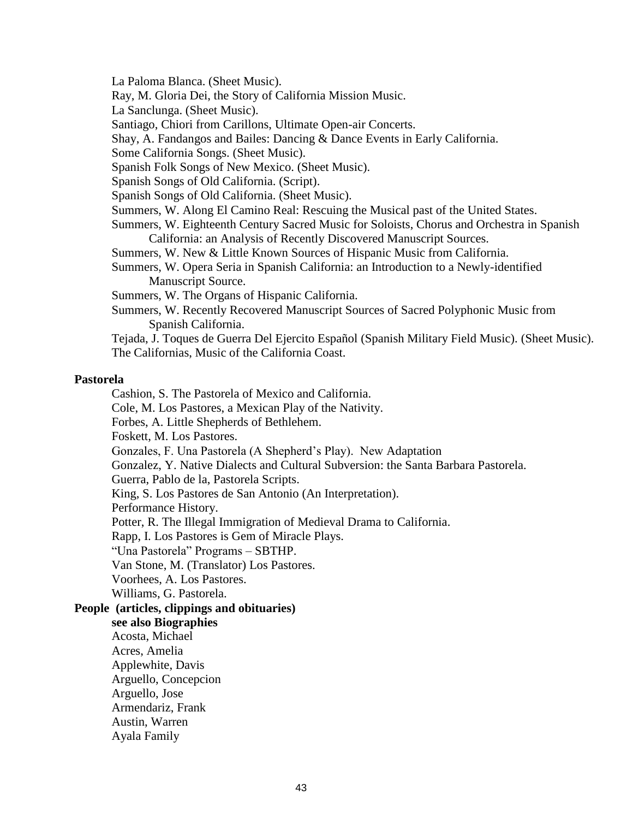La Paloma Blanca. (Sheet Music).

Ray, M. Gloria Dei, the Story of California Mission Music.

La Sanclunga. (Sheet Music).

Santiago, Chiori from Carillons, Ultimate Open-air Concerts.

Shay, A. Fandangos and Bailes: Dancing & Dance Events in Early California.

Some California Songs. (Sheet Music).

Spanish Folk Songs of New Mexico. (Sheet Music).

Spanish Songs of Old California. (Script).

Spanish Songs of Old California. (Sheet Music).

Summers, W. Along El Camino Real: Rescuing the Musical past of the United States.

Summers, W. Eighteenth Century Sacred Music for Soloists, Chorus and Orchestra in Spanish California: an Analysis of Recently Discovered Manuscript Sources.

Summers, W. New & Little Known Sources of Hispanic Music from California.

Summers, W. Opera Seria in Spanish California: an Introduction to a Newly-identified Manuscript Source.

Summers, W. The Organs of Hispanic California.

Summers, W. Recently Recovered Manuscript Sources of Sacred Polyphonic Music from Spanish California.

Tejada, J. Toques de Guerra Del Ejercito Español (Spanish Military Field Music). (Sheet Music). The Californias, Music of the California Coast.

#### **Pastorela**

Cashion, S. The Pastorela of Mexico and California.

Cole, M. Los Pastores, a Mexican Play of the Nativity.

Forbes, A. Little Shepherds of Bethlehem.

Foskett, M. Los Pastores.

Gonzales, F. Una Pastorela (A Shepherd's Play). New Adaptation

Gonzalez, Y. Native Dialects and Cultural Subversion: the Santa Barbara Pastorela.

Guerra, Pablo de la, Pastorela Scripts.

King, S. Los Pastores de San Antonio (An Interpretation).

Performance History.

Potter, R. The Illegal Immigration of Medieval Drama to California.

Rapp, I. Los Pastores is Gem of Miracle Plays.

"Una Pastorela" Programs – SBTHP.

Van Stone, M. (Translator) Los Pastores.

Voorhees, A. Los Pastores.

Williams, G. Pastorela.

## **People (articles, clippings and obituaries)**

**see also Biographies** Acosta, Michael Acres, Amelia Applewhite, Davis

Arguello, Concepcion

Arguello, Jose

Armendariz, Frank

Austin, Warren

Ayala Family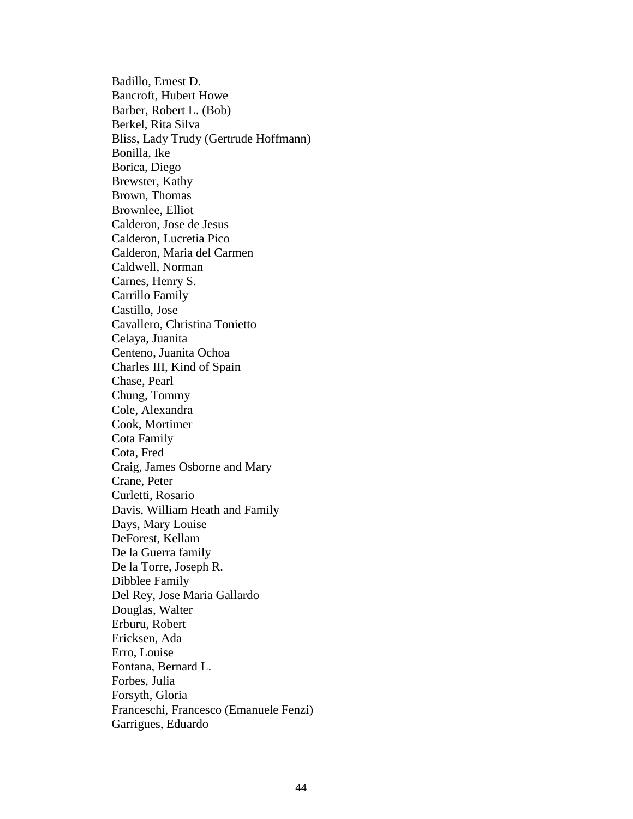Badillo, Ernest D. Bancroft, Hubert Howe Barber, Robert L. (Bob) Berkel, Rita Silva Bliss, Lady Trudy (Gertrude Hoffmann) Bonilla, Ike Borica, Diego Brewster, Kathy Brown, Thomas Brownlee, Elliot Calderon, Jose de Jesus Calderon, Lucretia Pico Calderon, Maria del Carmen Caldwell, Norman Carnes, Henry S. Carrillo Family Castillo, Jose Cavallero, Christina Tonietto Celaya, Juanita Centeno, Juanita Ochoa Charles III, Kind of Spain Chase, Pearl Chung, Tommy Cole, Alexandra Cook, Mortimer Cota Family Cota, Fred Craig, James Osborne and Mary Crane, Peter Curletti, Rosario Davis, William Heath and Family Days, Mary Louise DeForest, Kellam De la Guerra family De la Torre, Joseph R. Dibblee Family Del Rey, Jose Maria Gallardo Douglas, Walter Erburu, Robert Ericksen, Ada Erro, Louise Fontana, Bernard L. Forbes, Julia Forsyth, Gloria Franceschi, Francesco (Emanuele Fenzi) Garrigues, Eduardo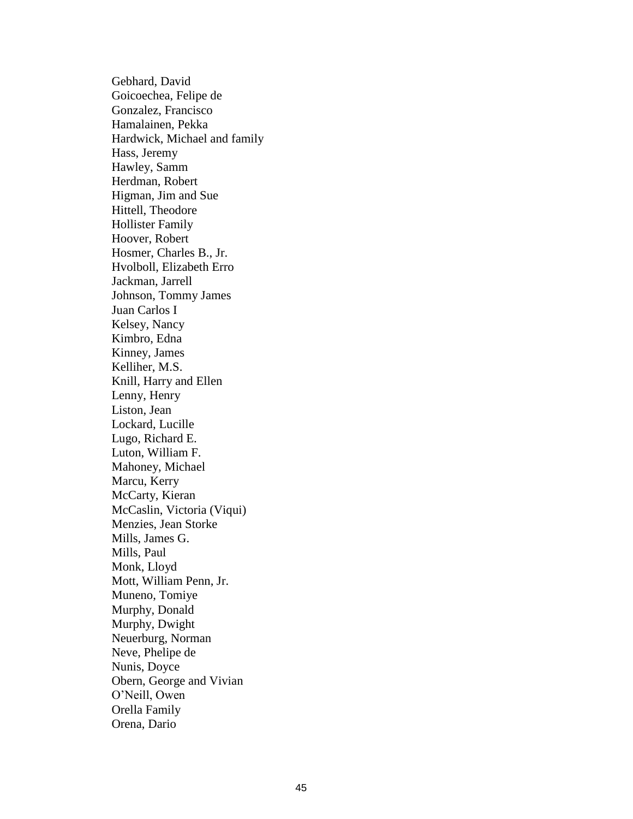Gebhard, David Goicoechea, Felipe de Gonzalez, Francisco Hamalainen, Pekka Hardwick, Michael and family Hass, Jeremy Hawley, Samm Herdman, Robert Higman, Jim and Sue Hittell, Theodore Hollister Family Hoover, Robert Hosmer, Charles B., Jr. Hvolboll, Elizabeth Erro Jackman, Jarrell Johnson, Tommy James Juan Carlos I Kelsey, Nancy Kimbro, Edna Kinney, James Kelliher, M.S. Knill, Harry and Ellen Lenny, Henry Liston, Jean Lockard, Lucille Lugo, Richard E. Luton, William F. Mahoney, Michael Marcu, Kerry McCarty, Kieran McCaslin, Victoria (Viqui) Menzies, Jean Storke Mills, James G. Mills, Paul Monk, Lloyd Mott, William Penn, Jr. Muneno, Tomiye Murphy, Donald Murphy, Dwight Neuerburg, Norman Neve, Phelipe de Nunis, Doyce Obern, George and Vivian O'Neill, Owen Orella Family Orena, Dario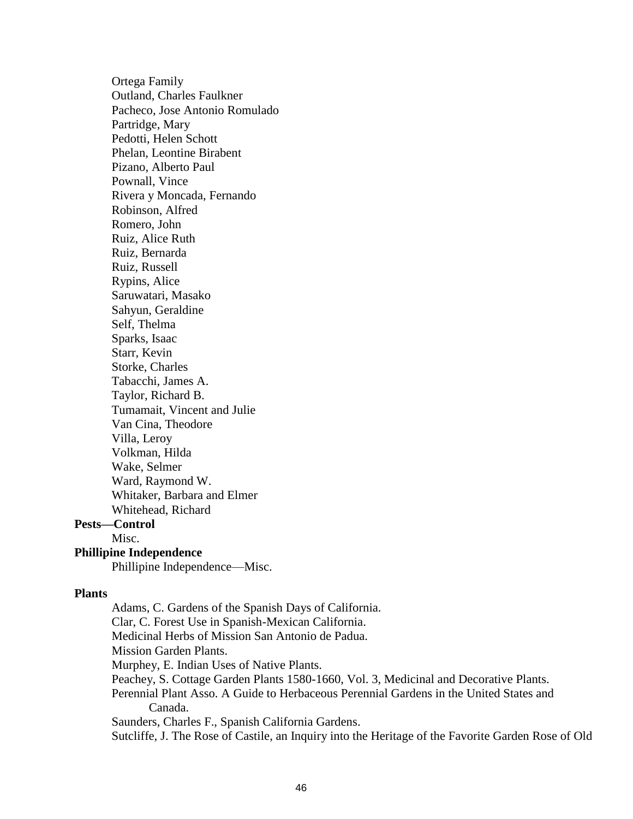Ortega Family Outland, Charles Faulkner Pacheco, Jose Antonio Romulado Partridge, Mary Pedotti, Helen Schott Phelan, Leontine Birabent Pizano, Alberto Paul Pownall, Vince Rivera y Moncada, Fernando Robinson, Alfred Romero, John Ruiz, Alice Ruth Ruiz, Bernarda Ruiz, Russell Rypins, Alice Saruwatari, Masako Sahyun, Geraldine Self, Thelma Sparks, Isaac Starr, Kevin Storke, Charles Tabacchi, James A. Taylor, Richard B. Tumamait, Vincent and Julie Van Cina, Theodore Villa, Leroy Volkman, Hilda Wake, Selmer Ward, Raymond W. Whitaker, Barbara and Elmer Whitehead, Richard **Pests—Control** Misc.

# **Phillipine Independence**

Phillipine Independence—Misc.

#### **Plants**

Adams, C. Gardens of the Spanish Days of California. Clar, C. Forest Use in Spanish-Mexican California. Medicinal Herbs of Mission San Antonio de Padua. Mission Garden Plants. Murphey, E. Indian Uses of Native Plants. Peachey, S. Cottage Garden Plants 1580-1660, Vol. 3, Medicinal and Decorative Plants. Perennial Plant Asso. A Guide to Herbaceous Perennial Gardens in the United States and Canada. Saunders, Charles F., Spanish California Gardens. Sutcliffe, J. The Rose of Castile, an Inquiry into the Heritage of the Favorite Garden Rose of Old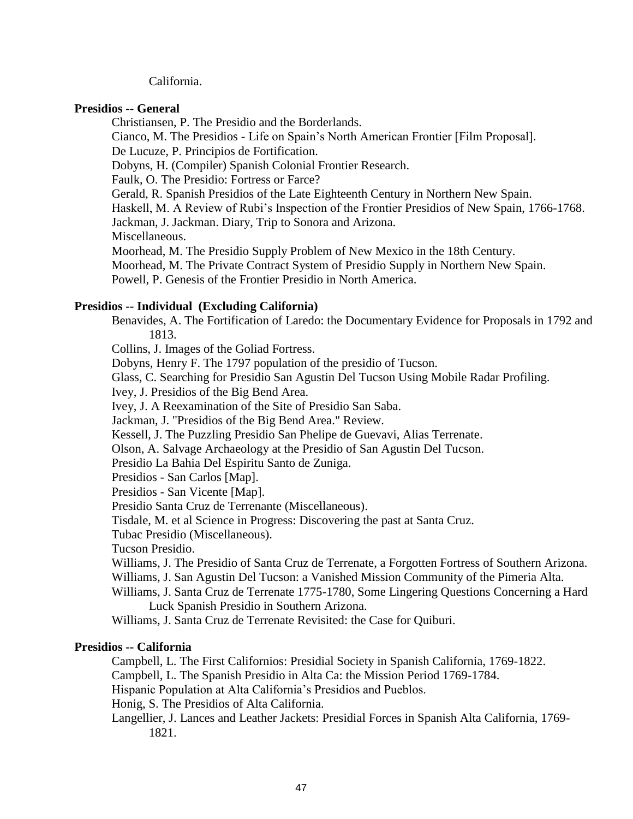## California.

# **Presidios -- General**

Christiansen, P. The Presidio and the Borderlands.

Cianco, M. The Presidios - Life on Spain's North American Frontier [Film Proposal].

De Lucuze, P. Principios de Fortification.

Dobyns, H. (Compiler) Spanish Colonial Frontier Research.

Faulk, O. The Presidio: Fortress or Farce?

Gerald, R. Spanish Presidios of the Late Eighteenth Century in Northern New Spain.

Haskell, M. A Review of Rubi's Inspection of the Frontier Presidios of New Spain, 1766-1768.

Jackman, J. Jackman. Diary, Trip to Sonora and Arizona.

Miscellaneous.

Moorhead, M. The Presidio Supply Problem of New Mexico in the 18th Century.

Moorhead, M. The Private Contract System of Presidio Supply in Northern New Spain.

Powell, P. Genesis of the Frontier Presidio in North America.

# **Presidios -- Individual (Excluding California)**

Benavides, A. The Fortification of Laredo: the Documentary Evidence for Proposals in 1792 and 1813.

Collins, J. Images of the Goliad Fortress.

Dobyns, Henry F. The 1797 population of the presidio of Tucson.

Glass, C. Searching for Presidio San Agustin Del Tucson Using Mobile Radar Profiling.

Ivey, J. Presidios of the Big Bend Area.

Ivey, J. A Reexamination of the Site of Presidio San Saba.

Jackman, J. "Presidios of the Big Bend Area." Review.

Kessell, J. The Puzzling Presidio San Phelipe de Guevavi, Alias Terrenate.

Olson, A. Salvage Archaeology at the Presidio of San Agustin Del Tucson.

Presidio La Bahia Del Espiritu Santo de Zuniga.

Presidios - San Carlos [Map].

Presidios - San Vicente [Map].

Presidio Santa Cruz de Terrenante (Miscellaneous).

Tisdale, M. et al Science in Progress: Discovering the past at Santa Cruz.

Tubac Presidio (Miscellaneous).

Tucson Presidio.

Williams, J. The Presidio of Santa Cruz de Terrenate, a Forgotten Fortress of Southern Arizona.

Williams, J. San Agustin Del Tucson: a Vanished Mission Community of the Pimeria Alta.

Williams, J. Santa Cruz de Terrenate 1775-1780, Some Lingering Questions Concerning a Hard Luck Spanish Presidio in Southern Arizona.

Williams, J. Santa Cruz de Terrenate Revisited: the Case for Quiburi.

# **Presidios -- California**

Campbell, L. The First Californios: Presidial Society in Spanish California, 1769-1822.

Campbell, L. The Spanish Presidio in Alta Ca: the Mission Period 1769-1784.

Hispanic Population at Alta California's Presidios and Pueblos.

Honig, S. The Presidios of Alta California.

Langellier, J. Lances and Leather Jackets: Presidial Forces in Spanish Alta California, 1769- 1821.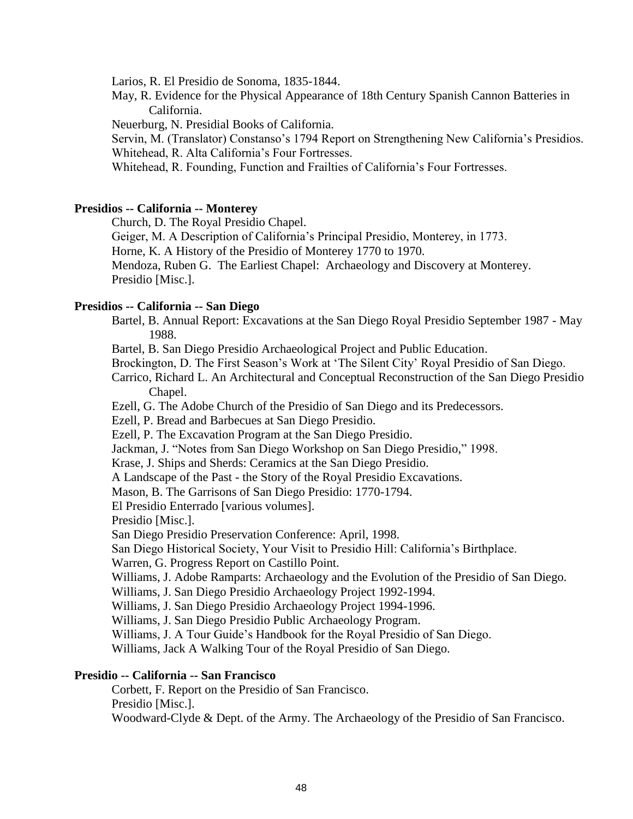Larios, R. El Presidio de Sonoma, 1835-1844.

May, R. Evidence for the Physical Appearance of 18th Century Spanish Cannon Batteries in California.

Neuerburg, N. Presidial Books of California.

Servin, M. (Translator) Constanso's 1794 Report on Strengthening New California's Presidios. Whitehead, R. Alta California's Four Fortresses.

Whitehead, R. Founding, Function and Frailties of California's Four Fortresses.

# **Presidios -- California -- Monterey**

Church, D. The Royal Presidio Chapel.

Geiger, M. A Description of California's Principal Presidio, Monterey, in 1773.

Horne, K. A History of the Presidio of Monterey 1770 to 1970.

Mendoza, Ruben G. The Earliest Chapel: Archaeology and Discovery at Monterey. Presidio [Misc.].

## **Presidios -- California -- San Diego**

Bartel, B. Annual Report: Excavations at the San Diego Royal Presidio September 1987 - May 1988.

Bartel, B. San Diego Presidio Archaeological Project and Public Education.

Brockington, D. The First Season's Work at 'The Silent City' Royal Presidio of San Diego.

Carrico, Richard L. An Architectural and Conceptual Reconstruction of the San Diego Presidio Chapel.

Ezell, G. The Adobe Church of the Presidio of San Diego and its Predecessors.

Ezell, P. Bread and Barbecues at San Diego Presidio.

Ezell, P. The Excavation Program at the San Diego Presidio.

Jackman, J. "Notes from San Diego Workshop on San Diego Presidio," 1998.

Krase, J. Ships and Sherds: Ceramics at the San Diego Presidio.

A Landscape of the Past - the Story of the Royal Presidio Excavations.

Mason, B. The Garrisons of San Diego Presidio: 1770-1794.

El Presidio Enterrado [various volumes].

Presidio [Misc.].

San Diego Presidio Preservation Conference: April, 1998.

San Diego Historical Society, Your Visit to Presidio Hill: California's Birthplace.

Warren, G. Progress Report on Castillo Point.

Williams, J. Adobe Ramparts: Archaeology and the Evolution of the Presidio of San Diego.

Williams, J. San Diego Presidio Archaeology Project 1992-1994.

Williams, J. San Diego Presidio Archaeology Project 1994-1996.

Williams, J. San Diego Presidio Public Archaeology Program.

Williams, J. A Tour Guide's Handbook for the Royal Presidio of San Diego.

Williams, Jack A Walking Tour of the Royal Presidio of San Diego.

# **Presidio -- California -- San Francisco**

Corbett, F. Report on the Presidio of San Francisco. Presidio [Misc.].

Woodward-Clyde & Dept. of the Army. The Archaeology of the Presidio of San Francisco.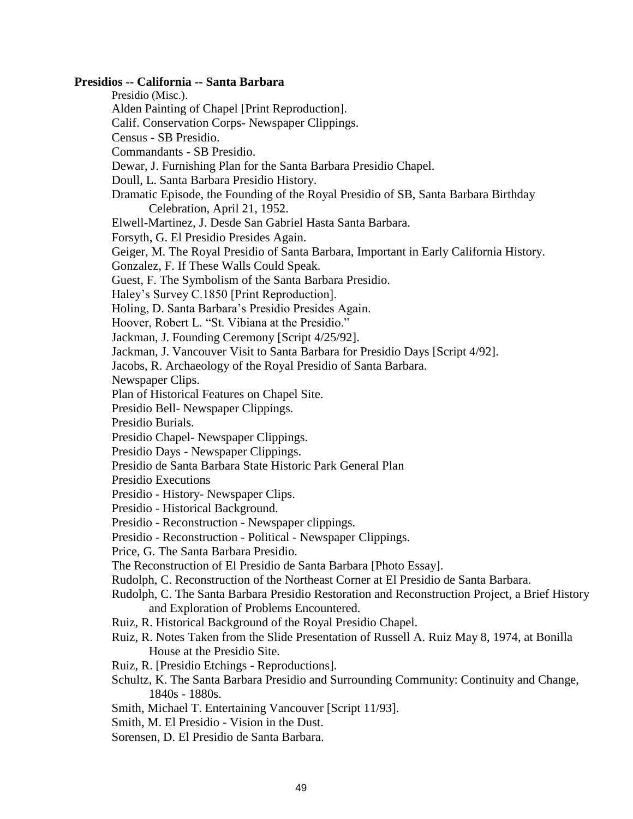### **Presidios -- California -- Santa Barbara**

- Presidio (Misc.).
- Alden Painting of Chapel [Print Reproduction].
- Calif. Conservation Corps- Newspaper Clippings.
- Census SB Presidio.
- Commandants SB Presidio.
- Dewar, J. Furnishing Plan for the Santa Barbara Presidio Chapel.
- Doull, L. Santa Barbara Presidio History.
- Dramatic Episode, the Founding of the Royal Presidio of SB, Santa Barbara Birthday Celebration, April 21, 1952.
- Elwell-Martinez, J. Desde San Gabriel Hasta Santa Barbara.
- Forsyth, G. El Presidio Presides Again.
- Geiger, M. The Royal Presidio of Santa Barbara, Important in Early California History.
- Gonzalez, F. If These Walls Could Speak.
- Guest, F. The Symbolism of the Santa Barbara Presidio.
- Haley's Survey C.1850 [Print Reproduction].
- Holing, D. Santa Barbara's Presidio Presides Again.
- Hoover, Robert L. "St. Vibiana at the Presidio."
- Jackman, J. Founding Ceremony [Script 4/25/92].
- Jackman, J. Vancouver Visit to Santa Barbara for Presidio Days [Script 4/92].
- Jacobs, R. Archaeology of the Royal Presidio of Santa Barbara.
- Newspaper Clips.
- Plan of Historical Features on Chapel Site.
- Presidio Bell- Newspaper Clippings.
- Presidio Burials.
- Presidio Chapel- Newspaper Clippings.
- Presidio Days Newspaper Clippings.
- Presidio de Santa Barbara State Historic Park General Plan
- Presidio Executions
- Presidio History- Newspaper Clips.
- Presidio Historical Background.
- Presidio Reconstruction Newspaper clippings.
- Presidio Reconstruction Political Newspaper Clippings.
- Price, G. The Santa Barbara Presidio.
- The Reconstruction of El Presidio de Santa Barbara [Photo Essay].
- Rudolph, C. Reconstruction of the Northeast Corner at El Presidio de Santa Barbara.
- Rudolph, C. The Santa Barbara Presidio Restoration and Reconstruction Project, a Brief History and Exploration of Problems Encountered.
- Ruiz, R. Historical Background of the Royal Presidio Chapel.
- Ruiz, R. Notes Taken from the Slide Presentation of Russell A. Ruiz May 8, 1974, at Bonilla House at the Presidio Site.
- Ruiz, R. [Presidio Etchings Reproductions].
- Schultz, K. The Santa Barbara Presidio and Surrounding Community: Continuity and Change, 1840s - 1880s.
- Smith, Michael T. Entertaining Vancouver [Script 11/93].
- Smith, M. El Presidio Vision in the Dust.
- Sorensen, D. El Presidio de Santa Barbara.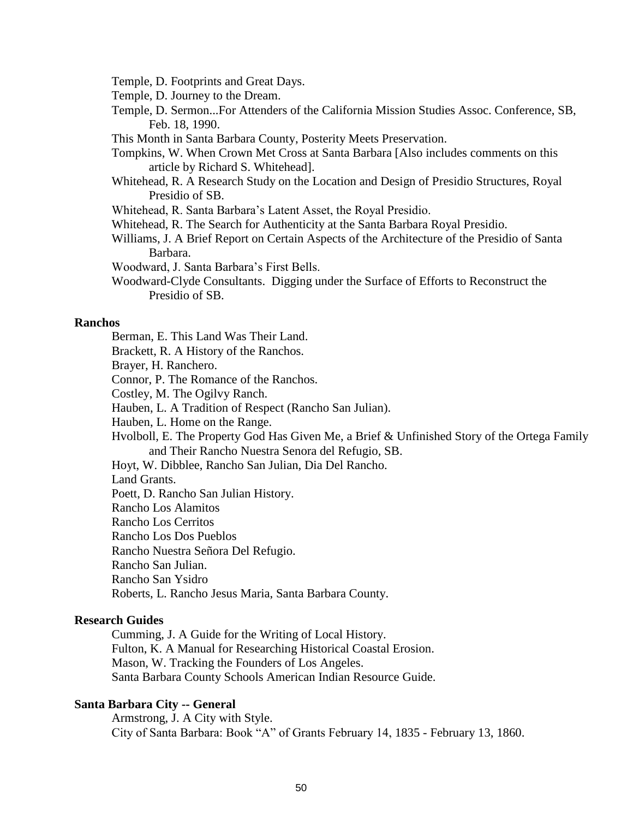Temple, D. Footprints and Great Days.

Temple, D. Journey to the Dream.

Temple, D. Sermon...For Attenders of the California Mission Studies Assoc. Conference, SB, Feb. 18, 1990.

This Month in Santa Barbara County, Posterity Meets Preservation.

Tompkins, W. When Crown Met Cross at Santa Barbara [Also includes comments on this article by Richard S. Whitehead].

Whitehead, R. A Research Study on the Location and Design of Presidio Structures, Royal Presidio of SB.

Whitehead, R. Santa Barbara's Latent Asset, the Royal Presidio.

- Whitehead, R. The Search for Authenticity at the Santa Barbara Royal Presidio.
- Williams, J. A Brief Report on Certain Aspects of the Architecture of the Presidio of Santa Barbara.

Woodward, J. Santa Barbara's First Bells.

Woodward-Clyde Consultants. Digging under the Surface of Efforts to Reconstruct the Presidio of SB.

#### **Ranchos**

- Berman, E. This Land Was Their Land.
- Brackett, R. A History of the Ranchos.
- Brayer, H. Ranchero.
- Connor, P. The Romance of the Ranchos.
- Costley, M. The Ogilvy Ranch.
- Hauben, L. A Tradition of Respect (Rancho San Julian).
- Hauben, L. Home on the Range.
- Hvolboll, E. The Property God Has Given Me, a Brief & Unfinished Story of the Ortega Family and Their Rancho Nuestra Senora del Refugio, SB.
- Hoyt, W. Dibblee, Rancho San Julian, Dia Del Rancho.

Land Grants.

Poett, D. Rancho San Julian History.

Rancho Los Alamitos

Rancho Los Cerritos

Rancho Los Dos Pueblos

Rancho Nuestra Señora Del Refugio.

Rancho San Julian.

Rancho San Ysidro

Roberts, L. Rancho Jesus Maria, Santa Barbara County.

## **Research Guides**

Cumming, J. A Guide for the Writing of Local History. Fulton, K. A Manual for Researching Historical Coastal Erosion. Mason, W. Tracking the Founders of Los Angeles. Santa Barbara County Schools American Indian Resource Guide.

## **Santa Barbara City -- General**

Armstrong, J. A City with Style. City of Santa Barbara: Book "A" of Grants February 14, 1835 - February 13, 1860.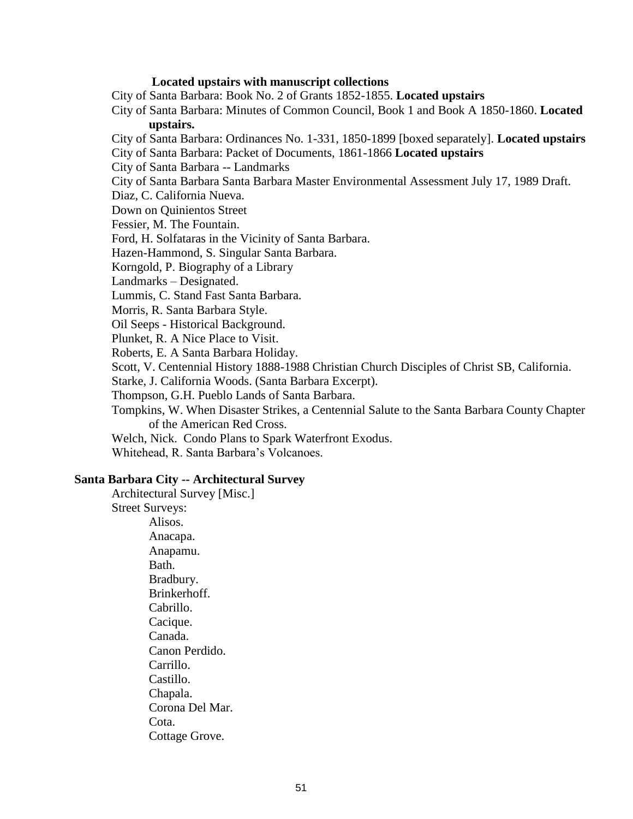## **Located upstairs with manuscript collections**

City of Santa Barbara: Book No. 2 of Grants 1852-1855. **Located upstairs**

- City of Santa Barbara: Minutes of Common Council, Book 1 and Book A 1850-1860. **Located upstairs.**
- City of Santa Barbara: Ordinances No. 1-331, 1850-1899 [boxed separately]. **Located upstairs** City of Santa Barbara: Packet of Documents, 1861-1866 **Located upstairs**

City of Santa Barbara -- Landmarks

City of Santa Barbara Santa Barbara Master Environmental Assessment July 17, 1989 Draft.

Diaz, C. California Nueva.

Down on Quinientos Street

Fessier, M. The Fountain.

Ford, H. Solfataras in the Vicinity of Santa Barbara.

Hazen-Hammond, S. Singular Santa Barbara.

Korngold, P. Biography of a Library

Landmarks – Designated.

Lummis, C. Stand Fast Santa Barbara.

Morris, R. Santa Barbara Style.

Oil Seeps - Historical Background.

Plunket, R. A Nice Place to Visit.

Roberts, E. A Santa Barbara Holiday.

Scott, V. Centennial History 1888-1988 Christian Church Disciples of Christ SB, California.

Starke, J. California Woods. (Santa Barbara Excerpt).

Thompson, G.H. Pueblo Lands of Santa Barbara.

Tompkins, W. When Disaster Strikes, a Centennial Salute to the Santa Barbara County Chapter of the American Red Cross.

Welch, Nick. Condo Plans to Spark Waterfront Exodus.

Whitehead, R. Santa Barbara's Volcanoes.

## **Santa Barbara City -- Architectural Survey**

Architectural Survey [Misc.] Street Surveys: Alisos. Anacapa. Anapamu. Bath. Bradbury. Brinkerhoff. Cabrillo. Cacique. Canada. Canon Perdido. Carrillo. Castillo. Chapala. Corona Del Mar. Cota. Cottage Grove.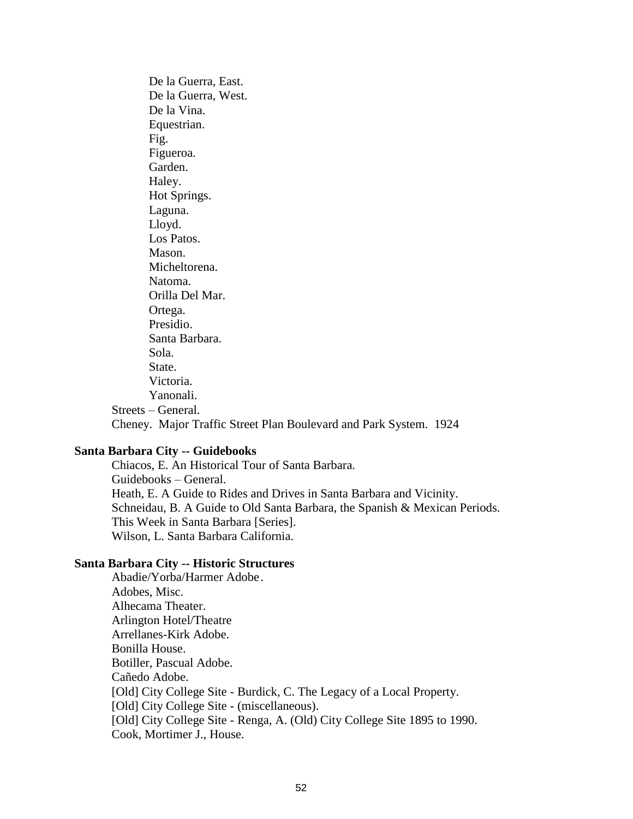De la Guerra, East. De la Guerra, West. De la Vina. Equestrian. Fig. Figueroa. Garden. Haley. Hot Springs. Laguna. Lloyd. Los Patos. Mason. Micheltorena. Natoma. Orilla Del Mar. Ortega. Presidio. Santa Barbara. Sola. State. Victoria. Yanonali. Streets – General. Cheney. Major Traffic Street Plan Boulevard and Park System. 1924

### **Santa Barbara City -- Guidebooks**

Chiacos, E. An Historical Tour of Santa Barbara. Guidebooks – General. Heath, E. A Guide to Rides and Drives in Santa Barbara and Vicinity. Schneidau, B. A Guide to Old Santa Barbara, the Spanish & Mexican Periods. This Week in Santa Barbara [Series]. Wilson, L. Santa Barbara California.

# **Santa Barbara City -- Historic Structures**

Abadie/Yorba/Harmer Adobe. Adobes, Misc. Alhecama Theater. Arlington Hotel/Theatre Arrellanes-Kirk Adobe. Bonilla House. Botiller, Pascual Adobe. Cañedo Adobe. [Old] City College Site - Burdick, C. The Legacy of a Local Property. [Old] City College Site - (miscellaneous). [Old] City College Site - Renga, A. (Old) City College Site 1895 to 1990. Cook, Mortimer J., House.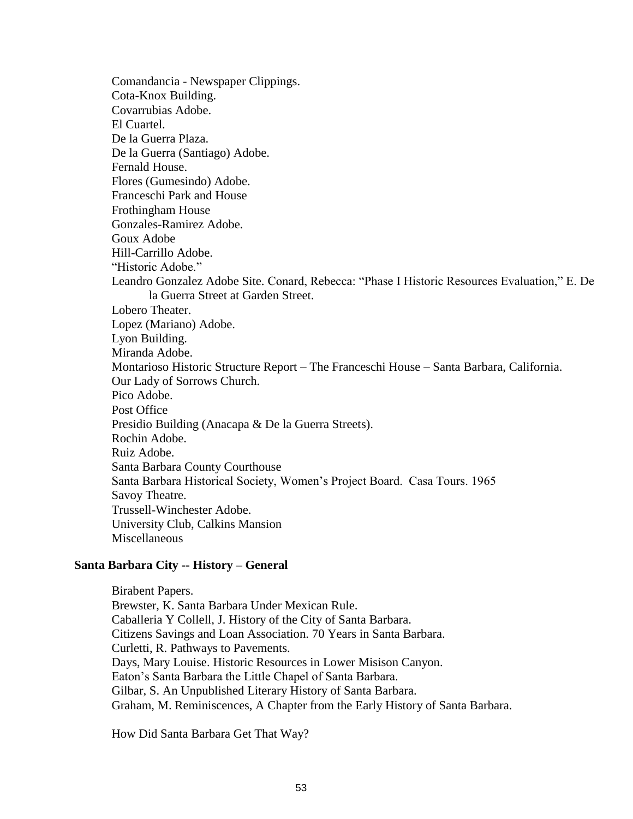Comandancia - Newspaper Clippings. Cota-Knox Building. Covarrubias Adobe. El Cuartel. De la Guerra Plaza. De la Guerra (Santiago) Adobe. Fernald House. Flores (Gumesindo) Adobe. Franceschi Park and House Frothingham House Gonzales-Ramirez Adobe. Goux Adobe Hill-Carrillo Adobe. "Historic Adobe." Leandro Gonzalez Adobe Site. Conard, Rebecca: "Phase I Historic Resources Evaluation," E. De la Guerra Street at Garden Street. Lobero Theater. Lopez (Mariano) Adobe. Lyon Building. Miranda Adobe. Montarioso Historic Structure Report – The Franceschi House – Santa Barbara, California. Our Lady of Sorrows Church. Pico Adobe. Post Office Presidio Building (Anacapa & De la Guerra Streets). Rochin Adobe. Ruiz Adobe. Santa Barbara County Courthouse Santa Barbara Historical Society, Women's Project Board. Casa Tours. 1965 Savoy Theatre. Trussell-Winchester Adobe. University Club, Calkins Mansion **Miscellaneous** 

## **Santa Barbara City -- History – General**

Birabent Papers. Brewster, K. Santa Barbara Under Mexican Rule. Caballeria Y Collell, J. History of the City of Santa Barbara. Citizens Savings and Loan Association. 70 Years in Santa Barbara. Curletti, R. Pathways to Pavements. Days, Mary Louise. Historic Resources in Lower Misison Canyon. Eaton's Santa Barbara the Little Chapel of Santa Barbara. Gilbar, S. An Unpublished Literary History of Santa Barbara. Graham, M. Reminiscences, A Chapter from the Early History of Santa Barbara.

How Did Santa Barbara Get That Way?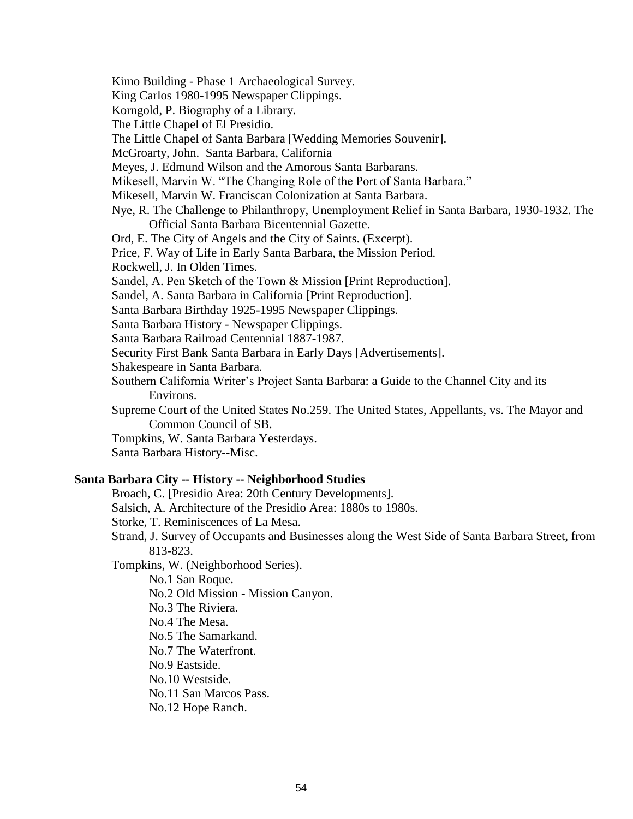- Kimo Building Phase 1 Archaeological Survey.
- King Carlos 1980-1995 Newspaper Clippings.
- Korngold, P. Biography of a Library.
- The Little Chapel of El Presidio.
- The Little Chapel of Santa Barbara [Wedding Memories Souvenir].
- McGroarty, John. Santa Barbara, California
- Meyes, J. Edmund Wilson and the Amorous Santa Barbarans.
- Mikesell, Marvin W. "The Changing Role of the Port of Santa Barbara."
- Mikesell, Marvin W. Franciscan Colonization at Santa Barbara.
- Nye, R. The Challenge to Philanthropy, Unemployment Relief in Santa Barbara, 1930-1932. The Official Santa Barbara Bicentennial Gazette.
- Ord, E. The City of Angels and the City of Saints. (Excerpt).
- Price, F. Way of Life in Early Santa Barbara, the Mission Period.
- Rockwell, J. In Olden Times.
- Sandel, A. Pen Sketch of the Town & Mission [Print Reproduction].
- Sandel, A. Santa Barbara in California [Print Reproduction].
- Santa Barbara Birthday 1925-1995 Newspaper Clippings.
- Santa Barbara History Newspaper Clippings.
- Santa Barbara Railroad Centennial 1887-1987.
- Security First Bank Santa Barbara in Early Days [Advertisements].
- Shakespeare in Santa Barbara.
- Southern California Writer's Project Santa Barbara: a Guide to the Channel City and its Environs.
- Supreme Court of the United States No.259. The United States, Appellants, vs. The Mayor and Common Council of SB.
- Tompkins, W. Santa Barbara Yesterdays.
- Santa Barbara History--Misc.

#### **Santa Barbara City -- History -- Neighborhood Studies**

- Broach, C. [Presidio Area: 20th Century Developments].
- Salsich, A. Architecture of the Presidio Area: 1880s to 1980s.
- Storke, T. Reminiscences of La Mesa.
- Strand, J. Survey of Occupants and Businesses along the West Side of Santa Barbara Street, from 813-823.
- Tompkins, W. (Neighborhood Series).

No.1 San Roque.

- No.2 Old Mission Mission Canyon.
- No.3 The Riviera.
- No.4 The Mesa.
- No.5 The Samarkand.
- No.7 The Waterfront.
- No.9 Eastside.
- No.10 Westside.
- No.11 San Marcos Pass.
- No.12 Hope Ranch.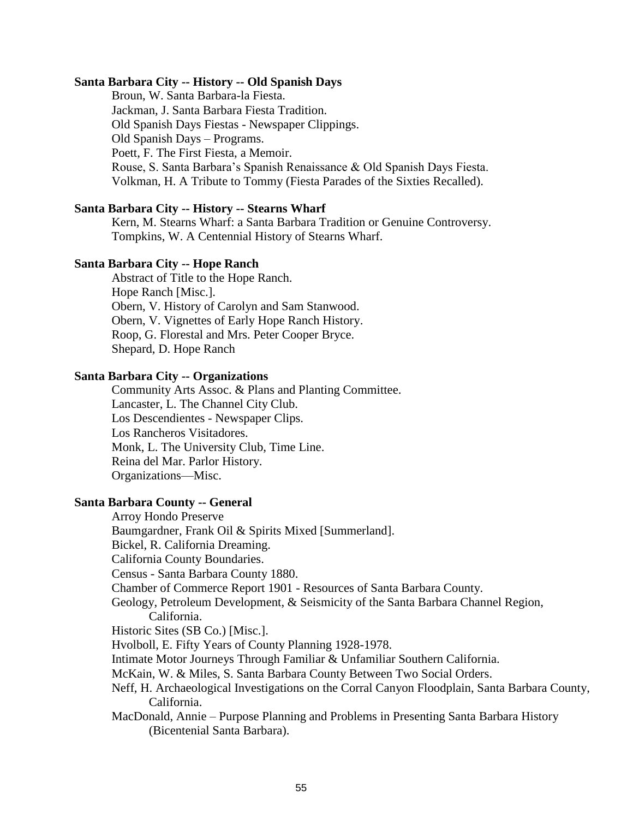#### **Santa Barbara City -- History -- Old Spanish Days**

Broun, W. Santa Barbara-la Fiesta. Jackman, J. Santa Barbara Fiesta Tradition. Old Spanish Days Fiestas - Newspaper Clippings. Old Spanish Days – Programs. Poett, F. The First Fiesta, a Memoir. Rouse, S. Santa Barbara's Spanish Renaissance & Old Spanish Days Fiesta. Volkman, H. A Tribute to Tommy (Fiesta Parades of the Sixties Recalled).

## **Santa Barbara City -- History -- Stearns Wharf**

Kern, M. Stearns Wharf: a Santa Barbara Tradition or Genuine Controversy. Tompkins, W. A Centennial History of Stearns Wharf.

#### **Santa Barbara City -- Hope Ranch**

Abstract of Title to the Hope Ranch. Hope Ranch [Misc.]. Obern, V. History of Carolyn and Sam Stanwood. Obern, V. Vignettes of Early Hope Ranch History. Roop, G. Florestal and Mrs. Peter Cooper Bryce. Shepard, D. Hope Ranch

#### **Santa Barbara City -- Organizations**

Community Arts Assoc. & Plans and Planting Committee. Lancaster, L. The Channel City Club. Los Descendientes - Newspaper Clips. Los Rancheros Visitadores. Monk, L. The University Club, Time Line. Reina del Mar. Parlor History. Organizations—Misc.

# **Santa Barbara County -- General**

Arroy Hondo Preserve Baumgardner, Frank Oil & Spirits Mixed [Summerland]. Bickel, R. California Dreaming. California County Boundaries. Census - Santa Barbara County 1880. Chamber of Commerce Report 1901 - Resources of Santa Barbara County. Geology, Petroleum Development, & Seismicity of the Santa Barbara Channel Region, California. Historic Sites (SB Co.) [Misc.]. Hvolboll, E. Fifty Years of County Planning 1928-1978. Intimate Motor Journeys Through Familiar & Unfamiliar Southern California. McKain, W. & Miles, S. Santa Barbara County Between Two Social Orders. Neff, H. Archaeological Investigations on the Corral Canyon Floodplain, Santa Barbara County, California. MacDonald, Annie – Purpose Planning and Problems in Presenting Santa Barbara History (Bicentenial Santa Barbara).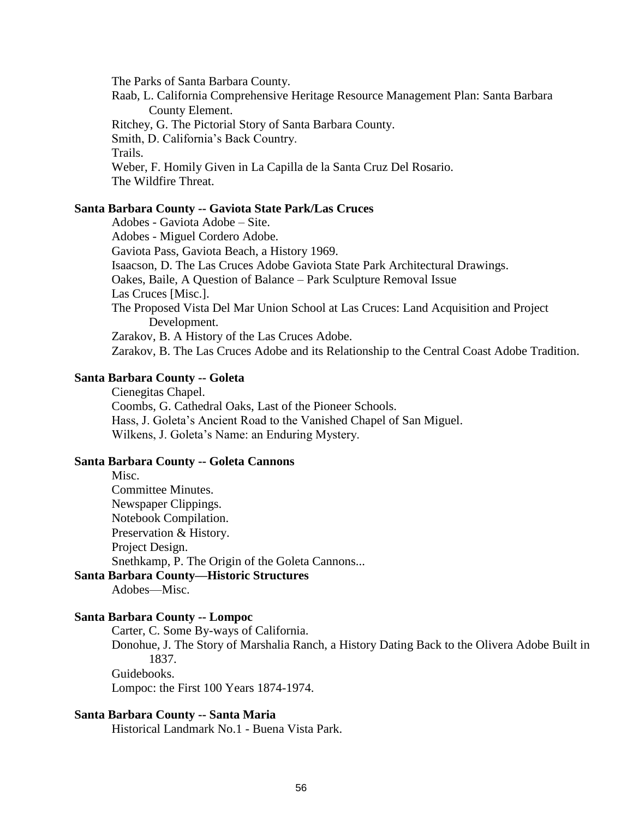The Parks of Santa Barbara County.

Raab, L. California Comprehensive Heritage Resource Management Plan: Santa Barbara County Element. Ritchey, G. The Pictorial Story of Santa Barbara County. Smith, D. California's Back Country. Trails. Weber, F. Homily Given in La Capilla de la Santa Cruz Del Rosario. The Wildfire Threat.

## **Santa Barbara County -- Gaviota State Park/Las Cruces**

Adobes - Gaviota Adobe – Site. Adobes - Miguel Cordero Adobe. Gaviota Pass, Gaviota Beach, a History 1969. Isaacson, D. The Las Cruces Adobe Gaviota State Park Architectural Drawings. Oakes, Baile, A Question of Balance – Park Sculpture Removal Issue Las Cruces [Misc.]. The Proposed Vista Del Mar Union School at Las Cruces: Land Acquisition and Project Development. Zarakov, B. A History of the Las Cruces Adobe. Zarakov, B. The Las Cruces Adobe and its Relationship to the Central Coast Adobe Tradition.

## **Santa Barbara County -- Goleta**

Cienegitas Chapel. Coombs, G. Cathedral Oaks, Last of the Pioneer Schools. Hass, J. Goleta's Ancient Road to the Vanished Chapel of San Miguel. Wilkens, J. Goleta's Name: an Enduring Mystery.

#### **Santa Barbara County -- Goleta Cannons**

Misc. Committee Minutes. Newspaper Clippings. Notebook Compilation. Preservation & History. Project Design. Snethkamp, P. The Origin of the Goleta Cannons...

# **Santa Barbara County—Historic Structures**

Adobes—Misc.

### **Santa Barbara County -- Lompoc**

Carter, C. Some By-ways of California. Donohue, J. The Story of Marshalia Ranch, a History Dating Back to the Olivera Adobe Built in 1837. Guidebooks. Lompoc: the First 100 Years 1874-1974.

# **Santa Barbara County -- Santa Maria**

Historical Landmark No.1 - Buena Vista Park.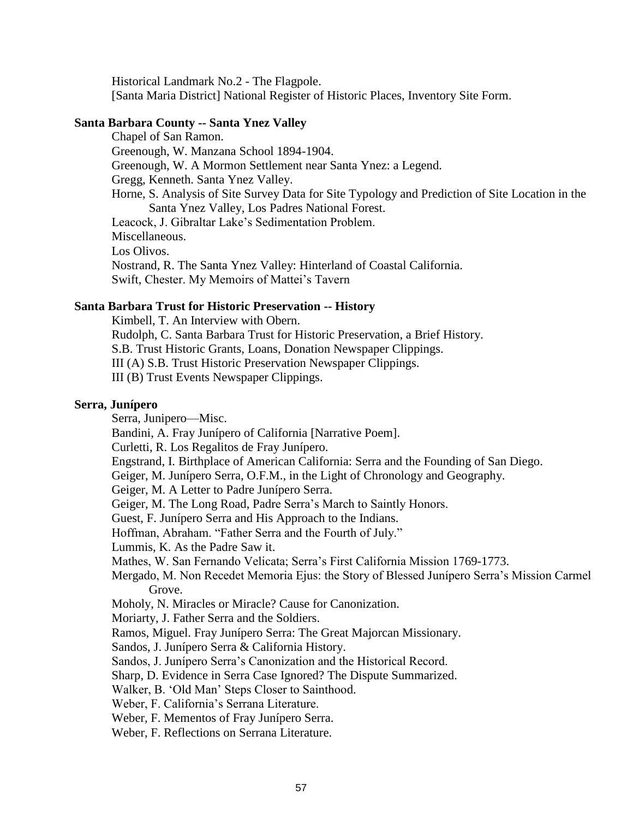Historical Landmark No.2 - The Flagpole. [Santa Maria District] National Register of Historic Places, Inventory Site Form.

#### **Santa Barbara County -- Santa Ynez Valley**

Chapel of San Ramon. Greenough, W. Manzana School 1894-1904. Greenough, W. A Mormon Settlement near Santa Ynez: a Legend. Gregg, Kenneth. Santa Ynez Valley. Horne, S. Analysis of Site Survey Data for Site Typology and Prediction of Site Location in the Santa Ynez Valley, Los Padres National Forest. Leacock, J. Gibraltar Lake's Sedimentation Problem. Miscellaneous. Los Olivos. Nostrand, R. The Santa Ynez Valley: Hinterland of Coastal California. Swift, Chester. My Memoirs of Mattei's Tavern

#### **Santa Barbara Trust for Historic Preservation -- History**

Kimbell, T. An Interview with Obern.

Rudolph, C. Santa Barbara Trust for Historic Preservation, a Brief History.

S.B. Trust Historic Grants, Loans, Donation Newspaper Clippings.

III (A) S.B. Trust Historic Preservation Newspaper Clippings.

III (B) Trust Events Newspaper Clippings.

# **Serra, Junípero**

Serra, Junipero—Misc.

Bandini, A. Fray Junípero of California [Narrative Poem].

Curletti, R. Los Regalitos de Fray Junípero.

Engstrand, I. Birthplace of American California: Serra and the Founding of San Diego.

Geiger, M. Junípero Serra, O.F.M., in the Light of Chronology and Geography.

Geiger, M. A Letter to Padre Junípero Serra.

Geiger, M. The Long Road, Padre Serra's March to Saintly Honors.

Guest, F. Junípero Serra and His Approach to the Indians.

Hoffman, Abraham. "Father Serra and the Fourth of July."

Lummis, K. As the Padre Saw it.

Mathes, W. San Fernando Velicata; Serra's First California Mission 1769-1773.

Mergado, M. Non Recedet Memoria Ejus: the Story of Blessed Junípero Serra's Mission Carmel Grove.

Moholy, N. Miracles or Miracle? Cause for Canonization.

Moriarty, J. Father Serra and the Soldiers.

Ramos, Miguel. Fray Junípero Serra: The Great Majorcan Missionary.

Sandos, J. Junípero Serra & California History.

Sandos, J. Junípero Serra's Canonization and the Historical Record.

Sharp, D. Evidence in Serra Case Ignored? The Dispute Summarized.

Walker, B. 'Old Man' Steps Closer to Sainthood.

Weber, F. California's Serrana Literature.

Weber, F. Mementos of Fray Junípero Serra.

Weber, F. Reflections on Serrana Literature.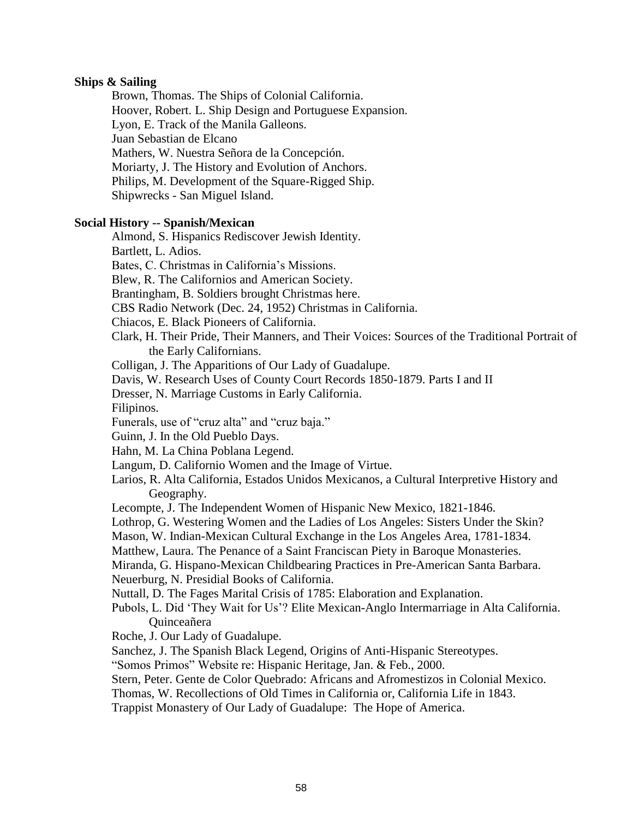# **Ships & Sailing**

Brown, Thomas. The Ships of Colonial California. Hoover, Robert. L. Ship Design and Portuguese Expansion. Lyon, E. Track of the Manila Galleons. Juan Sebastian de Elcano Mathers, W. Nuestra Señora de la Concepción. Moriarty, J. The History and Evolution of Anchors. Philips, M. Development of the Square-Rigged Ship. Shipwrecks - San Miguel Island.

# **Social History -- Spanish/Mexican**

Almond, S. Hispanics Rediscover Jewish Identity.

Bartlett, L. Adios.

Bates, C. Christmas in California's Missions.

Blew, R. The Californios and American Society.

Brantingham, B. Soldiers brought Christmas here.

CBS Radio Network (Dec. 24, 1952) Christmas in California.

Chiacos, E. Black Pioneers of California.

Clark, H. Their Pride, Their Manners, and Their Voices: Sources of the Traditional Portrait of the Early Californians.

Colligan, J. The Apparitions of Our Lady of Guadalupe.

Davis, W. Research Uses of County Court Records 1850-1879. Parts I and II

Dresser, N. Marriage Customs in Early California.

Filipinos.

Funerals, use of "cruz alta" and "cruz baja."

Guinn, J. In the Old Pueblo Days.

Hahn, M. La China Poblana Legend.

Langum, D. Californio Women and the Image of Virtue.

Larios, R. Alta California, Estados Unidos Mexicanos, a Cultural Interpretive History and Geography.

Lecompte, J. The Independent Women of Hispanic New Mexico, 1821-1846.

Lothrop, G. Westering Women and the Ladies of Los Angeles: Sisters Under the Skin?

Mason, W. Indian-Mexican Cultural Exchange in the Los Angeles Area, 1781-1834.

Matthew, Laura. The Penance of a Saint Franciscan Piety in Baroque Monasteries.

Miranda, G. Hispano-Mexican Childbearing Practices in Pre-American Santa Barbara.

Neuerburg, N. Presidial Books of California.

Nuttall, D. The Fages Marital Crisis of 1785: Elaboration and Explanation.

Pubols, L. Did 'They Wait for Us'? Elite Mexican-Anglo Intermarriage in Alta California. Quinceañera

Roche, J. Our Lady of Guadalupe.

Sanchez, J. The Spanish Black Legend, Origins of Anti-Hispanic Stereotypes.

"Somos Primos" Website re: Hispanic Heritage, Jan. & Feb., 2000.

Stern, Peter. Gente de Color Quebrado: Africans and Afromestizos in Colonial Mexico.

Thomas, W. Recollections of Old Times in California or, California Life in 1843.

Trappist Monastery of Our Lady of Guadalupe: The Hope of America.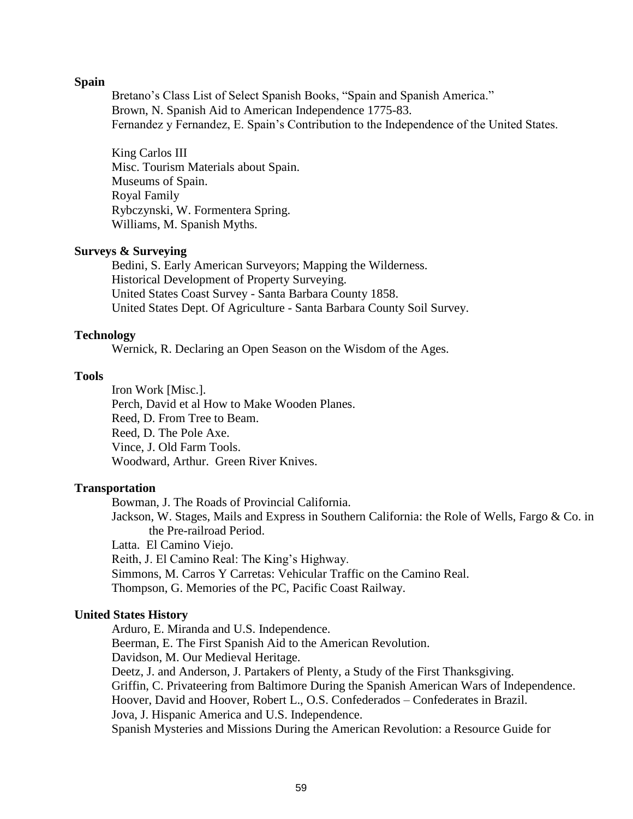## **Spain**

Bretano's Class List of Select Spanish Books, "Spain and Spanish America." Brown, N. Spanish Aid to American Independence 1775-83. Fernandez y Fernandez, E. Spain's Contribution to the Independence of the United States.

King Carlos III Misc. Tourism Materials about Spain. Museums of Spain. Royal Family Rybczynski, W. Formentera Spring. Williams, M. Spanish Myths.

# **Surveys & Surveying**

Bedini, S. Early American Surveyors; Mapping the Wilderness. Historical Development of Property Surveying. United States Coast Survey - Santa Barbara County 1858. United States Dept. Of Agriculture - Santa Barbara County Soil Survey.

## **Technology**

Wernick, R. Declaring an Open Season on the Wisdom of the Ages.

# **Tools**

Iron Work [Misc.]. Perch, David et al How to Make Wooden Planes. Reed, D. From Tree to Beam. Reed, D. The Pole Axe. Vince, J. Old Farm Tools. Woodward, Arthur. Green River Knives.

# **Transportation**

Bowman, J. The Roads of Provincial California.

Jackson, W. Stages, Mails and Express in Southern California: the Role of Wells, Fargo & Co. in the Pre-railroad Period.

Latta. El Camino Viejo.

Reith, J. El Camino Real: The King's Highway.

Simmons, M. Carros Y Carretas: Vehicular Traffic on the Camino Real.

Thompson, G. Memories of the PC, Pacific Coast Railway.

## **United States History**

Arduro, E. Miranda and U.S. Independence.

Beerman, E. The First Spanish Aid to the American Revolution.

Davidson, M. Our Medieval Heritage.

Deetz, J. and Anderson, J. Partakers of Plenty, a Study of the First Thanksgiving.

Griffin, C. Privateering from Baltimore During the Spanish American Wars of Independence.

Hoover, David and Hoover, Robert L., O.S. Confederados – Confederates in Brazil.

Jova, J. Hispanic America and U.S. Independence.

Spanish Mysteries and Missions During the American Revolution: a Resource Guide for